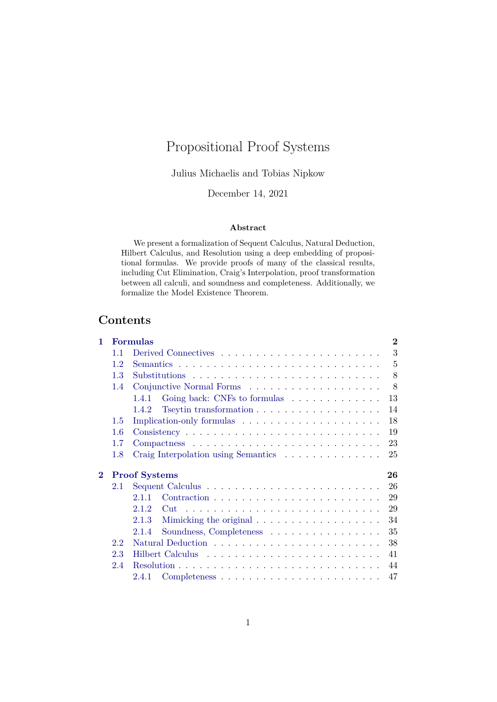# Propositional Proof Systems

Julius Michaelis and Tobias Nipkow

December 14, 2021

#### **Abstract**

We present a formalization of Sequent Calculus, Natural Deduction, Hilbert Calculus, and Resolution using a deep embedding of propositional formulas. We provide proofs of many of the classical results, including Cut Elimination, Craig's Interpolation, proof transformation between all calculi, and soundness and completeness. Additionally, we formalize the Model Existence Theorem.

## **Contents**

| 1.       |                            | <b>Formulas</b>                                                             | $\overline{2}$ |  |  |  |  |
|----------|----------------------------|-----------------------------------------------------------------------------|----------------|--|--|--|--|
|          | 1.1                        |                                                                             | 3              |  |  |  |  |
|          | 1.2                        |                                                                             | 5              |  |  |  |  |
|          | 1.3                        |                                                                             | 8              |  |  |  |  |
|          | 1.4                        |                                                                             | 8              |  |  |  |  |
|          |                            | Going back: CNFs to formulas<br>1.4.1                                       | 13             |  |  |  |  |
|          |                            | Tseytin transformation $\ldots \ldots \ldots \ldots \ldots \ldots$<br>1.4.2 | 14             |  |  |  |  |
|          | 1.5                        | Implication-only formulas                                                   | 18             |  |  |  |  |
|          | 1.6                        |                                                                             | 19             |  |  |  |  |
|          | 1.7                        |                                                                             | 23             |  |  |  |  |
|          | 1.8                        | Craig Interpolation using Semantics<br>25                                   |                |  |  |  |  |
| $\bf{2}$ | <b>Proof Systems</b><br>26 |                                                                             |                |  |  |  |  |
|          | 2.1                        | 26                                                                          |                |  |  |  |  |
|          |                            | 2.1.1<br>29                                                                 |                |  |  |  |  |
|          |                            | 2.12<br>29<br>$\mathrm{Cut}$                                                |                |  |  |  |  |
|          |                            | 2.1.3<br>34                                                                 |                |  |  |  |  |
|          |                            | Soundness, Completeness<br>35<br>2.1.4                                      |                |  |  |  |  |
|          | 2.2                        | 38                                                                          |                |  |  |  |  |
|          | 2.3                        | 41                                                                          |                |  |  |  |  |
|          | 2.4                        | 44                                                                          |                |  |  |  |  |
|          |                            | 47<br>2.4.1                                                                 |                |  |  |  |  |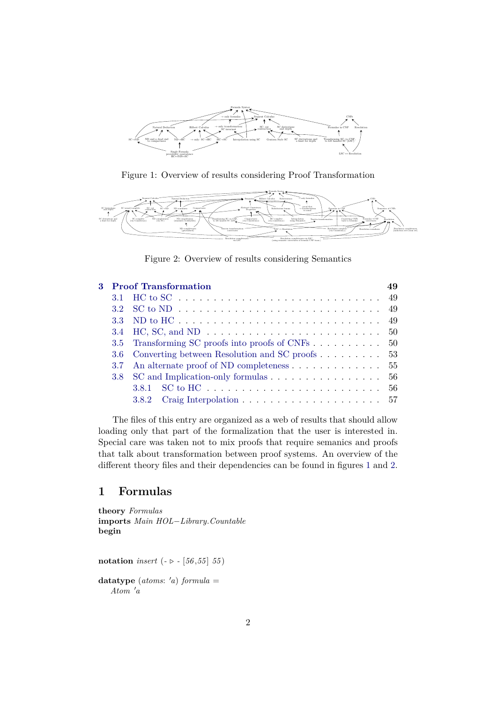

<span id="page-1-1"></span>Figure 1: Overview of results considering Proof Transformation



<span id="page-1-2"></span>Figure 2: Overview of results considering Semantics

|  | <b>3</b> Proof Transformation                                              |  |
|--|----------------------------------------------------------------------------|--|
|  |                                                                            |  |
|  |                                                                            |  |
|  |                                                                            |  |
|  |                                                                            |  |
|  | 3.5 Transforming SC proofs into proofs of CNFs 50                          |  |
|  | 3.6 Converting between Resolution and SC proofs  53                        |  |
|  | 3.7 An alternate proof of ND completeness $\ldots \ldots \ldots \ldots 55$ |  |
|  | 3.8 SC and Implication-only formulas 56                                    |  |
|  |                                                                            |  |
|  |                                                                            |  |

The files of this entry are organized as a web of results that should allow loading only that part of the formalization that the user is interested in. Special care was taken not to mix proofs that require semanics and proofs that talk about transformation between proof systems. An overview of the different theory files and their dependencies can be found in figures [1](#page-1-1) and [2.](#page-1-2)

## <span id="page-1-0"></span>**1 Formulas**

**theory** *Formulas* **imports** *Main HOL*−*Library*.*Countable* **begin**

**notation** *insert* ( $- \triangleright - [56, 55, 55]$ 

 $datatype$   $(atoms: 'a)$   $formula =$  $A$ *tom*  $'a$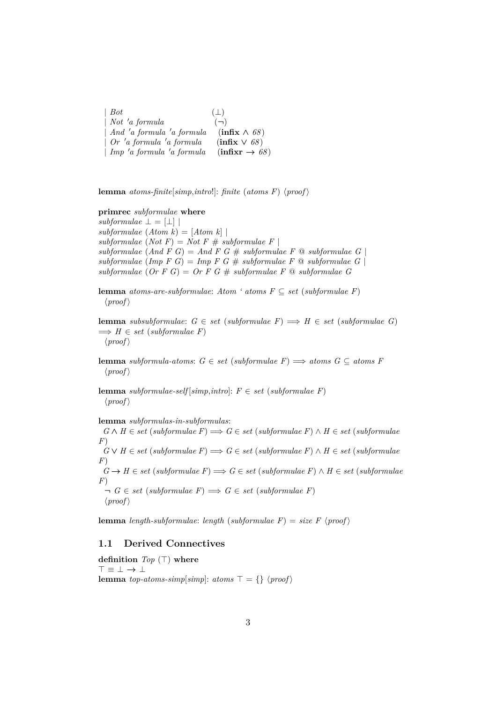| $\vert$ Bot                            | $(\perp)$                                |
|----------------------------------------|------------------------------------------|
| $\mid$ Not 'a formula                  | $(-)$                                    |
| $\mid$ And 'a formula 'a formula       | $(\text{infix} \wedge 68)$               |
| $\int$ <i>Or 'a formula 'a formula</i> | $\left(\text{infix}\vee\text{68}\right)$ |
| $\mid$ Imp 'a formula 'a formula       | $(infixr \rightarrow 68)$                |

**lemma** *atoms-finite*[*simp*,*intro*!]: *finite* (*atoms F*)  $\langle proof \rangle$ 

## **primrec** *subformulae* **where**

 $subformulae \perp = [\perp]$ *subformulae* (*Atom k*) = [*Atom k*] |  $subformulae (Not F) = Not F # subformulae F$  $subformulae (And F G) = And F G # subformulae F @ subformulae G$  $subformulae$  (*Imp F G*) = *Imp F G* #  $subformulae$  *F*  $\textcircled{a}$   $subformulae$  *G*) *subformulae* (*Or F G*) = *Or F G* # *subformulae F* @ *subformulae G*

**lemma** *atoms-are-subformulae: Atom ' atoms*  $F \subseteq set$  *(subformulae F)*  $\langle proof \rangle$ 

**lemma** *subsubformulae:*  $G ∈ set (subformulae F) ⇒ H ∈ set (subformulae G)$  $\implies H \in set$  (*subformulae F*)  $\langle proof \rangle$ 

**lemma** *subformula-atoms*:  $G \in set$  (*subformulae F*)  $\implies$  *atoms*  $G \subseteq atoms F$  $\langle proof \rangle$ 

**lemma** *subformulae-self* [*simp*,*intro*]:  $F \in set$  (*subformulae F*)  $\langle proof \rangle$ 

**lemma** *subformulas-in-subformulas*:

 $G \wedge H \in set$  (*subformulae F*)  $\Longrightarrow$  *G* ∈ *set* (*subformulae F*)  $\wedge$  *H* ∈ *set* (*subformulae F*)  $G \vee H \in set$  (*subformulae F*)  $\Longrightarrow$  *G* ∈ *set* (*subformulae F*) ∧ *H* ∈ *set* (*subformulae F*)  $G \rightarrow H \in set$  (*subformulae F*)  $\Rightarrow G \in set$  (*subformulae F*) ∧ *H* ∈ *set* (*subformulae F*)  $\neg G \in set \ (subformulae \ F) \Longrightarrow G \in set \ (subformulae \ F)$  $\langle proof \rangle$ 

**lemma** *length-subformulae*: *length* (*subformulae F*) = *size F*  $\langle proof \rangle$ 

## <span id="page-2-0"></span>**1.1 Derived Connectives**

**definition**  $Top(\top)$  where > ≡ ⊥ → ⊥ **lemma** *top-atoms-simp*[*simp*]: *atoms*  $\top = \{\}$  \*proof* \end{*y*}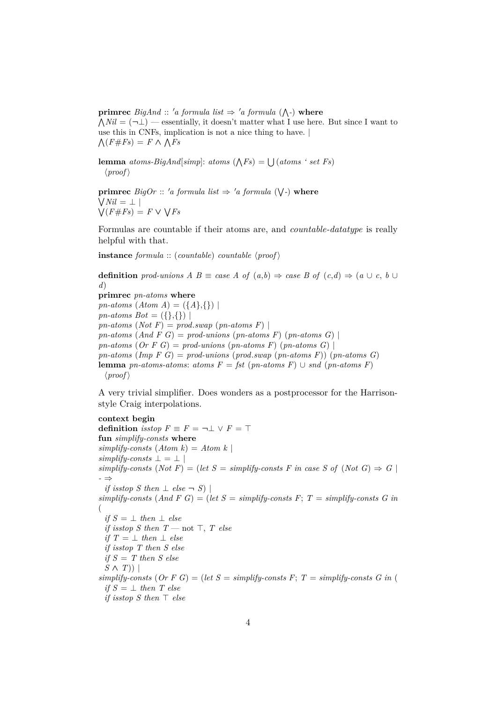**primrec**  $BigAnd :: 'a$  formula list  $\Rightarrow 'a$  formula ( $\wedge$ -) where  $\bigwedge Nil = (\neg \bot)$  — essentially, it doesn't matter what I use here. But since I want to use this in CNFs, implication is not a nice thing to have. |  $\bigwedge (F \# Fs) = F \wedge \bigwedge Fs$ 

**lemma** *atoms-BigAnd*[simp]: *atoms*  $(\bigwedge F_s) = \bigcup (atoms \, ' \, set \, F_s)$  $\langle proof \rangle$ 

**primrec**  $Big$  *BigOr* :: 'a formula list  $\Rightarrow$  'a formula ( $\bigvee$ -) where W *Nil* = ⊥ |  $\bigvee (F \# F s) = F \vee \bigvee F s$ 

Formulas are countable if their atoms are, and *countable-datatype* is really helpful with that.

**instance** *formula* :: (*countable*) *countable*  $\langle proof \rangle$ 

**definition** prod-unions A B  $\equiv$  *case* A of  $(a,b) \Rightarrow$  *case* B of  $(c,d) \Rightarrow (a \cup c, b \cup c)$ *d*) **primrec** *pn-atoms* **where** *pn-atoms*  $(Atom A) = (\{A\},\{\})$ 

*pn-atoms Bot* =  $({},{{}$  $pn-atoms(Not F) = prod.sum(pn-atoms F)$  $pn-atoms$  (*And*  $F$   $G$ ) =  $prod\$ -unions ( $pn-atoms$   $F$ ) ( $pn-atoms$   $G$ ) | *pn-atoms*  $(Or F G) = prod-unions (pn-atoms F) (pn-atoms G)$ *pn-atoms* (*Imp F G*) = *prod-unions* (*prod*.*swap* (*pn-atoms F*)) (*pn-atoms G*) **lemma** *pn-atoms-atoms*: *atoms*  $F = \text{fst}$  (*pn-atoms*  $F$ ) ∪ *snd* (*pn-atoms*  $F$ )  $\langle proof \rangle$ 

A very trivial simplifier. Does wonders as a postprocessor for the Harrisonstyle Craig interpolations.

#### **context begin**

**definition** *isstop*  $F \equiv F = \neg \bot \lor F = \top$ **fun** *simplify-consts* **where**  $simplify-consts$   $(Atom k) = Atom k$  $simplify-consts \perp = \perp$  $simplify\text{-}consts \ (Not \ F) = (let \ S = simplify\text{-}consts \ F \ in \ case \ S \ of \ (Not \ G) \ \Rightarrow \ G \ |$ *-* ⇒ *if isstop S* then  $\perp$  *else*  $\neg$  *S*) |  $simplify-consts$  (And F G) = (let  $S = simplify-consts$  F;  $T = simplify-consts$  G in ( *if*  $S = \perp$  *then*  $\perp$  *else if isstop S then*  $T$  — not  $\top$ ,  $T$  else *if*  $T = \perp$  *then*  $\perp$  *else if isstop T then S else if S* = *T then S else*  $S \wedge T$ ) |  $simplify-consts$  (*Or*  $F G$ ) = (*let*  $S = simplify-consts$   $F$ ;  $T = simplify-consts$   $G$  in ( *if*  $S = \perp$  *then*  $T$  *else if isstop S then*  $\top$  *else*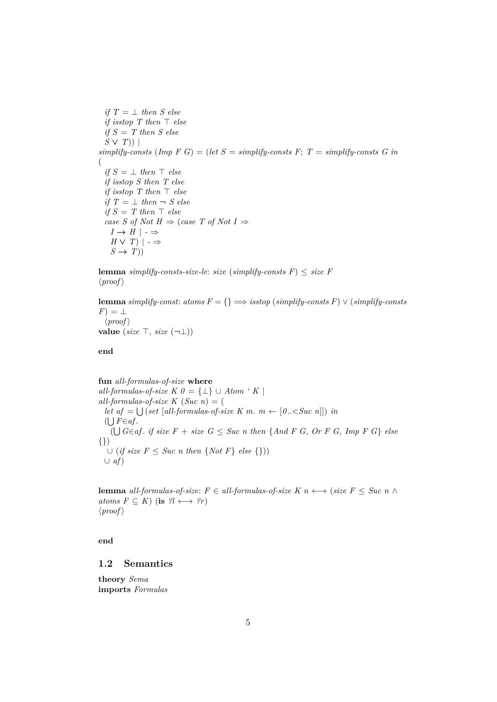*if*  $T = \perp$  *then S* else *if isstop*  $T$  then  $T$  else *if S* = *T then S else S* ∨ *T*)) |  $simplify-consts$  (Imp  $F G$ ) = (let  $S = simplify-consts$   $F$ ;  $T = simplify-consts$   $G$  in ( *if*  $S = \perp$  *then*  $\top$  *else if isstop S then T else if isstop*  $T$  *then*  $\top$  *else if*  $T = \perp$  *then*  $\neg$  *S else*  $if S = T then \top else$ *case S of Not H*  $\Rightarrow$  (*case T of Not I*  $\Rightarrow$  $I \rightarrow H \mid \cdot \Rightarrow$ *H* ∨ *T*)  $|$  - ⇒  $S \rightarrow T$ )

**lemma** *simplify-consts-size-le: size* (*simplify-consts F*)  $\leq$  *size F*  $\langle proof \rangle$ 

**lemma** *simplify-const:*  $atoms F = \{\} \implies isstop (simplify-consts F) \lor (simplify-consts F)$  $F) = \perp$  $\langle proof \rangle$ **value** (*size*  $\top$ , *size*  $(\neg \bot)$ )

**end**

**fun** *all-formulas-of-size* **where** *all-formulas-of-size K 0* =  $\{\perp\}$  ∪ *Atom ' K* | *all-formulas-of-size K* (*Suc n*) = ( *let*  $af = \bigcup (set [all-formulas-of-size K m. m \leftarrow [0..$  $($ **∪**  $F ∈ af$ .  $($  $\bigcup$   $G∈af$ . *if size*  $F + size G ≤ Succ n$  *then* {*And*  $F G$ ,  $Or F G$ ,  $Imp F G$ } *else* {}) ∪ (*if size F* ≤ *Suc n then* {*Not F*} *else* {})) ∪ *af*)

**lemma** *all-formulas-of-size*:  $F \in all-formulas-of-size K \ n \longleftrightarrow (size F \leq Suc \ n \land \dots)$ *atoms*  $F \subseteq K$ ) (**is**  $?l \longleftrightarrow ?r$ )  $\langle proof \rangle$ 

**end**

## <span id="page-4-0"></span>**1.2 Semantics**

**theory** *Sema* **imports** *Formulas*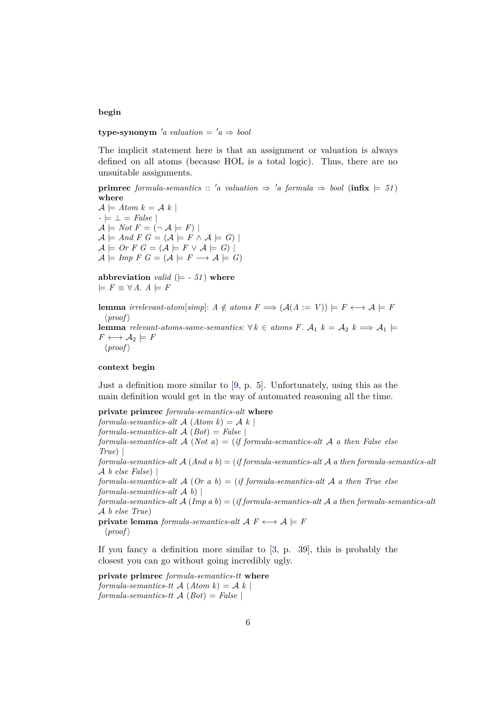#### **begin**

**type-synonym** 'a valuation =  $'a \Rightarrow bool$ 

The implicit statement here is that an assignment or valuation is always defined on all atoms (because HOL is a total logic). Thus, there are no unsuitable assignments.

**primrec** *formula-semantics* :: 'a valuation  $\Rightarrow$  'a *formula*  $\Rightarrow$  *bool* (**infix**  $\models$  51) **where**

 $\mathcal{A} \models$  Atom  $k = \mathcal{A} \; k$  $-|= \perp = False$  $\mathcal{A} \models Not F = (\neg \mathcal{A} \models F)$  $\mathcal{A} \models And F G = (\mathcal{A} \models F \land \mathcal{A} \models G)$  $\mathcal{A} \models \textit{Or } F \textit{G} = (\mathcal{A} \models F \vee \mathcal{A} \models G)$  $\mathcal{A} \models \text{Imp } F \ G = (\mathcal{A} \models F \longrightarrow \mathcal{A} \models G)$ 

**abbreviation** *valid* ( $\models$  - 51) **where**  $\models$  *F* ≡  $\forall$  *A*. *A*  $\models$  *F* 

**lemma** *irrelevant-atom*[*simp*]:  $A \notin atoms F \implies (A(A := V)) \models F \longleftrightarrow A \models F$  $\langle proof \rangle$ **lemma** *relevant-atoms-same-semantics*: ∀ *k* ∈ *atoms F*.  $A_1$  *k* =  $A_2$  *k* ⇒  $A_1$   $\models$  $F \longleftrightarrow \mathcal{A}_2 \models F$  $\langle proof \rangle$ 

## **context begin**

Just a definition more similar to [\[9,](#page-57-0) p. 5]. Unfortunately, using this as the main definition would get in the way of automated reasoning all the time.

**private primrec** *formula-semantics-alt* **where**

*formula-semantics-alt* A (*Atom k*) = A *k* |

*formula-semantics-alt* A (*Bot*) = *False* |

*formula-semantics-alt* A (*Not a*) = (*if formula-semantics-alt* A *a then False else True*) |

*formula-semantics-alt* A (*And a b*) = (*if formula-semantics-alt* A *a then formula-semantics-alt* A *b else False*) |

*formula-semantics-alt* A (*Or a b*) = (*if formula-semantics-alt* A *a then True else formula-semantics-alt* A *b*) |

*formula-semantics-alt* A (*Imp a b*) = (*if formula-semantics-alt* A *a then formula-semantics-alt* A *b else True*)

**private lemma** *formula-semantics-alt*  $A$   $F \leftrightarrow A \models F$  $\langle proof \rangle$ 

If you fancy a definition more similar to  $[3, p. 39]$  $[3, p. 39]$ , this is probably the closest you can go without going incredibly ugly.

**private primrec** *formula-semantics-tt* **where** *formula-semantics-tt*  $\mathcal{A}(Atom k) = \mathcal{A}(k)$ *formula-semantics-tt* A (*Bot*) = *False* |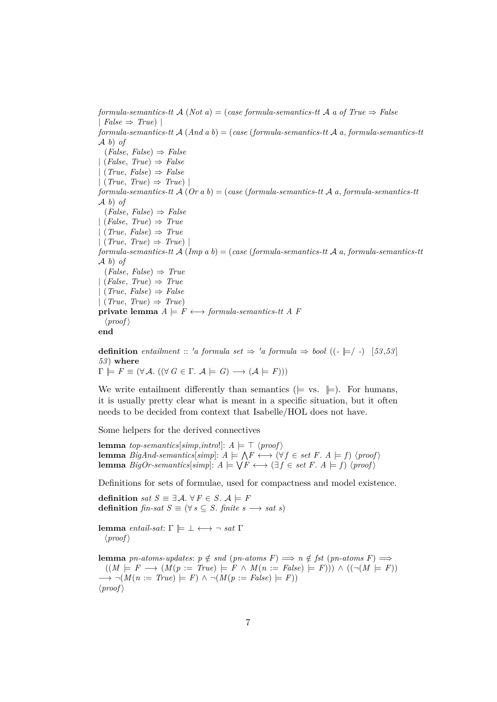$formula-semantics-ttA (Not a) = (case formula-semantics-ttA a of True \Rightarrow False$  $| False \Rightarrow True|$ *formula-semantics-tt* A (*And a b*) = (*case* (*formula-semantics-tt* A *a*, *formula-semantics-tt* A *b*) *of* (*False*, *False*) ⇒ *False* | (*False*, *True*) ⇒ *False* | (*True*, *False*) ⇒ *False* | (*True*, *True*) ⇒ *True*) | *formula-semantics-tt* A (*Or a b*) = (*case* (*formula-semantics-tt* A *a*, *formula-semantics-tt* A *b*) *of*  $(False, False) \Rightarrow False$ | (*False*, *True*) ⇒ *True* | (*True*, *False*) ⇒ *True*  $| (True, True) \Rightarrow True$ *formula-semantics-tt* A (*Imp a b*) = (*case* (*formula-semantics-tt* A *a*, *formula-semantics-tt* A *b*) *of*  $(False, False) \Rightarrow True$ | (*False*, *True*) ⇒ *True* | (*True*, *False*) ⇒ *False* | (*True*, *True*) ⇒ *True*) **private lemma**  $A \models F \longleftrightarrow \text{formula-semantics-}tt \land F$  $\langle proof \rangle$ **end**

**definition** *entailment* :: 'a formula set  $\Rightarrow$  'a formula  $\Rightarrow$  bool ((- $\models$ / -) [53,53] *53* ) **where**  $\Gamma \models F \equiv (\forall \mathcal{A}. ((\forall G \in \Gamma. \mathcal{A} \models G) \longrightarrow (\mathcal{A} \models F)))$ 

We write entailment differently than semantics ( $\models$  vs.  $\models$ ). For humans, it is usually pretty clear what is meant in a specific situation, but it often needs to be decided from context that Isabelle/HOL does not have.

Some helpers for the derived connectives

**lemma** *top-semantics*[*simp*,*intro*!]:  $A \models \top \langle proof \rangle$ **lemma** BigAnd-semantics[simp]:  $A \models \bigwedge F \longleftrightarrow (\forall f \in set \ F. A \models f) \ \langle \text{proof} \rangle$ **lemma**  $BigOr\text{-}semantics[simpl: A \models \bigvee F \longleftrightarrow (\exists f \in set F \land \models f) \langle proof \rangle$ 

Definitions for sets of formulae, used for compactness and model existence.

**definition** *sat*  $S \equiv \exists A$ .  $\forall F \in S$ .  $A \models F$ **definition**  $\text{fin-sat } S \equiv (\forall s \subseteq S)$ .  $\text{finite } s \longrightarrow \text{sat } s$ 

**lemma** *entail-sat*: Γ  $\models$  ⊥ ← →  $¬$  *sat* Γ  $\langle proof \rangle$ 

**lemma** *pn-atoms-updates*:  $p \notin sd$  (*pn-atoms F*)  $\implies n \notin \textit{fst } (\textit{pn-atoms } F) \implies$  $((M \models F \rightarrow (M(p := True) \models F \land M(n := False) \models F))) \land ((\neg (M \models F))$  $\longrightarrow \neg(M(n := True) \models F) \land \neg(M(p := False) \models F))$  $\langle proof \rangle$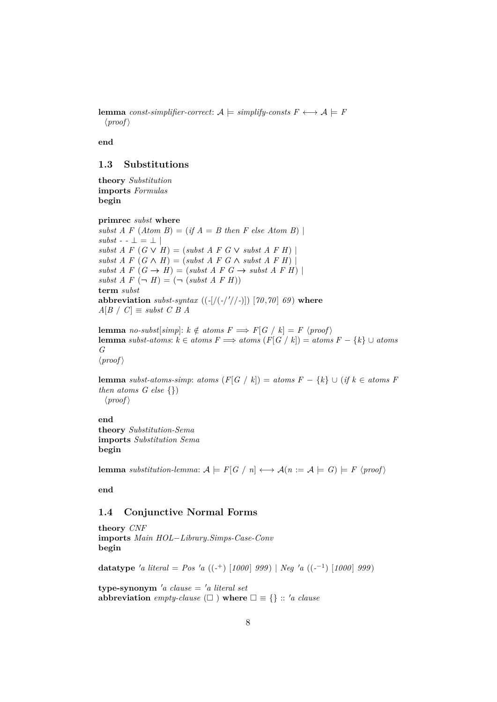**lemma** *const-simplifier-correct*:  $A \models$  *simplify-consts*  $F \leftrightarrow A \models F$  $\langle proof \rangle$ 

**end**

## <span id="page-7-0"></span>**1.3 Substitutions**

**theory** *Substitution* **imports** *Formulas* **begin**

**primrec** *subst* **where**

*subst A F*  $(Atom B) = (if A = B then F else Atom B)$  $subst - \perp = \perp$  $subst \, A \, F \, (G \vee H) = (subst \, A \, F \, G \vee subst \, A \, F \, H)$  $subst \, A \, F \, (G \wedge H) = (subst \, A \, F \, G \wedge subst \, A \, F \, H)$  $subst \, A \, F \, (G \rightarrow H) = (subst \, A \, F \, G \rightarrow subset \, A \, F \, H)$  $subst \, A \, F \, (\neg \, H) = (\neg \, (subst \, A \, F \, H))$ **term** *subst* **abbreviation** *subst-syntax*  $((-[(/(-/1/7)-)])$   $[70, 70]$  69) where  $A[B \mid C] \equiv$  *subst C B A* 

**lemma** *no-subst*[*simp*]:  $k \notin atoms F \implies F[G \mid k] = F \langle proof \rangle$ **lemma** *subst-atoms*:  $k \in atoms F \implies atoms(F[G \mid k]) = atoms F - \{k\} ∪ atoms$ *G*  $\langle proof \rangle$ 

**lemma** *subst-atoms-simp*: *atoms*  $(F[G \mid k]) =$  *atoms*  $F - \{k\} \cup (if \ k \in atoms \ F$ *then atoms G else* {})  $\langle proof \rangle$ 

**end theory** *Substitution-Sema* **imports** *Substitution Sema* **begin**

**lemma** *substitution-lemma:*  $A \models F[G \mid n] \longleftrightarrow A(n := A \models G) \models F \langle proof \rangle$ 

**end**

### <span id="page-7-1"></span>**1.4 Conjunctive Normal Forms**

**theory** *CNF* **imports** *Main HOL*−*Library*.*Simps-Case-Conv* **begin**

**datatype** 'a literal = Pos 'a ((-<sup>+</sup>) [1000] 999) | Neg 'a ((-<sup>-1</sup>) [1000] 999)

 $\tt type-synonym'$ *a clause* = *'a literal set* **abbreviation** *empty-clause*  $(\Box)$  **where**  $\Box \equiv \{\}$  :: '*a clause*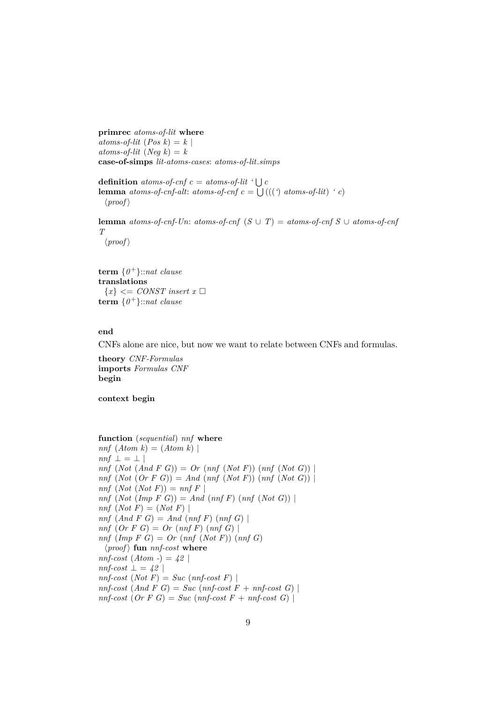**primrec** *atoms-of-lit* **where**  $atoms\text{-}of\text{-}lit$  (*Pos k*) = *k* |  $atoms\text{-}of\text{-}lit$  (*Neq k*) = *k* **case-of-simps** *lit-atoms-cases*: *atoms-of-lit*.*simps*

**definition** *atoms-of-cnf*  $c = atoms-of-lit$  ' $\bigcup c$ **lemma** *atoms-of-cnf-alt: atoms-of-cnf*  $c = \bigcup (($  *(* $)$  *atoms-of-lit*)  $\cdot c$ )  $\langle proof \rangle$ 

**lemma** *atoms-of-cnf-Un*: *atoms-of-cnf*  $(S \cup T) =$  *atoms-of-cnf*  $S \cup$  *atoms-of-cnf T*

 $\langle proof \rangle$ 

**term** {*0* <sup>+</sup>}::*nat clause* **translations**  ${x} < \text{CONST insert } x \square$ **term** {*0* <sup>+</sup>}::*nat clause*

#### **end**

CNFs alone are nice, but now we want to relate between CNFs and formulas.

**theory** *CNF-Formulas* **imports** *Formulas CNF* **begin**

**context begin**

**function** (*sequential*) *nnf* **where**  $nnf$   $(Atom k) = (Atom k)$  $nnf \perp = \perp$  $nnf (Not (And F G)) = Or (nnf (Not F)) (nnf (Not G))$ *nnf* (*Not* (*Or F G*)) = *And* (*nnf* (*Not F*)) (*nnf* (*Not G*)) |  $nnf$   $(Not$   $(Not F)) = nnf$   $F$  $nnf$   $(Not (Imp F G)) = And (nnf F) (nnf (Not G))$  $nnf$   $(Not F) = (Not F)$ *nnf* (*And F G*) = *And* (*nnf F*) (*nnf G*) | *nnf* (*Or F G*) = *Or* (*nnf F*) (*nnf G*) | *nnf* (*Imp F G*) = *Or* (*nnf* (*Not F*)) (*nnf G*)  $\langle proof \rangle$  fun *nnf-cost* where  $nnf\text{-}cost (Atom -) = 42$  $nnf\text{-}cost \perp = 42$  $nnf-cost (Not F) = Succ (nnf-cost F)$  $nnf-cost (And F G) = Succ (nnf-cost F + nnf-cost G)$ 

 $nnf\text{-}cost$  (Or F G) = *Suc* ( $nnf\text{-}cost$  F +  $nnf\text{-}cost$  G) |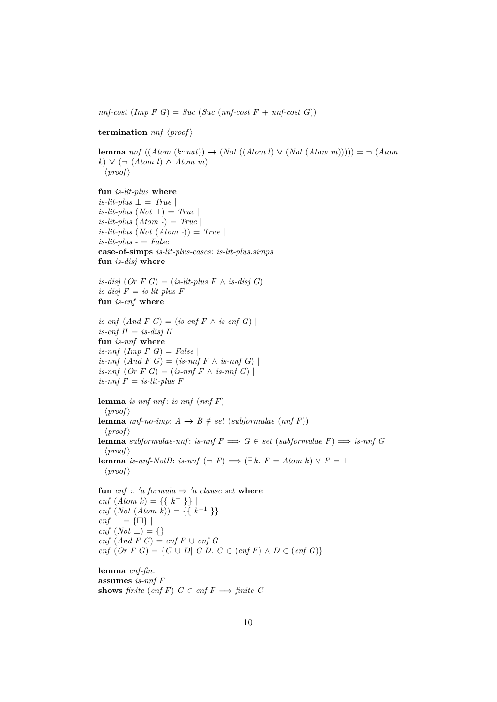*nnf-cost*  $(Imp \ F \ G) = Succ \ (Suc \ (nnf-cost \ F + nnf-cost \ G))$ 

**termination**  $nnf$   $\langle proof \rangle$ 

**lemma**  $nnf((Atom(k::nat)) \rightarrow (Not((Atom l) \vee (Not(Atom m)))) = \neg (Atom$ *k*) ∨ (¬ (*Atom l*) ∧ *Atom m*)  $\langle proof \rangle$ 

**fun** *is-lit-plus* **where**  $is-lit$ -plus  $\perp$  = *True*  $is-lit-plus (Not \perp) = True$  $is-lit$ -plus  $(Atom -) = True$  $is-lit$ -plus  $(Not (Atom -)) = True$ *is-lit-plus -* = *False* **case-of-simps** *is-lit-plus-cases*: *is-lit-plus*.*simps* **fun** *is-disj* **where**  $is\text{-}disj$  (*Or*  $F$   $G$ ) = (*is-lit-plus*  $F \wedge is\text{-}disj$   $G$ ) |  $is$ -disj  $F = is$ -lit-plus  $F$ **fun** *is-cnf* **where** *is-cnf*  $(And F G) = (is-cnf F \wedge is-cnf G)$  $is\text{-}cnf$   $H = is\text{-}disj$   $H$ **fun** *is-nnf* **where** *is-nnf* (*Imp F G*) = *False* |  $is-nnf$   $(And F G) = (is-nnf F \wedge is-nnf G)$  $is-nnf$   $(Or F G) = (is-nnf F \wedge is-nnf G)$  $is$ -nnf  $F = is$ -lit-plus  $F$ **lemma** *is-nnf-nnf* : *is-nnf* (*nnf F*)

 $\langle proof \rangle$ **lemma** *nnf-no-imp*:  $A \rightarrow B \notin set$  (*subformulae* (*nnf F*))  $\langle proof \rangle$ **lemma** *subformulae-nnf*: *is-nnf*  $F \implies G \in set$  (*subformulae*  $F$ )  $\implies$  *is-nnf* G  $\langle proof \rangle$ **lemma** *is-nnf-NotD*: *is-nnf*  $(\neg F) \implies (\exists k. F = Atom k) \lor F = \bot$  $\langle proof \rangle$ 

**fun** *cnf* :: '*a* formula  $\Rightarrow$  '*a* clause set **where** *cnf*  $(Atom k) = \{\{ k^+ \}\}\$ *cnf* (*Not* (*Atom k*)) = {{ $k^{-1}$ }} |  $cnf \perp = {\Box}$ *cnf* (*Not* ⊥) = {} |  $cnf$   $(And F G) = cnf F \cup cnf G$ *cnf* (*Or F G*) = {*C* ∪ *D*| *C D*. *C* ∈ (*cnf F*)  $\land$  *D* ∈ (*cnf G*)}

**lemma** *cnf-fin*: **assumes** *is-nnf F* **shows** *finite* (*cnf F*)  $C \in \text{cnf } F \implies \text{finite } C$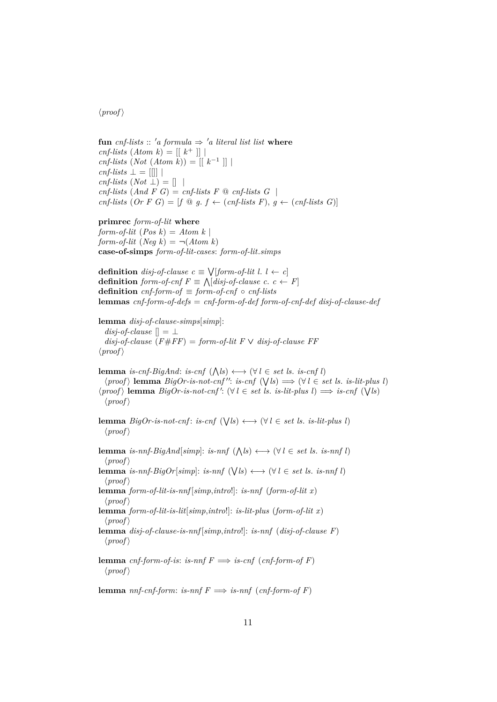## $\langle proof \rangle$

**fun** cnf-lists :: 'a formula  $\Rightarrow$  'a literal list list where  $cnf\text{-}lists (Atom k) = [[ k^+ ]]$  $cnf\text{-}lists (Not (Atom k)) = [[ k<sup>-1</sup> ]] |$  $cnf\text{-}lists \perp = \text{[}$  $cnf\text{-}lists (Not \perp) = []$  $cnf\text{-}lists (And F G) = cnf\text{-}lists F \textcircled{a} cnf\text{-}lists G$ *cnf-lists*  $(Or F G) = [f \circledcirc g. f \leftarrow (cnf-lists F), g \leftarrow (cnf-lists G)]$ 

**primrec** *form-of-lit* **where** *form-of-lit*  $(Pos k) = Atom k$ *form-of-lit*  $(Neg k) = \neg (Atom k)$ **case-of-simps** *form-of-lit-cases*: *form-of-lit*.*simps*

```
definition disj-of-clause c \equiv \sqrt{[form-of-lit]}. l \leftarrow cdefinition form-of-cnf F \equiv \bigwedge [disj-of-clause \ c. \ c \leftarrow F]definition cnf-form-of \equiv form-of-cnf \circ cnf-lists
lemmas cnf-form-of-defs = cnf-form-of-def form-of-cnf-def disj-of-clause-def
```
**lemma** *disj-of-clause-simps*[*simp*]: *disj-of-clause*  $\vert \vert = \bot$  $disj$ -of-clause  $(F \# FF) = form$ -of-lit  $F \vee disj$ -of-clause  $FF$  $\langle proof \rangle$ 

**lemma** *is-cnf-BigAnd*: *is-cnf*  $(\bigwedge l s) \longleftrightarrow (\forall l \in set \text{ } ls. \text{ } is\text{-}cnf \text{ } l)$  $\langle proof \rangle$  **lemma**  $BigOr-is-not-cnf''$ : *is-cnf*  $(\forall ls) \Longrightarrow (\forall l \in set ls.$  *is-lit-plus l*)  $\langle proof \rangle$  **lemma**  $BigOr-is-not-cnf'$ :  $(\forall l \in set \text{ls.} is-lit-plus \text{ } l) \Longrightarrow is-cnf \; (\forall ls)$  $\langle proof \rangle$ 

**lemma**  $BigOr$ -is-not-cnf: is-cnf  $(\forall \, ls) \longleftrightarrow (\forall \, l \in set \, ls. \, is-lit-plus \, l)$  $\langle proof \rangle$ 

**lemma** *is-nnf-BigAnd*[ $simp$ ]: *is-nnf*  $(\bigwedge l s) \longleftrightarrow (\forall l \in set \text{ } ls. \text{ } is\text{-}nnf \text{ } l)$  $\langle proof \rangle$ **lemma** *is-nnf-BigOr*[ $simp$ ]: *is-nnf* ( $\forall l \in set$  *ls. is-nnfl*)  $\langle proof \rangle$ **lemma** *form-of-lit-is-nnf* [*simp*,*intro*!]: *is-nnf* (*form-of-lit x*)  $\langle proof \rangle$ **lemma** *form-of-lit-is-lit*[*simp*,*intro*!]: *is-lit-plus* (*form-of-lit x*)  $\langle proof \rangle$ **lemma** *disj-of-clause-is-nnf* [*simp*,*intro*!]: *is-nnf* (*disj-of-clause F*)  $\langle proof \rangle$ **lemma** *cnf-form-of-is*: *is-nnf*  $F \implies$  *is-cnf* (*cnf-form-of F*)

 $\langle proof \rangle$ 

**lemma** *nnf-cnf-form*: *is-nnf*  $F \implies$  *is-nnf* (*cnf-form-of F*)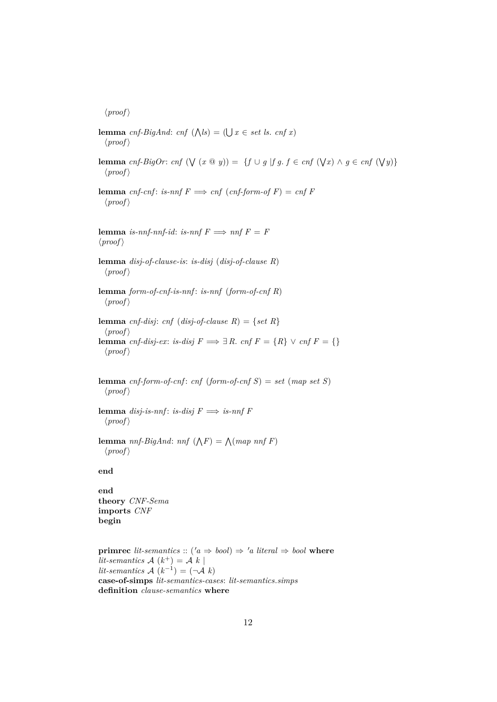$\langle proof \rangle$ 

**lemma** *cnf-BigAnd*: *cnf*  $(\bigwedge \{s\}) = (\bigcup x \in set \text{ } ls. \text{ } cnf \text{ } x)$  $\langle proof \rangle$ **lemma** *cnf-BigOr*: *cnf*  $(\forall (x \otimes y)) = \{f \cup g \mid fg \in f \in \text{cnf } (\forall x) \land g \in \text{cnf } (\forall y)\}$  $\langle proof \rangle$ **lemma** *cnf-cnf*: *is-nnf*  $F \implies \text{cnf}( \text{cnf-form-of } F) = \text{cnf}(F)$  $\langle proof \rangle$ **lemma** *is-nnf-nnf-id*: *is-nnf*  $F \implies nnf \ F = F$  $\langle proof \rangle$ **lemma** *disj-of-clause-is*: *is-disj* (*disj-of-clause R*)  $\langle proof \rangle$ **lemma** *form-of-cnf-is-nnf* : *is-nnf* (*form-of-cnf R*)  $\langle proof \rangle$ **lemma** *cnf-disj*: *cnf* (*disj-of-clause R*) = {*set R*}  $\langle proof \rangle$ **lemma** *cnf-disj-ex*: *is-disj*  $F \implies \exists R$ . *cnf*  $F = \{R\} \vee \text{cnf } F = \{\}$  $\langle proof \rangle$ **lemma** *cnf-form-of-cnf*: *cnf* (*form-of-cnf S*) = *set* (*map set S*)  $\langle proof \rangle$ **lemma** *disj-is-nnf*: *is-disj*  $F \implies$  *is-nnf*  $F$  $\langle proof \rangle$ **lemma** *nnf-BigAnd*: *nnf*  $(\bigwedge F) = \bigwedge (map \; nnf \; F)$  $\langle proof \rangle$ **end end theory** *CNF-Sema* **imports** *CNF* **begin primrec** *lit-semantics* :: ( $'a \Rightarrow bool$ )  $\Rightarrow 'a$  *literal*  $\Rightarrow bool$  **where** *lit-semantics*  $A(k^+) = A(k)$  $lit-semantics \mathcal{A}(k^{-1}) = (\neg \mathcal{A}(k))$ 

**case-of-simps** *lit-semantics-cases*: *lit-semantics*.*simps* **definition** *clause-semantics* **where**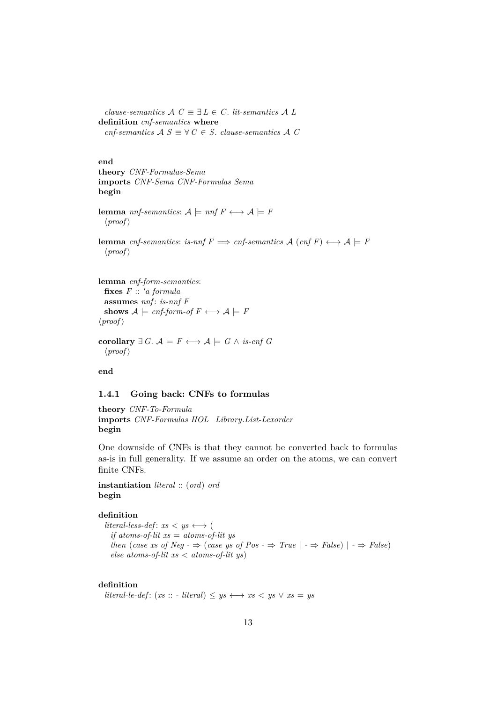*clause-semantics*  $\mathcal{A}$   $C \equiv \exists L \in C$ . *lit-semantics*  $\mathcal{A}$   $L$ **definition** *cnf-semantics* **where**  $\mathit{cnf-semantics}$   $\mathcal{A}$   $S \equiv \forall C \in S$ . *clause-semantics*  $\mathcal{A}$   $C$ 

**end**

```
theory CNF-Formulas-Sema
imports CNF-Sema CNF-Formulas Sema
begin
```
**lemma** *nnf-semantics*:  $A \models nnf \ F \longleftrightarrow A \models F$  $\langle proof \rangle$ 

**lemma** *cnf-semantics*: *is-nnf*  $F \implies$  *cnf-semantics*  $A$  (*cnf*  $F$ )  $\longleftrightarrow$   $A \models F$  $\langle proof \rangle$ 

```
lemma cnf-form-semantics:
  fixes F :: 'a formula
  assumes nnf : is-nnf F
  shows A \models \mathit{cnf-form-of} F \longleftrightarrow A \models F\langle proof \rangle
```

```
corollary ∃ G. \mathcal{A} \models F \longleftrightarrow \mathcal{A} \models G \land \text{is-cnf } G\langle proof \rangle
```
**end**

## <span id="page-12-0"></span>**1.4.1 Going back: CNFs to formulas**

**theory** *CNF-To-Formula* **imports** *CNF-Formulas HOL*−*Library*.*List-Lexorder* **begin**

One downside of CNFs is that they cannot be converted back to formulas as-is in full generality. If we assume an order on the atoms, we can convert finite CNFs.

**instantiation** *literal* :: (*ord*) *ord* **begin**

## **definition**

 $literal-less-def: xs < ys \leftrightarrow ($ *if atoms-of-lit xs* = *atoms-of-lit ys then* (*case xs of Neg -*  $\Rightarrow$  (*case ys of Pos -*  $\Rightarrow$  *True*  $| \cdot \Rightarrow$  *False*)  $| \cdot \Rightarrow$  *False*) *else atoms-of-lit xs* < *atoms-of-lit ys*)

## **definition**

*literal-le-def* :  $(xs :: - literal) \leq ys \leftrightarrow xs < ys \vee xs = ys$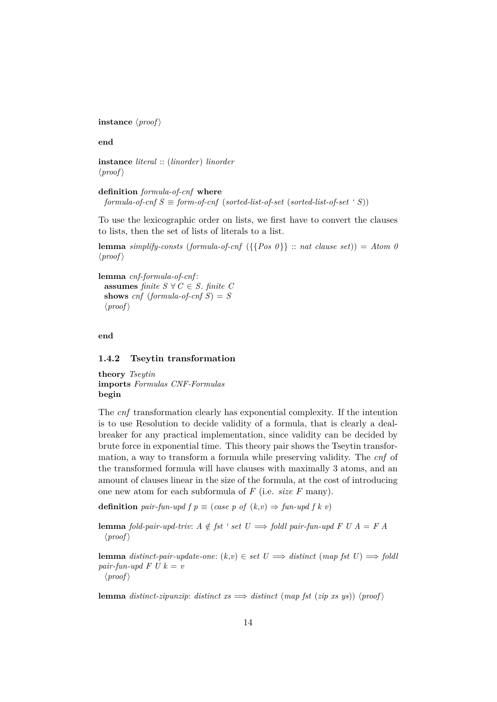**instance**  $\langle proof \rangle$ 

**end**

**instance** *literal* :: (*linorder*) *linorder*  $\langle proof \rangle$ 

**definition** *formula-of-cnf* **where**  $formula-of-cnf S \equiv form-of-cnf (sorted-list-of-set (sorted-list-of-set ' S))$ 

To use the lexicographic order on lists, we first have to convert the clauses to lists, then the set of lists of literals to a list.

**lemma** *simplify-consts* (*formula-of-cnf* ({ ${Pos \theta}$ } :: *nat clause set*)) = *Atom 0*  $\langle proof \rangle$ 

**lemma** *cnf-formula-of-cnf* : **assumes** *finite*  $S \forall C \in S$ *. finite*  $C$ **shows**  $cnf$  (*formula-of-cnf S*) = *S*  $\langle proof \rangle$ 

**end**

#### <span id="page-13-0"></span>**1.4.2 Tseytin transformation**

**theory** *Tseytin* **imports** *Formulas CNF-Formulas* **begin**

The *cnf* transformation clearly has exponential complexity. If the intention is to use Resolution to decide validity of a formula, that is clearly a dealbreaker for any practical implementation, since validity can be decided by brute force in exponential time. This theory pair shows the Tseytin transformation, a way to transform a formula while preserving validity. The *cnf* of the transformed formula will have clauses with maximally 3 atoms, and an amount of clauses linear in the size of the formula, at the cost of introducing one new atom for each subformula of *F* (i.e. *size F* many).

**definition** *pair-fun-upd f*  $p \equiv (case \, p \, of \, (k, v) \Rightarrow fun-upd \, f \, k \, v)$ 

**lemma** *fold-pair-upd-triv:*  $A \notin \textit{fst} ' set U \implies \textit{foldl pair-fun-upd} F U A = F A$  $\langle proof \rangle$ 

**lemma** *distinct-pair-update-one:*  $(k, v) \in set \ U \implies distinct \ (map \ fat \ U) \implies fold$ *pair-fun-upd F U k = v*  $\langle proof \rangle$ 

**lemma** *distinct-zipunzip*: *distinct*  $xs \implies distinct \ (map \ fst \ (zip \ xs \ ys)) \ (proof)$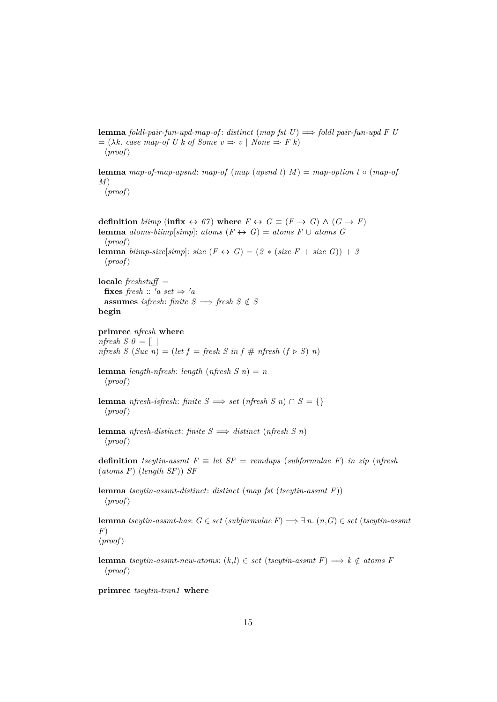**lemma** *foldl-pair-fun-upd-map-of* : *distinct* (*map fst U*) =⇒ *foldl pair-fun-upd F U*  $= (\lambda k. \csc map\text{-}of U k \text{ of } Some v \Rightarrow v \mid None \Rightarrow F k)$  $\langle proof \rangle$ 

**lemma** *map-of-map-apsnd*: *map-of* (*map* (*apsnd t*)  $M$ ) = *map-option t* ◦ (*map-of M*)

 $\langle proof \rangle$ 

**definition** biimp (infix  $\leftrightarrow$  67) where  $F \leftrightarrow G \equiv (F \rightarrow G) \land (G \rightarrow F)$ **lemma** *atoms-biimp*[*simp*]: *atoms*  $(F \leftrightarrow G) =$  *atoms*  $F \cup$  *atoms*  $G$  $\langle proof \rangle$ **lemma** *biimp-size*[*simp*]: *size*  $(F \leftrightarrow G) = (2 * (size F + size G)) + 3$  $\langle proof \rangle$ 

**locale** *freshstuff* = **fixes** *fresh* ::  $'a$  *set*  $\Rightarrow 'a$ **assumes** *isfresh*: *finite*  $S \implies$  *fresh*  $S \notin S$ **begin**

**primrec** *nfresh* **where** *nfresh S 0* =  $\left[ \right]$ 

*nfresh*  $S(Suc\ n) = (let\ f = fresh\ S\ in\ f \# \ n{\text{} fresh}\ (f \triangleright S)\ n)$ 

**lemma** *length-nfresh*: *length* (*nfresh*  $S$  *n*) = *n*  $\langle proof \rangle$ 

**lemma** *nfresh-isfresh*: *finite*  $S \implies$  *set* (*nfresh*  $S$ *n*)  $\cap$   $S = \{\}$  $\langle proof \rangle$ 

**lemma** *nfresh-distinct*: *finite*  $S \implies$  *distinct* (*nfresh*  $S$ *n*)  $\langle proof \rangle$ 

**definition** *tseytin-assmt*  $F \equiv let SF = remdups$  (*subformulae F*) *in zip* (*nfresh* (*atoms F*) (*length SF*)) *SF*

**lemma** *tseytin-assmt-distinct*: *distinct* (*map fst* (*tseytin-assmt F*))  $\langle proof \rangle$ 

**lemma** *tseytin-assmt-has*: *G* ∈ *set* (*subformulae F*) =⇒ ∃ *n*. (*n*,*G*) ∈ *set* (*tseytin-assmt F*)  $\langle proof \rangle$ 

**lemma** *tseytin-assmt-new-atoms*:  $(k,l)$  ∈ *set* (*tseytin-assmt F*)  $\implies$  *k* ∉ *atoms F*  $\langle proof \rangle$ 

**primrec** *tseytin-tran1* **where**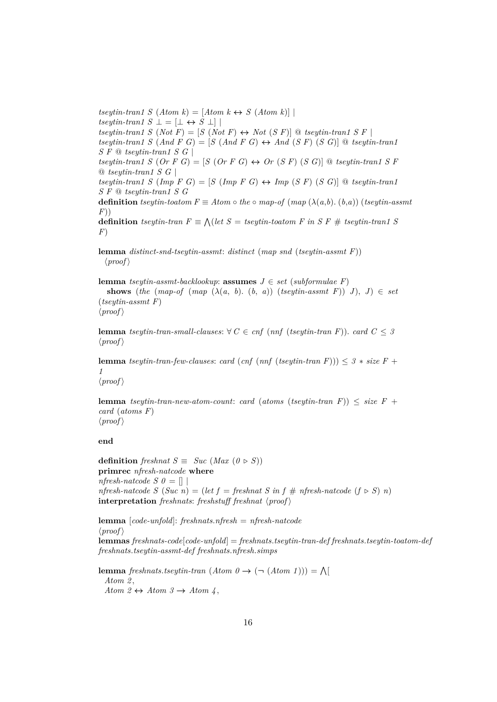$tseytin-tran1 S (Atom k) = [Atom k \leftrightarrow S (Atom k)]$  $tseytin-tran1 S \perp = [\perp \leftrightarrow S \perp]$  $t$ *seytin-tran1 S* (*Not F*) = [*S* (*Not F*)  $\leftrightarrow$  *Not* (*S F*)] @ *tseytin-tran1 S F* |  $t$ *seytin-tran1*  $S$  (And  $F$   $G$ ) =  $[S$  (And  $F$   $G$ )  $\leftrightarrow$  And  $(S F)$  ( $S$   $G$ ))  $\textcircled{a}$  *tseytin-tran1 S F* @ *tseytin-tran1 S G* | *tseytin-tran1 S* (*Or*  $F G$ ) =  $S$  (*Or*  $F G$ )  $\leftrightarrow$  *Or* (*S*  $F$ ) (*S G*)) @ *tseytin-tran1 S*  $F$ @ *tseytin-tran1 S G* |  $t$ *seytin-tran1 S* ( $Imp \nvert F \nvert G$ ) =  $[S \nvert (Imp \nvert F \nvert G) \leftrightarrow Imp \nvert (S \nvert F) \nvert (S \nvert G)$   $\vert G \nvert (S \nvert F)$ *S F* @ *tseytin-tran1 S G* **definition**  $t$ seytin-toatom  $F \equiv Atom \circ the \circ map-of \ (map \ (\lambda(a,b), (b,a)) \ (tseytin-assmt)$ *F*)) **definition** *tseytin-tran*  $F \equiv \bigwedge (let \ S = tseytin-toatom \ F \ in \ S \ F \ # \ tseytin-tran1 \ S$ *F*)

**lemma** *distinct-snd-tseytin-assmt*: *distinct* (*map snd* (*tseytin-assmt F*))  $\langle proof \rangle$ 

**lemma** *tseytin-assmt-backlookup*: **assumes**  $J \in set$  (*subformulae F*) **shows** (*the* (*map-of* (*map* ( $\lambda(a, b)$ ), (*b*, *a*)) (*tseytin-assmt F*)) *J*), *J*)  $\in$  *set* (*tseytin-assmt F*)  $\langle proof \rangle$ 

**lemma** *tseytin-tran-small-clauses:*  $\forall C \in \text{cnf}$  (*nnf* (*tseytin-tran F*)). *card*  $C \leq 3$  $\langle proof \rangle$ 

**lemma** *tseytin-tran-few-clauses: <i>card* (*cnf* (*nnf* (*tseytin-tran F*))) <  $3 * size F +$ *1*

 $\langle proof \rangle$ 

**lemma** *tseytin-tran-new-atom-count: card* (*atoms* (*tseytin-tran F*))  $\leq$  *size F* + *card* (*atoms F*)  $\langle proof \rangle$ 

**end**

**definition** *freshnat*  $S \equiv Suc \ (Max \ (0 \triangleright S))$ **primrec** *nfresh-natcode* **where** *nfresh-natcode S 0* =  $\Box$ *nfresh-natcode*  $S(Suc n) = (let f = freshnat S in f # nfresh-natcode (f \triangleright S) n)$ **interpretation** *freshnats*: *freshstuff freshnat*  $\langle proof \rangle$ 

**lemma** [*code-unfold*]: *freshnats*.*nfresh* = *nfresh-natcode*  $\langle proof \rangle$ **lemmas** *freshnats-code*[*code-unfold*] = *freshnats*.*tseytin-tran-def freshnats*.*tseytin-toatom-def freshnats*.*tseytin-assmt-def freshnats*.*nfresh*.*simps*

**lemma** *freshnats*.*tseytin-tran*  $(Atom \theta \rightarrow (\neg (Atom 1))) = \bigwedge$ *Atom 2* , *Atom 2*  $\leftrightarrow$  *Atom 3*  $\rightarrow$  *Atom 4*,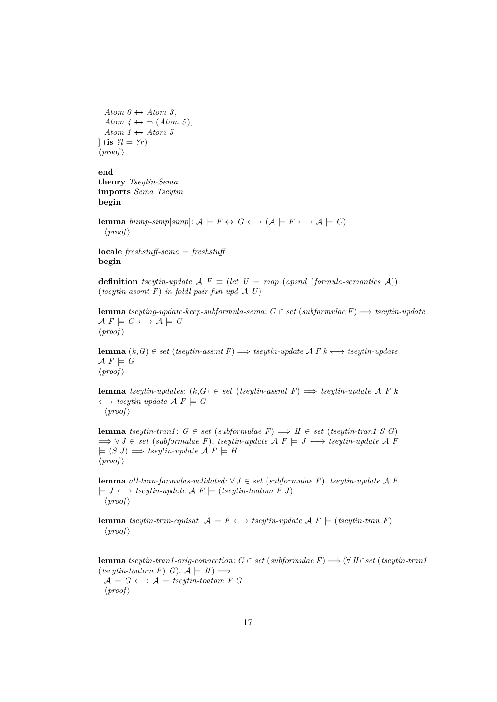*Atom 0*  $\leftrightarrow$  *Atom 3*, *Atom*  $4 \leftrightarrow \neg$  (*Atom 5*), *Atom 1*  $\leftrightarrow$  *Atom 5*  $\int$  (**is**  $\mathcal{L}l = \mathcal{L}r$ )  $\langle proof \rangle$ 

## **end**

**theory** *Tseytin-Sema* **imports** *Sema Tseytin* **begin**

**lemma** *biimp-simp*[*simp*]:  $A \models F \leftrightarrow G \leftrightarrow (A \models F \leftrightarrow A \models G)$  $\langle proof \rangle$ 

**locale** *freshstuff-sema* = *freshstuff* **begin**

**definition** *tseytin-update*  $A$   $F \equiv (let U = map (apsnd (formula-semantics A))$ (*tseytin-assmt F*) *in foldl pair-fun-upd* A *U*)

**lemma** *tseyting-update-keep-subformula-sema*: *G* ∈ *set* (*subformulae F*) =⇒ *tseytin-update*  $\mathcal{A} F \models G \longleftrightarrow \mathcal{A} \models G$  $\langle proof \rangle$ 

**lemma**  $(k, G) \in set$  (*tseytin-assmt F*)  $\implies$  *tseytin-update A F k* ← *tseytin-update*  $\mathcal{A} F \models G$  $\langle proof \rangle$ 

**lemma** *tseytin-updates*:  $(k, G) \in set$  (*tseytin-assmt F*)  $\implies$  *tseytin-update* A *F* k  $\longleftrightarrow$  *tseytin-update*  $\mathcal{A} F \models G$  $\langle proof \rangle$ 

**lemma** *tseytin-tran1*: *G* ∈ *set* (*subformulae F*)  $\implies$  *H* ∈ *set* (*tseytin-tran1 S G*)  $\implies \forall J \in set$  (*subformulae F*). *tseytin-update*  $\mathcal{A} \in \mathcal{A}$   $\vdash$   $J \leftrightarrow t$ *seytin-update*  $\mathcal{A} \in \mathcal{A}$  $\models$   $(S \, J) \Longrightarrow$  *tseytin-update*  $\mathcal{A} \, F \models H$  $\langle proof \rangle$ 

**lemma** *all-tran-formulas-validated*: ∀ *J* ∈ *set* (*subformulae F*). *tseytin-update* A *F*  $\models J \longleftrightarrow \text{t}sey\text{t}in\text{-}update \mathcal{A} F \models (\text{t}sey\text{t}in\text{-}toatom \ F \ J)$  $\langle proof \rangle$ 

**lemma** *tseytin-tran-equisat*:  $A \models F \longleftrightarrow tseytin\text{-}update A F \models (tseytin\text{-}tran F)$  $\langle proof \rangle$ 

**lemma** *tseytin-tran1-orig-connection*:  $G \in set$  (*subformulae F*)  $\Longrightarrow$  ( $\forall$  *H*∈*set* (*tseytin-tran1*)  $(tseutin-toatom F)$  *G*).  $A \models H$   $\Longrightarrow$  $A \models G \longleftrightarrow A \models \mathit{tseutin}\textit{-toatom} \; F \; G$  $\langle proof \rangle$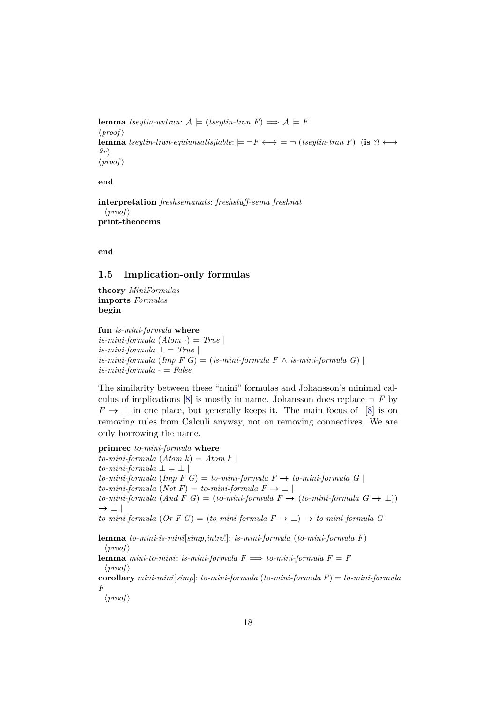**lemma** *tseytin-untran*:  $A$   $\models$  (*tseytin-tran F*)  $\Longrightarrow$   $A$   $\models$  *F*  $\langle proof \rangle$ **lemma** *tseytin-tran-equiunsatisfiable*:  $\models \neg F \longleftrightarrow \models \neg (tseytin-tran F)$  (**is**  $?l \longleftrightarrow$ *?r*)  $\langle proof \rangle$ 

#### **end**

**interpretation** *freshsemanats*: *freshstuff-sema freshnat*  $\langle proof \rangle$ **print-theorems**

**end**

## <span id="page-17-0"></span>**1.5 Implication-only formulas**

**theory** *MiniFormulas* **imports** *Formulas* **begin**

**fun** *is-mini-formula* **where**  $is-mini-formula$  (*Atom -*) = *True* |  $is-mini-formula \perp = True \perp$  $is-mini-formula$  ( $Imp \ F \ G$ ) = ( $is-mini-formula \ F \land is-mini-formula \ G$ ) | *is-mini-formula -* = *False*

The similarity between these "mini" formulas and Johansson's minimal cal-culus of implications [\[8\]](#page-57-2) is mostly in name. Johansson does replace  $\neg$  *F* by  $F \to \perp$  in one place, but generally keeps it. The main focus of [\[8\]](#page-57-2) is on removing rules from Calculi anyway, not on removing connectives. We are only borrowing the name.

**primrec** *to-mini-formula* **where**  $to-mini-formula (Atom k) = Atom k$  $to-mini-formula \perp = \perp$ *to-mini-formula* (*Imp F G*) = *to-mini-formula F*  $\rightarrow$  *to-mini-formula G*  $to-mini-formula (Not F) = to-mini-formula F \rightarrow \perp$  $to-mini-formula$   $(And \ F \ G) = (to-mini-formula \ F \rightarrow (to-mini-formula \ G \rightarrow \bot))$  $\rightarrow$  |  $\vert$  $to-mini-formula$  (*Or*  $F G$ ) = ( $to-mini-formula$   $F \rightarrow \bot$ )  $\rightarrow$   $to-mini-formula$   $G$ 

**lemma** *to-mini-is-mini*[*simp*,*intro*!]: *is-mini-formula* (*to-mini-formula F*)  $\langle proof \rangle$ 

**lemma** *mini-to-mini*: *is-mini-formula*  $F \implies$  *to-mini-formula*  $F = F$  $\langle proof \rangle$ 

**corollary** *mini-mini*[*simp*]: *to-mini-formula* (*to-mini-formula F*) = *to-mini-formula F*

 $\langle proof \rangle$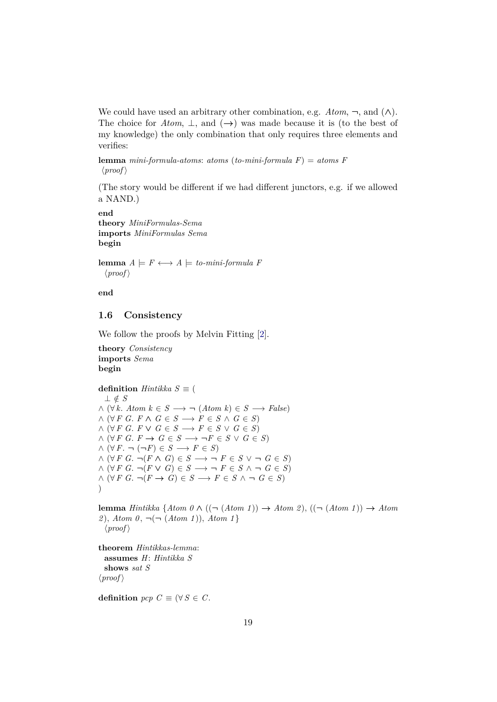We could have used an arbitrary other combination, e.g.  $Atom, \neg$ , and  $(\wedge)$ . The choice for *Atom*,  $\perp$ , and  $(\rightarrow)$  was made because it is (to the best of my knowledge) the only combination that only requires three elements and verifies:

**lemma** *mini-formula-atoms*: *atoms* (*to-mini-formula F*) = *atoms F*  $\langle proof \rangle$ 

(The story would be different if we had different junctors, e.g. if we allowed a NAND.)

**end theory** *MiniFormulas-Sema* **imports** *MiniFormulas Sema* **begin**

**lemma**  $A \models F \leftrightarrow \rightarrow A \models \text{to-mini-formula } F$  $\langle proof \rangle$ 

**end**

## <span id="page-18-0"></span>**1.6 Consistency**

We follow the proofs by Melvin Fitting [\[2\]](#page-57-3).

```
theory Consistency
imports Sema
begin
```

```
definition Hintikka S \equiv (⊥ ∈/ S
\land (\forall k. Atom k \in S \longrightarrow \neg (Atom k) \in S \longrightarrow False)
\land (∀ F G. F \land G ∈ S \longrightarrow F ∈ S \land G ∈ S)
\land (∀ F G. F \lor G \in S \longrightarrow F \in S \lor G \in S)
\land (∀ F G. F → G ∈ S → \neg F ∈ S ∨ G ∈ S)
\wedge (\forall F. \neg (\neg F) \in S \longrightarrow F \in S)\land (∀ F G. \neg(F \land G) ∈ S \longrightarrow \neg F ∈ S \lor \neg G ∈ S)
\land (∀ F G. ¬(F ∨ G) ∈ S → ¬ F ∈ S \land ¬ G ∈ S)
\wedge (\forall F \ G. \ \neg (F \rightarrow G) \in S \longrightarrow F \in S \ \wedge \ \neg G \in S)\lambda
```
**lemma** *Hintikka*  $\{Atom\ 0 \land ((\neg (Atom\ 1)) \rightarrow Atom\ 2), ((\neg (Atom\ 1)) \rightarrow Atom\ 2)$ *2* ), *Atom 0* , ¬(¬ (*Atom 1* )), *Atom 1* }  $\langle proof \rangle$ 

**theorem** *Hintikkas-lemma*: **assumes** *H*: *Hintikka S* **shows** *sat S*  $\langle proof \rangle$ 

**definition**  $pcp \text{ } C \equiv (\forall S \in C$ .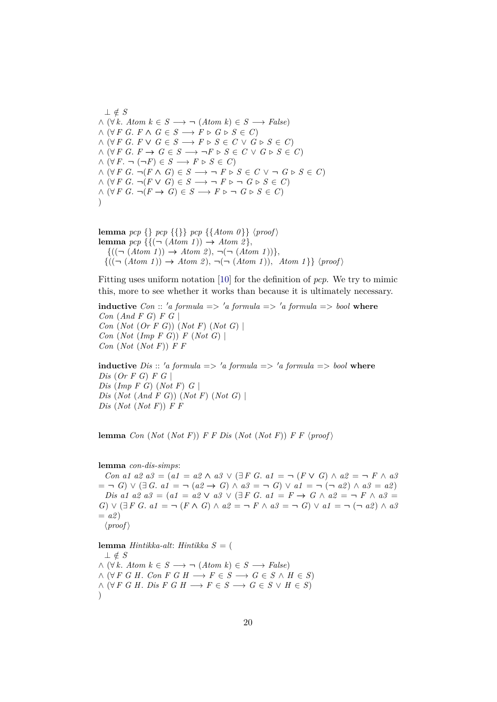⊥ ∈/ *S*  $\land$  (∀ *k*. *Atom*  $k \in S \longrightarrow \neg$  (*Atom k*)  $\in S \longrightarrow False$ )  $\land$  (∀ *F G*. *F*  $\land$  *G*  $\in$  *S*  $\longrightarrow$  *F*  $\triangleright$  *G*  $\triangleright$  *S*  $\in$  *C*)  $\land$  (∀ *F G*. *F*  $\lor$  *G*  $\in$  *S*  $\longrightarrow$  *F*  $\triangleright$  *S*  $\in$  *C*  $\lor$  *G*  $\triangleright$  *S*  $\in$  *C*)  $\land$  (∀ *F G*. *F* → *G* ∈ *S* →  $\neg$  *F* ⊳ *S* ∈ *C* ∨ *G* ⊳ *S* ∈ *C*)  $\wedge (\forall F. \neg (\neg F) \in S \longrightarrow F \triangleright S \in C)$  $\wedge (\forall F \ G. \ \neg (F \land G) \in S \longrightarrow \neg F \triangleright S \in C \lor \neg G \triangleright S \in C)$  $\wedge (\forall F \ G. \ \neg (F \lor G) \in S \longrightarrow \neg F \triangleright \neg G \triangleright S \in C)$  $\wedge (\forall F \ G. \ \neg (F \rightarrow G) \in S \longrightarrow F \triangleright \neg G \triangleright S \in C)$  $\lambda$ 

**lemma** *pcp*  $\{\}$  *pcp*  $\{\{\text{Atom } 0\}\}$  (*proof*) **lemma**  $pcp \{ {\{ (\neg (Atom 1)) \rightarrow Atom 2 \}} ,$  $\{((\neg (Atom\ 1)) \rightarrow Atom\ 2), \neg(\neg (Atom\ 1))\},\$  ${((\neg (Atom 1)) \rightarrow Atom 2), \neg(\neg (Atom 1)), Atom 1}$  \proof \peg{\math}}

Fitting uses uniform notation [\[10\]](#page-58-0) for the definition of *pcp*. We try to mimic this, more to see whether it works than because it is ultimately necessary.

**inductive**  $Con :: 'a formula \implies 'a formula \implies 'a formula \implies 'a formula \implies bool$  where *Con* (*And F G*) *F G* | *Con* (*Not* (*Or F G*)) (*Not F*) (*Not G*) | *Con* (*Not* (*Imp F G*)) *F* (*Not G*) | *Con* (*Not* (*Not F*)) *F F*

**inductive** *Dis* :: 'a formula => 'a formula => 'a formula => bool where *Dis* (*Or F G*) *F G* | *Dis* (*Imp F G*) (*Not F*) *G* | *Dis* (*Not* (*And F G*)) (*Not F*) (*Not G*) | *Dis* (*Not* (*Not F*)) *F F*

**lemma** *Con* (*Not* (*Not F*)) *F F Dis* (*Not* (*Not F*)) *F F*  $\langle proof \rangle$ 

#### **lemma** *con-dis-simps*:

*Con a1 a2 a3* = ( $a1 = a2 \land a3 \lor (\exists F \ G. \ a1 = \neg (F \lor G) \land a2 = \neg F \land a3$  $=$  ¬ *G*) ∨ (∃ *G*. *a1* = ¬ (*a2* → *G*) ∧ *a3* = ¬ *G*) ∨ *a1* = ¬ (¬ *a2*) ∧ *a3* = *a2*) *Dis a1 a2 a3* = ( $a1 = a2 \vee a3 \vee ( \exists F \ G. \ a1 = F \rightarrow G \land a2 = \neg F \land a3 =$ *G*) ∨  $(\exists F \ G. \ a1 = \neg (F \land G) \land a2 = \neg F \land a3 = \neg G) \lor a1 = \neg (\neg a2) \land a3$  $= a2$  $\langle proof \rangle$ **lemma** *Hintikka-alt*: *Hintikka S* = ( ⊥ ∈/ *S*  $\land$  ( $\forall k$ . *Atom*  $k \in S \longrightarrow \neg$  (*Atom*  $k$ )  $\in S \longrightarrow False$ )  $\land$  (∀ *F G H*. *Con F G H*  $\longrightarrow$  *F*  $\in$  *S*  $\longrightarrow$  *G*  $\in$  *S*  $\land$  *H*  $\in$  *S*)

 $\land$  (∀ *F G H*. *Dis F G H*  $\longrightarrow$  *F*  $\in$  *S*  $\longrightarrow$  *G*  $\in$  *S*  $\lor$  *H*  $\in$  *S*)  $\lambda$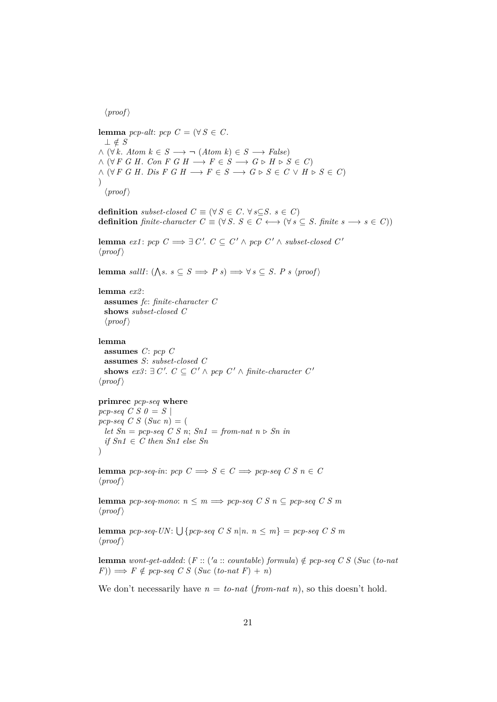$\langle proof \rangle$ 

**lemma** *pcp-alt*: *pcp*  $C = (\forall S \in C$ . ⊥ ∈/ *S*  $\wedge (\forall k. \text{Atom } k \in S \longrightarrow \neg (Atom k) \in S \longrightarrow False)$  $\wedge (\forall F \ G \ H. \ Con \ F \ G \ H \longrightarrow F \in S \longrightarrow G \triangleright H \triangleright S \in C$  $\wedge$   $(\forall F \ G \ H. \ \text{Dis } F \ G \ H \longrightarrow F \in S \longrightarrow G \triangleright S \in C \vee H \triangleright S \in C)$  $\lambda$  $\langle proof \rangle$ 

**definition** *subset-closed*  $C \equiv (\forall S \in C, \forall s \subseteq S, s \in C)$ **definition** *finite-character*  $C \equiv (\forall S. S \in C \longleftrightarrow (\forall s \subseteq S. \text{ finite } s \longrightarrow s \in C))$ 

**lemma**  $ex1: pop \ C \Longrightarrow \exists \ C'. \ C \subseteq C' \land pop \ C' \land subset-closed \ C'$  $\langle proof \rangle$ 

**lemma** *sallI*:  $(\bigwedge s. s \subseteq S \implies P s) \implies \forall s \subseteq S. P s \langle \text{proof} \rangle$ 

#### **lemma** *ex2* :

**assumes** *fc*: *finite-character C* **shows** *subset-closed C*  $\langle proof \rangle$ 

## **lemma**

**assumes** *C*: *pcp C* **assumes** *S*: *subset-closed C* **shows**  $ex3: \exists C'. C ⊆ C' \land pcp C' \land finite-character C'$  $\langle proof \rangle$ 

## **primrec** *pcp-seq* **where**

*pcp-seq C S 0* =  $S$  |  $pcp-seq \ C \ S \ (Suc \ n) = ($ *let*  $Sn = pcp$ -seq  $CS$   $n$ ;  $Sn1 = from-nat$   $n \triangleright Sn$  in *if Sn1* ∈ *C then Sn1 else Sn* )

**lemma** *pcp-seq-in*: *pcp*  $C \implies S \in C \implies pcp\text{-}seq \ C \ S \ n \in C$  $\langle proof \rangle$ 

**lemma** *pcp-seq-mono*:  $n \leq m \implies pcp\text{-}seq \ C \ S \ n \subseteq pcp\text{-}seq \ C \ S \ m$  $\langle proof \rangle$ 

**lemma**  $pcp\text{-}seq\text{-}UN: \bigcup \{pcp\text{-}seq\ C\ S\ n|n.\ n \leq m\} = pcp\text{-}seq\ C\ S\ m$  $\langle proof \rangle$ 

**lemma** *wont-get-added*: (*F* :: ('*a* :: *countable*) *formula*)  $\notin$  *pcp-seq C S* (*Suc* (*to-nat*  $(F)$ )  $\implies$  *F*  $\notin$  *pcp-seq C S* (*Suc* (*to-nat F*) + *n*)

We don't necessarily have  $n =$  *to-nat* (*from-nat n*), so this doesn't hold.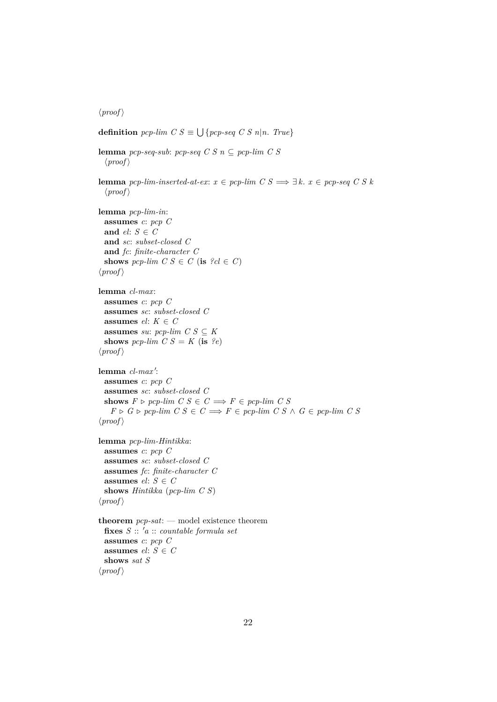$\langle proof \rangle$ 

```
definition pcp-lim C S \equiv \bigcup \{pcp-seq C S n | n. True}
lemma pcp-seq-sub: pcp-seq C S n ⊆ pcp-lim C S
  \langle proof \ranglelemma pcp-lim-inserted-at-ex: x \in pcp-lim C S \implies \exists k. \ x \in pcp\text{-}seq \ C \ S \ k\langle proof \ranglelemma pcp-lim-in:
 assumes c: pcp C
 and el: S \in Cand sc: subset-closed C
 and fc: finite-character C
 shows pcp-lim C S \in C (is ?cl \in C)
\langle proof \ranglelemma cl-max:
 assumes c: pcp C
 assumes sc: subset-closed C
 assumes el: K \in Cassumes su: pcp-lim C S \subseteq Kshows pcp-lim C S = K (is ?e)
\langle proof \ranglelemma cl-max':
 assumes c: pcp C
 assumes sc: subset-closed C
 shows F \triangleright pcp-lim C S \in C \Longrightarrow F \in pcp-lim C SF \triangleright G \triangleright pcp-lim C S \in C \Longrightarrow F \in pcp-lim C S \wedge G \in pcp-lim C S\langle proof \ranglelemma pcp-lim-Hintikka:
 assumes c: pcp C
 assumes sc: subset-closed C
 assumes fc: finite-character C
 assumes el: S \in Cshows Hintikka (pcp-lim C S)
\langle proof \rangletheorem pcp-sat: — model existence theorem
 fixes S :: 0a :: countable formula set
 assumes c: pcp C
 assumes el: S \in Cshows sat S
\langle proof \rangle
```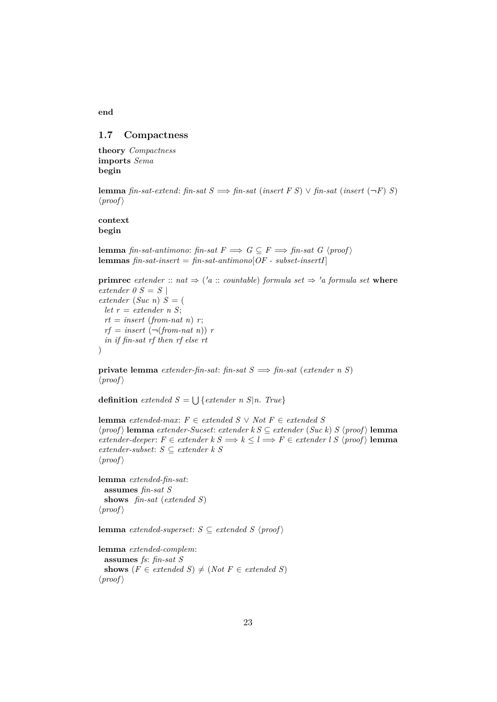#### <span id="page-22-0"></span>**1.7 Compactness**

**theory** *Compactness* **imports** *Sema* **begin**

**lemma** *fin-sat-extend: fin-sat*  $S \implies$  *fin-sat* (*insert*  $F S$ )  $\vee$  *fin-sat* (*insert* ( $\neg F$ ) *S*)  $\langle proof \rangle$ 

**context begin**

**lemma** *fin-sat-antimono: fin-sat*  $F \implies G \subseteq F \implies$  *fin-sat G* \*proof* \\ \end{proof \end{proof}\$ **lemmas** *fin-sat-insert* = *fin-sat-antimono*[*OF - subset-insertI*]

**primrec** *extender* :: *nat*  $\Rightarrow$  ('a :: *countable*) *formula set*  $\Rightarrow$  'a *formula set* **where** *extender 0 S* =  $S$  | *extender* (*Suc n*) *S* = ( *let r* = *extender n S*;  $rt = insert (from-nat n) r;$  $rf = insert (\neg (from-nat n)) r$ *in if fin-sat rf then rf else rt*  $\lambda$ 

**private lemma** *extender-fin-sat*: *fin-sat*  $S \implies$  *fin-sat* (*extender n S*)  $\langle proof \rangle$ 

**definition** *extended*  $S = \bigcup \{ \text{extended } n \mid S | n. \text{ True} \}$ 

**lemma** *extended-max*: *F* ∈ *extended S* ∨ *Not F* ∈ *extended S*  $\langle proof \rangle$  **lemma** *extender-Sucset: extender k S*  $\subseteq$  *<i>extender* (*Suc k*) *S*  $\langle proof \rangle$  **lemma**  $\text{extender-deeper: } F \in \text{extender } k \leq k \leq l \Longrightarrow F \in \text{extender } l \leq (proof) \text{ lemma}$ *extender-subset*: *S* ⊆ *extender k S*  $\langle proof \rangle$ 

**lemma** *extended-fin-sat*: **assumes** *fin-sat S* **shows** *fin-sat* (*extended S*)  $\langle proof \rangle$ 

**lemma** *extended-superset*:  $S \subseteq$  *extended*  $S \langle proof \rangle$ 

```
lemma extended-complem:
  assumes fs: fin-sat S
  shows (F \in \text{extended } S) \neq (Not \ F \in \text{extended } S)\langle proof \rangle
```
**end**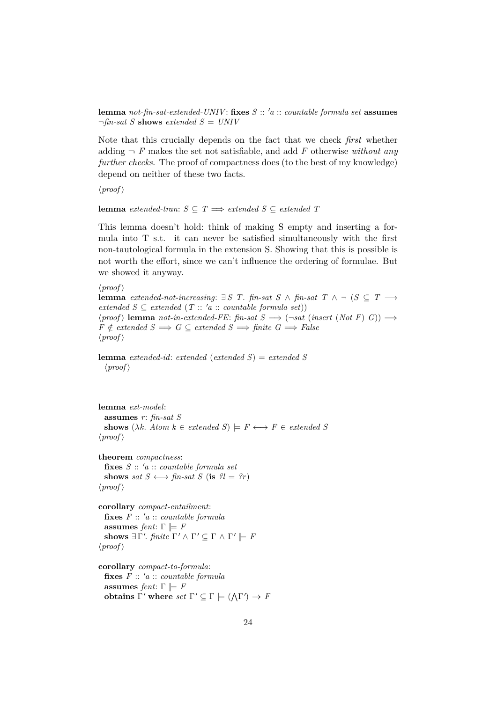**lemma** *not-fin-sat-extended-UNIV*: fixes  $S :: 'a :: countable formula set$  **assumes**  $\neg$ *fin-sat S* **shows** *extended S* = *UNIV* 

Note that this crucially depends on the fact that we check *first* whether adding  $\neg$  *F* makes the set not satisfiable, and add *F* otherwise *without any further checks*. The proof of compactness does (to the best of my knowledge) depend on neither of these two facts.

 $\langle proof \rangle$ 

## **lemma** *extended-tran*:  $S \subseteq T \implies$  *extended*  $S \subseteq$  *extended*  $T$

This lemma doesn't hold: think of making S empty and inserting a formula into T s.t. it can never be satisfied simultaneously with the first non-tautological formula in the extension S. Showing that this is possible is not worth the effort, since we can't influence the ordering of formulae. But we showed it anyway.

```
\langle proof \rangle
```

```
lemma extended-not-increasing: ∃ S T. fin-sat S ∧ fin-sat T ∧ ¬ (S ⊂ T →
extended S \subseteq \text{extended}(T:: 'a :: \text{countable formula set}))\langle proof \rangle lemma not-in-extended-FE: fin-sat S \implies (\neg sat \ (insert \ (Not \ F) \ G)) \impliesF \notin \mathit{extended} \ S \Longrightarrow G \subseteq \mathit{extended} \ S \Longrightarrow \mathit{finite} \ G \Longrightarrow \mathit{False}\langle proof \rangle
```
**lemma** *extended-id*: *extended* (*extended S*) = *extended S*  $\langle proof \rangle$ 

**lemma** *ext-model*: **assumes** *r*: *fin-sat S* **shows**  $(\lambda k. Atom \, k \in \mathit{extended} \, S) \models F \longleftrightarrow F \in \mathit{extended} \, S$  $\langle proof \rangle$ 

**theorem** *compactness*: **fixes** *S* :: <sup>0</sup>*a* :: *countable formula set* **shows** *sat*  $S \leftrightarrow \text{fin-sat } S$  (**is**  $\mathcal{U} = \mathcal{U}r$ )  $\langle proof \rangle$ 

**corollary** *compact-entailment*:  $f \mathbf{k}$ **xes**  $F :: 'a :: countable formula$ **assumes** *fent*:  $\Gamma \models F$ shows  $\exists \Gamma'.$  *finite*  $\Gamma' \wedge \Gamma' \subseteq \Gamma \wedge \Gamma' \models F$  $\langle proof \rangle$ 

```
corollary compact-to-formula:
  f \mathbf{i} \mathbf{x}es F :: 'a :: countable formulaassumes fent: \Gamma \models Fobtains \Gamma' where set \Gamma' \subseteq \Gamma \models (\Lambda \Gamma') \rightarrow F
```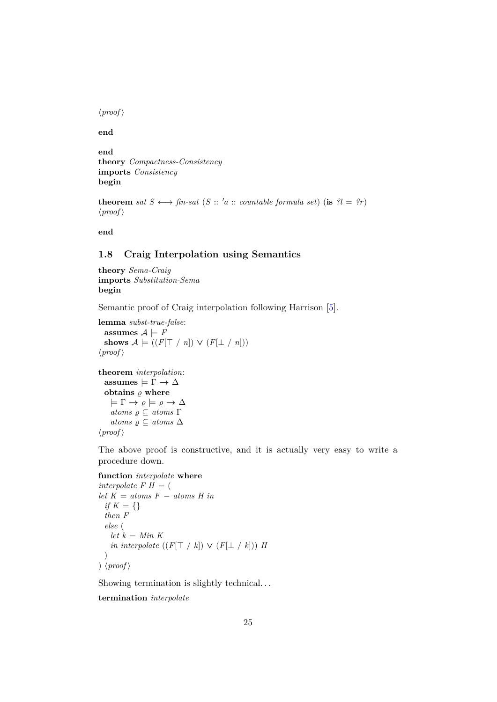$\langle proof \rangle$ 

**end**

**end theory** *Compactness-Consistency* **imports** *Consistency* **begin**

**theorem** *sat*  $S \leftrightarrow \text{fin-sat } (S :: 'a :: \text{countable formula set})$  (**is**  $\mathcal{U} = \{x\}$ )  $\langle proof \rangle$ 

**end**

## <span id="page-24-0"></span>**1.8 Craig Interpolation using Semantics**

**theory** *Sema-Craig* **imports** *Substitution-Sema* **begin**

Semantic proof of Craig interpolation following Harrison [\[5\]](#page-57-4).

**lemma** *subst-true-false*: assumes  $A \models F$ shows  $\mathcal{A} \models ((F[\top / n]) \vee (F[\bot / n]))$  $\langle proof \rangle$ 

```
theorem interpolation:
  \text{assumes} \models \Gamma \rightarrow \Deltaobtains \rho where
      \models \Gamma \rightarrow \varrho \models \varrho \rightarrow \Deltaatoms \varrho \subseteq atoms \Gammaatoms \varrho \subseteq atoms \triangle\langle proof \rangle
```
The above proof is constructive, and it is actually very easy to write a procedure down.

```
function interpolate where
```

```
interpolate F H = (
let K = atoms F - atoms Hif K = \{\}then F
 else (
   let k = Min Kin interpolate ((F[\top / k]) \vee (F[\bot / k])) H
 \lambda) \langle proof \rangle
```
Showing termination is slightly technical. . .

**termination** *interpolate*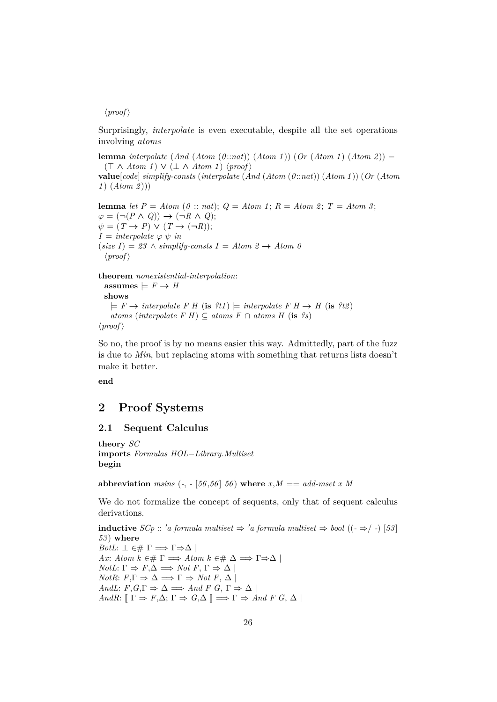## $\langle proof \rangle$

Surprisingly, *interpolate* is even executable, despite all the set operations involving *atoms*

**lemma** *interpolate* (*And* (*Atom* (*0* ::*nat*)) (*Atom 1* )) (*Or* (*Atom 1* ) (*Atom 2* )) =  $(T \wedge Atom \t1) \vee (\perp \wedge Atom \t1) \langle proof \rangle$ 

**value**[*code*] *simplify-consts* (*interpolate* (*And* (*Atom* (*0* ::*nat*)) (*Atom 1* )) (*Or* (*Atom 1* ) (*Atom 2* )))

**lemma** *let*  $P = Atom$  (*0* :: *nat*);  $Q = Atom$  *1*;  $R = Atom$  *2*;  $T = Atom$  *3*;  $\varphi = (\neg (P \land Q)) \rightarrow (\neg R \land Q);$  $\psi = (T \rightarrow P) \vee (T \rightarrow (\neg R));$  $I =$  *interpolate*  $\varphi \psi$  *in*  $(size I) = 23 \land simplify-constants I = Atom 2 \rightarrow Atom 0$  $\langle proof \rangle$ 

## **theorem** *nonexistential-interpolation*:

 $\text{assumes} \models F \rightarrow H$ **shows**  $\models$  *F*  $\rightarrow$  *interpolate F H* (**is** *?t1*)  $\models$  *interpolate F H*  $\rightarrow$  *H* (**is** *?t2*) *atoms* (*interpolate*  $F$  *H*) ⊆ *atoms*  $F$  ∩ *atoms*  $H$  (**is**  $?s$ )  $\langle proof \rangle$ 

So no, the proof is by no means easier this way. Admittedly, part of the fuzz is due to *Min*, but replacing atoms with something that returns lists doesn't make it better.

**end**

## <span id="page-25-0"></span>**2 Proof Systems**

## <span id="page-25-1"></span>**2.1 Sequent Calculus**

**theory** *SC* **imports** *Formulas HOL*−*Library*.*Multiset* **begin**

**abbreviation** *msins*  $(-, -[56, 56], 56)$  **where**  $x, M == add-mset x M$ 

We do not formalize the concept of sequents, only that of sequent calculus derivations.

**inductive** *SCp* :: '*a* formula multiset  $\Rightarrow$  '*a* formula multiset  $\Rightarrow$  bool ((− $\Rightarrow$  / −) [53] *53* ) **where** *BotL*:  $\perp$  ∈#  $\Gamma \implies \Gamma \Rightarrow \Delta$  | *Ax*: *Atom k* ∈#  $\Gamma \implies$  *Atom k* ∈#  $\Delta \implies \Gamma \Rightarrow \Delta$  | *NotL*:  $\Gamma \Rightarrow F, \Delta \Rightarrow$  *Not*  $F, \Gamma \Rightarrow \Delta$ *NotR*:  $F, \Gamma \Rightarrow \Delta \implies \Gamma \Rightarrow Not F, \Delta$ *AndL*:  $F, G, \Gamma \Rightarrow \Delta \implies And F \ G, \Gamma \Rightarrow \Delta \mid$ *AndR*:  $[\Gamma \Rightarrow F, \Delta; \Gamma \Rightarrow G, \Delta] \implies \Gamma \Rightarrow And F G, \Delta$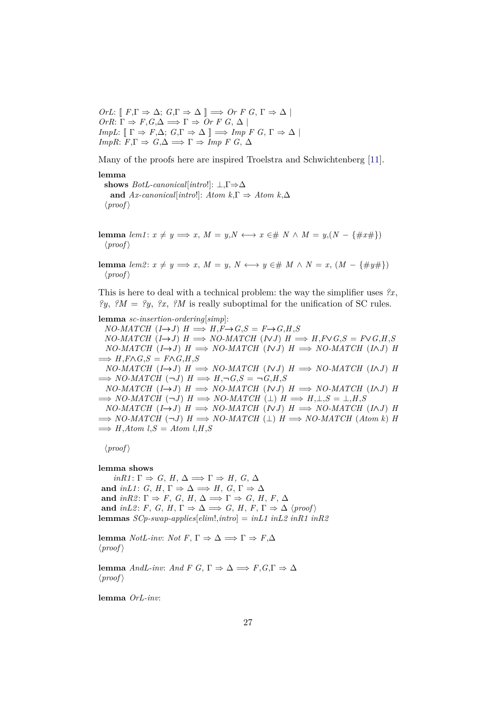$OrL: \llbracket F, \Gamma \Rightarrow \Delta; G, \Gamma \Rightarrow \Delta \rrbracket \Longrightarrow Or F G, \Gamma \Rightarrow \Delta \rrbracket$  $OrR: \Gamma \Rightarrow F, G, \Delta \Longrightarrow \Gamma \Rightarrow Or F G, \Delta$ *ImpL*:  $[\Gamma \Rightarrow F, \Delta; G, \Gamma \Rightarrow \Delta] \implies \text{Imp } F \ G, \Gamma \Rightarrow \Delta$ *ImpR*:  $F.\Gamma \Rightarrow G.\Delta \Longrightarrow \Gamma \Rightarrow \text{Imp } F \ G.\Delta$ 

Many of the proofs here are inspired Troelstra and Schwichtenberg [\[11\]](#page-58-1).

**lemma**

**shows** *BotL-canonical*[*intro*!]: ⊥,Γ⇒∆ **and**  $Ax$ -canonical[*intro*!]:  $Atom \, k, \Gamma \Rightarrow Atom \, k, \Delta$  $\langle proof \rangle$ 

**lemma**  $lem1: x \neq y \Longrightarrow x, M = y, N \longleftrightarrow x \in \mathcal{H} \times N \times M = y, (N - \{\#x\})$  $\langle proof \rangle$ 

**lemma**  $lem2: x ≠ y$   $\implies x, M = y, N \leftrightarrow y ∈ # M \land N = x, (M - \{\#y\})$  $\langle proof \rangle$ 

This is here to deal with a technical problem: the way the simplifier uses *?x*, *?y*, *?M* = *?y*, *?x*, *?M* is really suboptimal for the unification of SC rules.

**lemma** *sc-insertion-ordering*[*simp*]:  $NO-MATCH$   $(I \rightarrow J)$   $H \Longrightarrow H, F \rightarrow G, S = F \rightarrow G, H, S$  $NO-MATCH$   $(I \rightarrow J)$   $H \Longrightarrow NO-MATCH$   $(NJ)$   $H \Longrightarrow H, F \vee G, S = F \vee G, H, S$  $NO-MATCH$   $(I \rightarrow J)$   $H \implies NO-MATCH$   $(NJ)$   $H \implies NO-MATCH$   $(INJ)$   $H$  $\Longrightarrow$   $H$ *,F* $\land$ *G,S* = *F* $\land$ *G,H,S*  $NO-MATCH$   $(I \rightarrow J)$   $H \implies NO-MATCH$   $(NJ)$   $H \implies NO-MATCH$   $(NJ)$   $H$  $\implies$  *NO-MATCH*  $(\neg J)$  *H*  $\implies$  *H*, $\neg$ *G*,*S* =  $\neg$ *G*,*H*,*S*  $NO-MATCH$   $(I \rightarrow J)$   $H \implies NO-MATCH$   $(NJ)$   $H \implies NO-MATCH$   $(NJ)$   $H$  $\Rightarrow$  *NO-MATCH*  $(\neg J)$  *H*  $\Rightarrow$  *NO-MATCH*  $(L)$  *H*  $\Rightarrow$  *H*,  $\perp$ , *S* =  $\perp$ , *H*, *S*  $NO-MATCH$   $(I \rightarrow J)$   $H \implies NO-MATCH$   $(NJ)$   $H \implies NO-MATCH$   $(INJ)$   $H$  $\Rightarrow$  *NO-MATCH*  $(\neg J)$  *H*  $\Rightarrow$  *NO-MATCH*  $(L)$  *H*  $\Rightarrow$  *NO-MATCH* (*Atom k*) *H*  $\implies$  *H*,*Atom l*,*S* = *Atom l*,*H*,*S* 

 $\langle proof \rangle$ 

**lemma shows**

 $inR1: \Gamma \Rightarrow G, H, \Delta \Longrightarrow \Gamma \Rightarrow H, G, \Delta$ and *inL1*: *G*, *H*,  $\Gamma \Rightarrow \Delta \Rightarrow H$ , *G*,  $\Gamma \Rightarrow \Delta$ and *inR2*:  $\Gamma \Rightarrow F$ , *G*, *H*,  $\Delta \Rightarrow \Gamma \Rightarrow G$ , *H*, *F*,  $\Delta$ **and** *inL2*: *F*, *G*, *H*,  $\Gamma \Rightarrow \Delta \implies G$ , *H*,  $F$ ,  $\Gamma \Rightarrow \Delta$  \*proof* \ **lemmas** *SCp-swap-applies*[*elim*!,*intro*] = *inL1 inL2 inR1 inR2*

**lemma** *NotL-inv*: *Not*  $F, \Gamma \Rightarrow \Delta \Rightarrow \Gamma \Rightarrow F, \Delta$  $\langle proof \rangle$ 

**lemma** *AndL-inv*: *And*  $F G$ ,  $\Gamma \Rightarrow \Delta \Rightarrow F, G, \Gamma \Rightarrow \Delta$  $\langle proof \rangle$ 

**lemma** *OrL-inv*: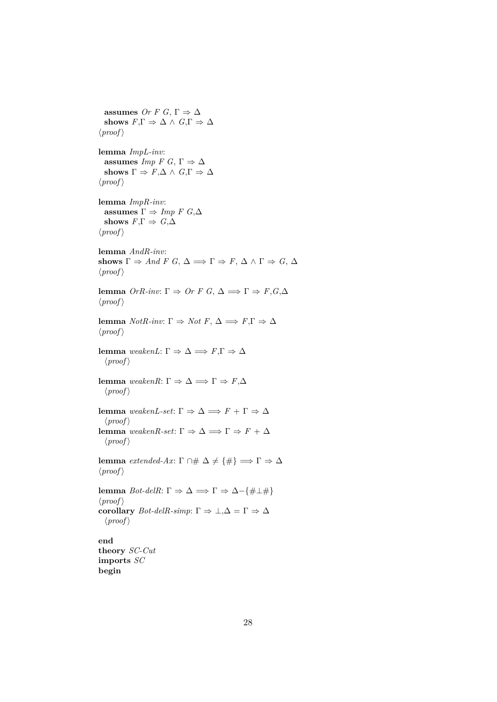**assumes** *Or F G*,  $\Gamma \Rightarrow \Delta$ shows  $F,\Gamma \Rightarrow \Delta \wedge G,\Gamma \Rightarrow \Delta$  $\langle proof \rangle$ **lemma** *ImpL-inv*: **assumes** *Imp*  $F G$ ,  $\Gamma \Rightarrow \Delta$ shows  $\Gamma \Rightarrow F, \Delta \wedge G, \Gamma \Rightarrow \Delta$  $\langle proof \rangle$ **lemma** *ImpR-inv*: **assumes**  $\Gamma \Rightarrow \text{Imp } F \text{ } G,\Delta$ **shows**  $F,\Gamma \Rightarrow G,\Delta$  $\langle proof \rangle$ **lemma** *AndR-inv*: shows  $\Gamma \Rightarrow And \ F \ G, \ \Delta \Longrightarrow \Gamma \Rightarrow F, \ \Delta \wedge \Gamma \Rightarrow G, \ \Delta$  $\langle proof \rangle$ **lemma** *OrR-inv*: Γ  $\Rightarrow$  *Or F G*, Δ  $\Rightarrow$  Γ  $\Rightarrow$  *F*,*G*,Δ  $\langle proof \rangle$ **lemma** *NotR-inv*: Γ  $\Rightarrow$  *Not F*, Δ  $\Rightarrow$  *F*,Γ  $\Rightarrow$  Δ  $\langle proof \rangle$ **lemma** *weakenL*: Γ  $\Rightarrow$  Δ  $\Rightarrow$  *F*,Γ  $\Rightarrow$  Δ  $\langle proof \rangle$ **lemma** *weakenR*: Γ  $\Rightarrow$  Δ  $\Rightarrow$  Γ  $\Rightarrow$  *F*,Δ  $\langle proof \rangle$ **lemma** *weakenL-set*: Γ  $\Rightarrow$  Δ  $\Rightarrow$  *F* + Γ  $\Rightarrow$  Δ  $\langle proof \rangle$ **lemma** *weakenR-set*: Γ  $\Rightarrow$  Δ  $\Rightarrow$  Γ  $\Rightarrow$  *F* + Δ  $\langle proof \rangle$ **lemma** *extended-Ax*:  $\Gamma \cap \# \Delta \neq {\#} \implies \Gamma \Rightarrow \Delta$  $\langle proof \rangle$ **lemma** *Bot-delR*: Γ  $\Rightarrow$  Δ  $\Rightarrow$  Γ  $\Rightarrow$  Δ -{#⊥#}  $\langle proof \rangle$ **corollary** *Bot-delR-simp*:  $\Gamma \Rightarrow \bot, \Delta = \Gamma \Rightarrow \Delta$  $\langle proof \rangle$ **end theory** *SC-Cut* **imports** *SC* **begin**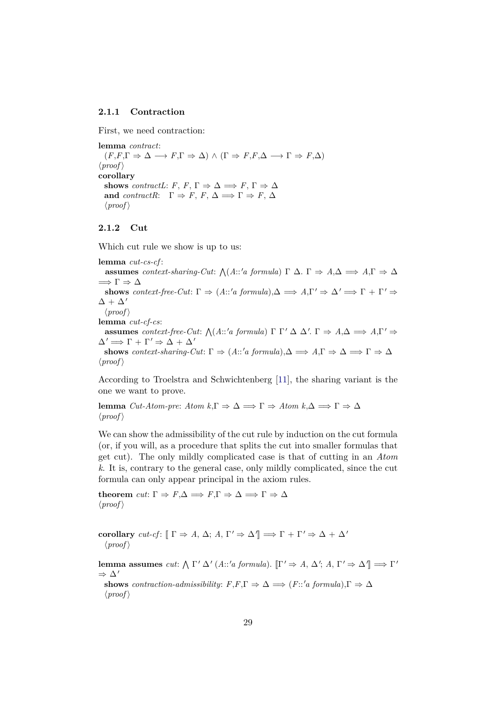#### <span id="page-28-0"></span>**2.1.1 Contraction**

First, we need contraction:

**lemma** *contract*:  $(F, F, \Gamma \Rightarrow \Delta \rightarrow F, \Gamma \Rightarrow \Delta) \wedge (\Gamma \Rightarrow F, F, \Delta \rightarrow \Gamma \Rightarrow F, \Delta)$  $\langle proof \rangle$ **corollary shows** *contractL*: *F*, *F*,  $\Gamma \Rightarrow \Delta \Rightarrow F$ ,  $\Gamma \Rightarrow \Delta$ **and** *contractR*:  $\Gamma \Rightarrow F, F, \Delta \Rightarrow \Gamma \Rightarrow F, \Delta$  $\langle proof \rangle$ 

#### <span id="page-28-1"></span>**2.1.2 Cut**

Which cut rule we show is up to us:

**lemma** *cut-cs-cf* : **assumes** *context-sharing-Cut*:  $\bigwedge (A::'a \text{ formula}) \Gamma \Delta \Gamma \Rightarrow A,\Delta \Rightarrow A,\Gamma \Rightarrow \Delta$  $\Longrightarrow \Gamma \Rightarrow \Delta$ **shows** *context-free-Cut*:  $\Gamma \Rightarrow (A::'a \text{ formula}), \Delta \Rightarrow A, \Gamma' \Rightarrow \Delta' \Rightarrow \Gamma + \Gamma' \Rightarrow$  $\Delta + \Delta'$  $\langle proof \rangle$ **lemma** *cut-cf-cs*: **assumes** *context-free-Cut:*  $\bigwedge (A::'a \text{ formula}) \Gamma \Gamma' \Delta \Delta'. \Gamma \Rightarrow A, \Delta \Rightarrow A, \Gamma' \Rightarrow$  $\Delta' \Longrightarrow \Gamma + \Gamma' \Rightarrow \Delta + \Delta'$ **shows** *context-sharing-Cut*:  $\Gamma \Rightarrow (A::'a \text{ formula}), \Delta \Rightarrow A, \Gamma \Rightarrow \Delta \Rightarrow \Gamma \Rightarrow \Delta$  $\langle proof \rangle$ 

According to Troelstra and Schwichtenberg [\[11\]](#page-58-1), the sharing variant is the one we want to prove.

**lemma** *Cut-Atom-pre*: *Atom*  $k, \Gamma \Rightarrow \Delta \implies \Gamma \Rightarrow Atom k, \Delta \implies \Gamma \Rightarrow \Delta$  $\langle proof \rangle$ 

We can show the admissibility of the cut rule by induction on the cut formula (or, if you will, as a procedure that splits the cut into smaller formulas that get cut). The only mildly complicated case is that of cutting in an *Atom k*. It is, contrary to the general case, only mildly complicated, since the cut formula can only appear principal in the axiom rules.

**theorem** *cut*:  $\Gamma \Rightarrow F, \Delta \Rightarrow F, \Gamma \Rightarrow \Delta \Rightarrow \Gamma \Rightarrow \Delta$  $\langle proof \rangle$ 

**corollary** *cut-cf*:  $[\Gamma \Rightarrow A, \Delta; A, \Gamma' \Rightarrow \Delta' ] \Rightarrow \Gamma + \Gamma' \Rightarrow \Delta + \Delta'$  $\langle proof \rangle$ 

**lemma assumes** *cut*:  $\Lambda \Gamma' \Delta'$  (*A*::'*a formula*).  $[\Gamma' \Rightarrow A, \Delta'; A, \Gamma' \Rightarrow \Delta'] \Longrightarrow \Gamma'$  $\Rightarrow \Delta'$ 

**shows** *contraction-admissibility*:  $F, F, \Gamma \Rightarrow \Delta \implies (F : 'a \text{ formula}), \Gamma \Rightarrow \Delta$  $\langle proof \rangle$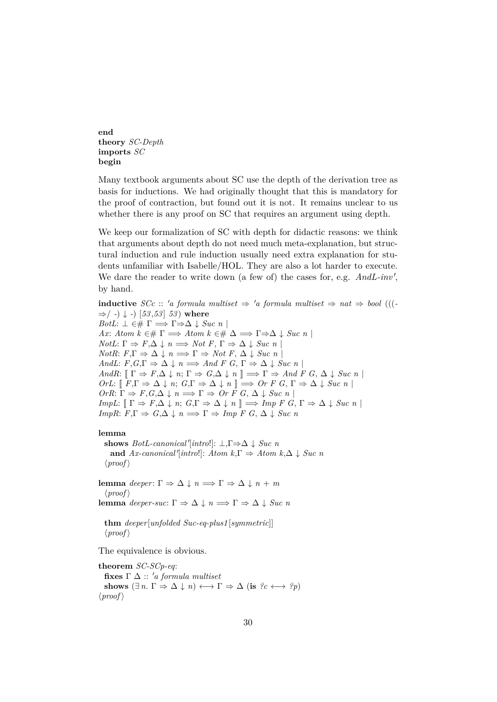**end theory** *SC-Depth* **imports** *SC* **begin**

Many textbook arguments about SC use the depth of the derivation tree as basis for inductions. We had originally thought that this is mandatory for the proof of contraction, but found out it is not. It remains unclear to us whether there is any proof on SC that requires an argument using depth.

We keep our formalization of SC with depth for didactic reasons: we think that arguments about depth do not need much meta-explanation, but structural induction and rule induction usually need extra explanation for students unfamiliar with Isabelle/HOL. They are also a lot harder to execute. We dare the reader to write down (a few of) the cases for, e.g.  $And L\text{-}inv'$ , by hand.

**inductive** *SCc* :: 'a formula multiset  $\Rightarrow$  'a formula multiset  $\Rightarrow$  nat  $\Rightarrow$  bool (((-⇒/ *-*) ↓ *-*) [*53* ,*53* ] *53* ) **where**  $BotL: \perp \in \# \Gamma \Longrightarrow \Gamma \Longrightarrow \Delta \downarrow Suc \; n$ *Ax*: *Atom k* ∈#  $\Gamma \implies$  *Atom k* ∈#  $\Delta \implies \Gamma \Rightarrow \Delta \downarrow$  *Suc n* |  $NotL: \Gamma \Rightarrow F, \Delta \downarrow n \Longrightarrow Not F, \Gamma \Rightarrow \Delta \downarrow Suc n$ *NotR*:  $F, \Gamma \Rightarrow \Delta \downarrow n \Longrightarrow \Gamma \Rightarrow Not F, \Delta \downarrow Suc n$ *AndL*:  $F, G, \Gamma \Rightarrow \Delta \downarrow n \Longrightarrow And F \ G, \Gamma \Rightarrow \Delta \downarrow Suc \ n$ *AndR*:  $[\Gamma \Rightarrow F, \Delta \downarrow n; \Gamma \Rightarrow G, \Delta \downarrow n] \implies \Gamma \Rightarrow And F G, \Delta \downarrow Suc n$  $OrL: \llbracket F, \Gamma \Rightarrow \Delta \downarrow n; G, \Gamma \Rightarrow \Delta \downarrow n \rrbracket \Longrightarrow Or \ F \ G, \Gamma \Rightarrow \Delta \downarrow Suc \ n \rrbracket$  $OrR: \Gamma \Rightarrow F, G, \Delta \downarrow n \Longrightarrow \Gamma \Rightarrow Or \ F \ G, \Delta \downarrow Suc \ n$ *ImpL*:  $[\Gamma \Rightarrow F, \Delta \downarrow n; G, \Gamma \Rightarrow \Delta \downarrow n] \Rightarrow \text{Imp } F \ G, \Gamma \Rightarrow \Delta \downarrow \text{Suc } n$ *ImpR*:  $F, \Gamma \Rightarrow G, \Delta \downarrow n \Longrightarrow \Gamma \Rightarrow \text{Imp } F \ G, \Delta \downarrow \text{Suc } n$ 

#### **lemma**

shows  $BotL$ -canonical'[intro!]:  $\bot$ ,  $\Gamma \Rightarrow \Delta \downarrow Suc$ <sup>n</sup> **and**  $Ax\text{-}canonical'[\text{intro}]: Atom \, k, \Gamma \Rightarrow Atom \, k, \Delta \downarrow \text{Suc } n$  $\langle proof \rangle$ **lemma** *deeper*:  $\Gamma \Rightarrow \Delta \downarrow n \Longrightarrow \Gamma \Rightarrow \Delta \downarrow n + m$  $\langle proof \rangle$ **lemma** *deeper-suc*:  $\Gamma \Rightarrow \Delta \downarrow n \Longrightarrow \Gamma \Rightarrow \Delta \downarrow Suc n$ 

**thm** *deeper*[*unfolded Suc-eq-plus1* [*symmetric*]]  $\langle proof \rangle$ 

The equivalence is obvious.

**theorem** *SC-SCp-eq*: **fixes**  $\Gamma \Delta :: 'a$  *formula multiset* shows  $(\exists n. \Gamma \Rightarrow \Delta \downarrow n) \longleftrightarrow \Gamma \Rightarrow \Delta (\text{is } ?c \longleftrightarrow ?p)$  $\langle proof \rangle$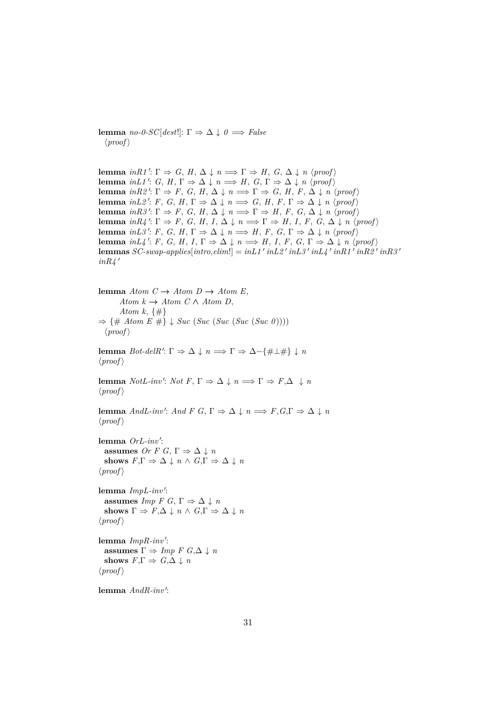**lemma** *no-0-SC*[*dest*!]: Γ  $\Rightarrow$  Δ  $\downarrow$  *θ*  $\Rightarrow$  *False*  $\langle proof \rangle$ 

**lemma** *inR1'*:  $\Gamma \Rightarrow G, H, \Delta \downarrow n \Longrightarrow \Gamma \Rightarrow H, G, \Delta \downarrow n$  (proof) **lemma** *inL1'*: *G*, *H*,  $\Gamma \Rightarrow \Delta \downarrow n \Longrightarrow H$ , *G*,  $\Gamma \Rightarrow \Delta \downarrow n$  {*proof*} **lemma** *inR2'*:  $\Gamma \Rightarrow F$ , *G*, *H*,  $\Delta \downarrow n \implies \Gamma \Rightarrow G$ , *H*,  $F$ ,  $\Delta \downarrow n$   $\langle \text{proof} \rangle$ **lemma** *inL2'*: *F*, *G*, *H*,  $\Gamma \Rightarrow \Delta \downarrow n \Longrightarrow G$ , *H*,  $F$ ,  $\Gamma \Rightarrow \Delta \downarrow n$   $\langle \text{proof} \rangle$ **lemma** *inR3'*:  $\Gamma \Rightarrow F$ , *G*, *H*,  $\Delta \downarrow n \implies \Gamma \Rightarrow H$ , *F*, *G*,  $\Delta \downarrow n$  *\proof* \equal \equal \equal \equal \equal \equal \equal \equal \equal \equal \equal \equal \equal \equal \equal \equal \equal \equal \equal \equal **lemma**  $inR4$ <sup>'</sup>:  $\Gamma \Rightarrow F$ , *G*, *H*, *I*,  $\Delta \downarrow n \implies \Gamma \Rightarrow H$ , *I*, *F*, *G*,  $\Delta \downarrow n$   $\langle proof \rangle$ **lemma** *inL3'*: *F*, *G*, *H*,  $\Gamma \Rightarrow \Delta \downarrow n \Longrightarrow H$ , *F*, *G*,  $\Gamma \Rightarrow \Delta \downarrow n$   $\langle \text{proof} \rangle$ **lemma**  $inL4$ <sup>'</sup>: *F*, *G*, *H*, *I*,  $\Gamma \Rightarrow \Delta \downarrow n \implies H$ , *I*, *F*, *G*,  $\Gamma \Rightarrow \Delta \downarrow n$   $\langle proof \rangle$ **lemmas** *SC-swap-applies*[ $\text{intro}, \text{elim}$ !] =  $\text{in} \text{L1}' \text{ in} \text{L2}' \text{ in} \text{L3}' \text{ in} \text{L4}' \text{ in} \text{R1}' \text{ in} \text{R2}' \text{ in} \text{R3}'$  $inR\measuredangle$ <sup> $\prime$ </sup>

**lemma**  $Atom\ C \rightarrow Atom\ D \rightarrow Atom\ E,$  $Atom\ k \rightarrow Atom\ C \land Atom\ D,$ *Atom k*, {#} ⇒ {# *Atom E* #} ↓ *Suc* (*Suc* (*Suc* (*Suc* (*Suc 0* ))))  $\langle proof \rangle$ **lemma** *Bot-delR'*:  $\Gamma \Rightarrow \Delta \downarrow n \Longrightarrow \Gamma \Rightarrow \Delta - \{\#\bot \# \downarrow n\}$  $\langle proof \rangle$ **lemma** *NotL-inv': Not*  $F, \Gamma \Rightarrow \Delta \downarrow n \Longrightarrow \Gamma \Rightarrow F, \Delta \downarrow n$  $\langle proof \rangle$ **lemma** *AndL-inv': And*  $F$   $G$ ,  $\Gamma \Rightarrow \Delta \downarrow n \Longrightarrow F$ ,  $G$ ,  $\Gamma \Rightarrow \Delta \downarrow n$  $\langle proof \rangle$ lemma OrL-inv': **assumes** *Or F G*,  $\Gamma \Rightarrow \Delta \downarrow n$ **shows**  $F.\Gamma \Rightarrow \Delta \downarrow n \wedge G.\Gamma \Rightarrow \Delta \downarrow n$  $\langle proof \rangle$ lemma *ImpL-inv'*: **assumes** *Imp*  $F G$ ,  $\Gamma \Rightarrow \Delta \downarrow n$ **shows**  $\Gamma \Rightarrow F, \Delta \downarrow n \wedge G, \Gamma \Rightarrow \Delta \downarrow n$  $\langle proof \rangle$ lemma *ImpR-inv'*: **assumes**  $\Gamma \Rightarrow \text{Imp } F \ G, \Delta \downarrow n$ **shows**  $F, \Gamma \Rightarrow G, \Delta \downarrow n$  $\langle proof \rangle$ 

lemma  $And R\text{-}inv'$ :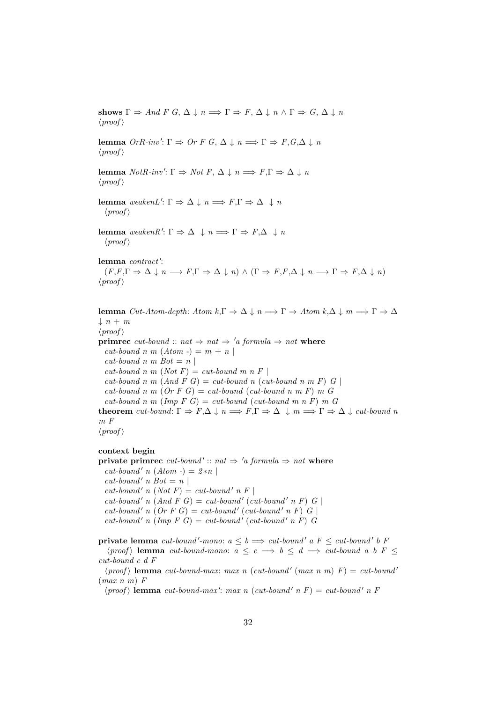shows  $\Gamma \Rightarrow And \ F \ G, \ \Delta \downarrow n \Longrightarrow \Gamma \Rightarrow F, \ \Delta \downarrow n \wedge \Gamma \Rightarrow G, \ \Delta \downarrow n$  $\langle proof \rangle$ **lemma**  $OrR\text{-}inv'$ :  $\Gamma \Rightarrow Or \ F \ G, \Delta \downarrow n \Longrightarrow \Gamma \Rightarrow F, G, \Delta \downarrow n$  $\langle proof \rangle$ **lemma** *NotR-inv'*:  $\Gamma \Rightarrow$  *Not*  $F, \Delta \downarrow n \Longrightarrow F, \Gamma \Rightarrow \Delta \downarrow n$  $\langle proof \rangle$ **lemma**  $\text{weak} \in \mathbb{R}^n$ .  $\Gamma \Rightarrow \Delta \downarrow n \Longrightarrow F, \Gamma \Rightarrow \Delta \downarrow n$  $\langle proof \rangle$ **lemma**  $\text{weaken } R': \Gamma \Rightarrow \Delta \downarrow n \Longrightarrow \Gamma \Rightarrow F, \Delta \downarrow n$  $\langle proof \rangle$ lemma *contract'*:  $(F, F, \Gamma \Rightarrow \Delta \downarrow n \longrightarrow F, \Gamma \Rightarrow \Delta \downarrow n) \wedge (\Gamma \Rightarrow F, F, \Delta \downarrow n \longrightarrow \Gamma \Rightarrow F, \Delta \downarrow n)$  $\langle proof \rangle$ **lemma**  $Cut\text{-}Atom\text{-}depth: Atom\ k, \Gamma \Rightarrow \Delta \downarrow n \Longrightarrow \Gamma \Rightarrow Atom\ k, \Delta \downarrow m \Longrightarrow \Gamma \Rightarrow \Delta$  $\downarrow$  *n* + *m*  $\langle proof \rangle$ **primrec** *cut-bound* ::  $nat \Rightarrow nat \Rightarrow 'a$  *formula*  $\Rightarrow nat$  **where**  $cut$ -bound n m  $(Atom -) = m + n$  $cut$ *bound n m Bot* = *n* |  $cut$ -bound n m (*Not F*) =  $cut$ -bound m n F |  $cut$ -bound n m  $(And F \ G) = cut$ -bound n  $cut$ -bound n m  $F \ G$  $cut$ -bound n m  $(Or F G) = cut$ -bound  $(cut$ -bound n m F) m G  $cut$ -bound n m (Imp F G) =  $cut$ -bound ( $cut$ -bound m n F) m G **theorem** *cut-bound*:  $\Gamma \Rightarrow F, \Delta \downarrow n \Longrightarrow F, \Gamma \Rightarrow \Delta \downarrow m \Longrightarrow \Gamma \Rightarrow \Delta \downarrow cut$ -bound n *m F*  $\langle proof \rangle$ 

#### **context begin**

**private primrec**  $cut$ -bound'::  $nat \Rightarrow 'a$  formula  $\Rightarrow nat$  where  $cut$ -bound' *n* (*Atom -*) =  $2*n$  $cut$ *-bound' n*  $Bot = n$  $cut$ -bound' *n* (*Not F*) =  $cut$ -bound' *n F* |  $cut$ -bound' *n* (And F G) =  $cut$ -bound' ( $cut$ -bound' *n* F) G  $cut$ -bound' *n* (Or F G) = cut-bound' (cut-bound' *n* F) G  $cut$ -bound' *n* (Imp F G) =  $cut$ -bound' ( $cut$ -bound' *n* F) *G* 

**private lemma** cut-bound'-mono:  $a \leq b \implies cut\text{-}bound'$  a  $F \leq cut\text{-}bound'$  b F

 $\langle proof \rangle$  **lemma** *cut-bound-mono:*  $a \leq c \implies b \leq d \implies cut\text{-}bound\ a\ b\ F \leq$ *cut-bound c d F*

 $\langle proof \rangle$  **lemma** *cut-bound-max*: *max n* (*cut-bound'* (*max n m*)  $F$ ) = *cut-bound'* (*max n m*) *F*

 $\langle proof \rangle$  **lemma** *cut-bound-max': max n* (*cut-bound' n F*) = *cut-bound' n F*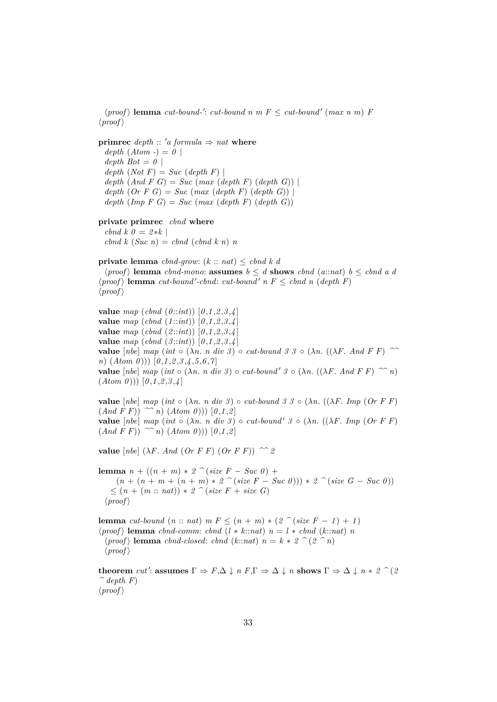$\langle proof \rangle$  **lemma** *cut-bound-': cut-bound n m F*  $\leq$  *<i>cut-bound'* (*max n m*) *F*  $\langle proof \rangle$ 

**primrec** *depth* ::  $'a$  *formula*  $\Rightarrow$  *nat* **where**  $depth (Atom -) = 0$  $depth$   $Bot = 0$  |  $depth (Not F) = Succ (depth F)$  $depth (And F G) = Succ (max (depth F) (depth G))$  $depth (Or F G) = Succ (max (depth F) (depth G))$  $depth (Imp F G) = Succ (max (depth F) (depth G))$ **private primrec** *cbnd* **where**  $cbnd k \theta = 2*k$  $\operatorname{ch} d k$  (*Suc n*) =  $\operatorname{ch} d$  (*cbnd k n*) *n* **private lemma** *cbnd-grow*: (*k* :: *nat*) ≤ *cbnd k d*  $\langle proof \rangle$  **lemma** *cbnd-mono*: **assumes**  $b \leq d$  **shows** *cbnd* (*a*::*nat*)  $b \leq c$ *dnd a d*  $\langle proof \rangle$  **lemma** *cut-bound'-cbnd*: *cut-bound'*  $n F \leq \text{chnd } n (\text{depth } F)$  $\langle proof \rangle$ **value** *map* (*cbnd* (*0* ::*int*)) [*0* ,*1* ,*2* ,*3* ,*4* ] **value** *map* (*cbnd* (*1* ::*int*)) [*0* ,*1* ,*2* ,*3* ,*4* ] **value** *map* (*cbnd* (*2* ::*int*)) [*0* ,*1* ,*2* ,*3* ,*4* ] **value** *map* (*cbnd* (*3* ::*int*)) [*0* ,*1* ,*2* ,*3* ,*4* ] **value**  $[nbe]$   $map (int \circ (\lambda n. n \ div \beta) \circ cut-bound \beta \beta \circ (\lambda n. ((\lambda F. And F F) \sim$ *n*) (*Atom 0* ))) [*0* ,*1* ,*2* ,*3* ,*4* ,*5* ,*6* ,*7* ] **value**  $[nbe]$   $map (int \circ (\lambda n. n \ div \theta) \circ cut-bound' \theta \circ (\lambda n. ((\lambda F. And F F) \sim n))$ 

**value**  $[nbe]$   $map (int \circ (\lambda n. n \ div \theta) \circ cut-bound \theta \theta \theta \circ (\lambda n. ((\lambda F. Imp (Or F F)))$  $(And \ F \ F)) \n\sim n) (Atom \ 0))$   $[0,1,2]$ **value**  $[nbe]$   $map (int \circ (\lambda n. n \ div \beta) \circ cut-bound' \beta \circ (\lambda n. ((\lambda F. Imp \ (Or \ F \ F))$  $(And \ F \ F))$   $\sim n)$   $(Atom \ 0)$ ))  $[0,1,2]$ 

**value**  $[nbe]$   $(\lambda F. And (Or F F) (Or F F))$   $\sim$  2

 $(Atom 0))$   $[0,1,2,3,4]$ 

**lemma**  $n + ((n + m) * 2)$   $\hat{ }$  (*size F* − *Suc 0*) +  $(n + (n + m + (n + m) * 2)$   $\hat{c}$  (*size F* − *Suc 0*)))  $* 2$   $\hat{c}$  (*size G* − *Suc 0*)) ≤ (*n* + (*m* :: *nat*)) ∗ *2 ^* (*size F* + *size G*)  $\langle proof \rangle$ 

**lemma** *cut-bound*  $(n:: nat)$  *m*  $F \leq (n + m) * (2 \cap (size F - 1) + 1)$  $\langle proof \rangle$  **lemma** *cbnd-comm*: *cbnd*  $(l * k::nat)$   $n = l * cbnd$  ( $k::nat$ ) *n*  $\langle proof \rangle$  **lemma** *cbnd-closed: <i>cbnd* (*k*::*nat*)  $n = k * 2$   $\hat{p}$  (2  $\hat{p}$  n)  $\langle proof \rangle$ 

 ${\bf theorem}$  *cut'*:  ${\bf assume} \Gamma \Rightarrow F, \Delta \downarrow n \ F, \Gamma \Rightarrow \Delta \downarrow n \ {\bf shows} \ \Gamma \Rightarrow \Delta \downarrow n * 2 \ \widehat{\ } (2)$  $\hat{\phantom{a}}$  *depth*  $F$  $\langle proof \rangle$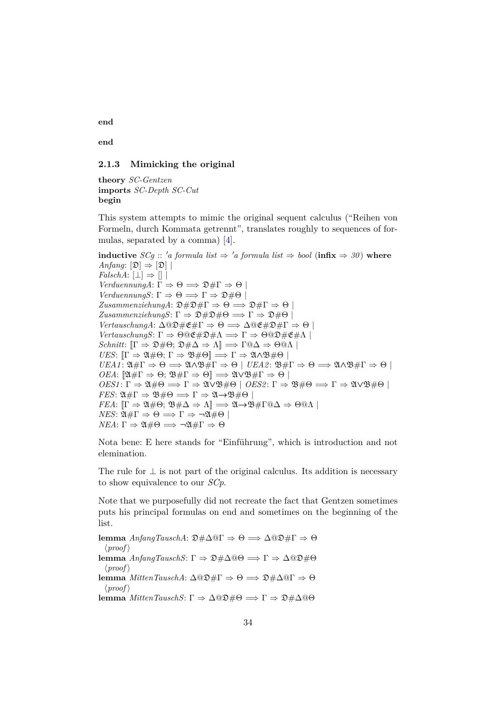**end**

**end**

## <span id="page-33-0"></span>**2.1.3 Mimicking the original**

**theory** *SC-Gentzen* **imports** *SC-Depth SC-Cut* **begin**

This system attempts to mimic the original sequent calculus ("Reihen von Formeln, durch Kommata getrennt", translates roughly to sequences of formulas, separated by a comma) [\[4\]](#page-57-5).

**inductive** *SCg* :: '*a formula list*  $\Rightarrow$  '*a formula list*  $\Rightarrow$  *bool* (**infix**  $\Rightarrow$  *30*) **where** *Anfang*:  $[\mathfrak{D}] \Rightarrow [\mathfrak{D}]$  $FalschA: \Box \Rightarrow \Box$ *VerduennungA*:  $\Gamma \Rightarrow \Theta \Longrightarrow \mathfrak{D} \# \Gamma \Rightarrow \Theta$ *VerduennungS*:  $\Gamma \Rightarrow \Theta \Longrightarrow \Gamma \Rightarrow \mathfrak{D} \# \Theta$  $ZusammenziehungA: \mathfrak{D} \# \mathfrak{D} \# \Gamma \Rightarrow \Theta \Longrightarrow \mathfrak{D} \# \Gamma \Rightarrow \Theta$  $ZusammenziehungS: \Gamma \Rightarrow \mathfrak{D} \# \mathfrak{D} \# \Theta \Longrightarrow \Gamma \Rightarrow \mathfrak{D} \# \Theta$  $Vert^\circ$ *VertauschungS*:  $\Gamma \Rightarrow \Theta @ \mathfrak{E} \# \mathfrak{D} \# \Lambda \Longrightarrow \Gamma \Rightarrow \Theta @ \mathfrak{D} \# \mathfrak{E} \# \Lambda \bot$ *Schnitt*:  $[\Gamma \Rightarrow \mathfrak{D} \# \Theta; \mathfrak{D} \# \Delta \Rightarrow \Lambda] \Longrightarrow \Gamma @ \Delta \Rightarrow \Theta @ \Lambda$ *UES*:  $[\Gamma \Rightarrow \mathfrak{A} \# \Theta; \Gamma \Rightarrow \mathfrak{B} \# \Theta] \Longrightarrow \Gamma \Rightarrow \mathfrak{A} \wedge \mathfrak{B} \# \Theta$  $UEA1: \mathfrak{A} \# \Gamma \Rightarrow \Theta \Longrightarrow \mathfrak{A} \wedge \mathfrak{B} \# \Gamma \Rightarrow \Theta \mid UEA2: \mathfrak{B} \# \Gamma \Rightarrow \Theta \Longrightarrow \mathfrak{A} \wedge \mathfrak{B} \# \Gamma \Rightarrow \Theta \mid \Theta$ *OEA*:  $[\mathfrak{A} \# \Gamma \Rightarrow \Theta; \mathfrak{B} \# \Gamma \Rightarrow \Theta] \Longrightarrow \mathfrak{A} \lor \mathfrak{B} \# \Gamma \Rightarrow \Theta$  $OES1: \Gamma \Rightarrow \mathfrak{A} \# \Theta \Longrightarrow \Gamma \Rightarrow \mathfrak{A} \lor \mathfrak{B} \# \Theta \mid OES2: \Gamma \Rightarrow \mathfrak{B} \# \Theta \Longrightarrow \Gamma \Rightarrow \mathfrak{A} \lor \mathfrak{B} \# \Theta \mid OES2: \Gamma \Rightarrow \mathfrak{A} \# \Theta$ *FES*:  $\mathfrak{A} \# \Gamma \Rightarrow \mathfrak{B} \# \Theta \Longrightarrow \Gamma \Rightarrow \mathfrak{A} \rightarrow \mathfrak{B} \# \Theta$ *FEA*:  $[\Gamma \Rightarrow \mathfrak{A} \# \Theta; \mathfrak{B} \# \Delta \Rightarrow \Lambda] \Longrightarrow \mathfrak{A} \rightarrow \mathfrak{B} \# \Gamma @ \Delta \Rightarrow \Theta @ \Lambda \mid$ *NES*:  $\mathfrak{A} \# \Gamma \Rightarrow \Theta \Longrightarrow \Gamma \Rightarrow \neg \mathfrak{A} \# \Theta$ *NEA*: Γ  $\Rightarrow$  24#Θ  $\Longrightarrow \neg 24$ #Γ  $\Rightarrow$  Θ

Nota bene: E here stands for "Einführung", which is introduction and not elemination.

The rule for  $\perp$  is not part of the original calculus. Its addition is necessary to show equivalence to our *SCp*.

Note that we purposefully did not recreate the fact that Gentzen sometimes puts his principal formulas on end and sometimes on the beginning of the list.

**lemma** *AnfangTauschA*:  $\mathfrak{D} \# \Delta \mathfrak{Q} \Gamma \Rightarrow \Theta \Rightarrow \Delta \mathfrak{Q} \mathfrak{D} \# \Gamma \Rightarrow \Theta$  $\langle proof \rangle$ **lemma** *AnfangTauschS*: Γ ⇒ D#∆@Θ =⇒ Γ ⇒ ∆@D#Θ  $\langle proof \rangle$ **lemma** *MittenTauschA*: ∆@D#Γ ⇒ Θ =⇒ D#∆@Γ ⇒ Θ  $\langle proof \rangle$ **lemma** *MittenTauschS*: Γ  $\Rightarrow$  Δ*Q* $\mathfrak{D}$ #Θ  $\Rightarrow$  Γ  $\Rightarrow$   $\mathfrak{D}$ #Δ*Q*θ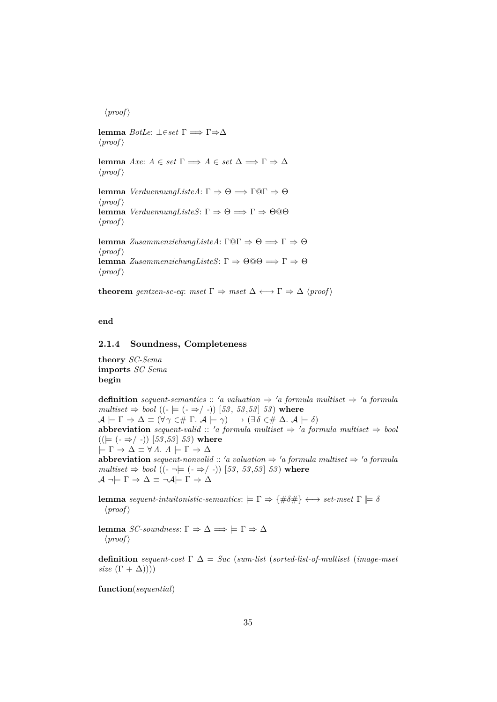$\langle proof \rangle$ **lemma** *BotLe*: ⊥∈*set* Γ =⇒ Γ⇒∆  $\langle proof \rangle$ **lemma** *Axe*:  $A \in set \Gamma \implies A \in set \Delta \implies \Gamma \Rightarrow \Delta$  $\langle proof \rangle$ **lemma** *VerduennungListeA*: Γ  $\Rightarrow$  Θ  $\Rightarrow$  Γ@Γ  $\Rightarrow$  Θ  $\langle proof \rangle$ **lemma** *VerduennungListeS*: Γ  $\Rightarrow$  Θ  $\Rightarrow$  Γ  $\Rightarrow$  Θ @Θ  $\langle proof \rangle$ **lemma** *ZusammenziehungListeA*: Γ $@Γ ⇒ Θ ⇒ Γ ⇒ Θ$  $\langle proof \rangle$ **lemma** *ZusammenziehungListeS*: Γ  $\Rightarrow$  Θ<sup>*Q*</sup> $\theta$   $\Rightarrow$  Γ  $\Rightarrow$  Θ  $\langle proof \rangle$ 

**theorem** gentzen-sc-eq: mset  $\Gamma \Rightarrow$  mset  $\Delta \leftrightarrow \Gamma \Rightarrow \Delta$  (proof)

**end**

#### <span id="page-34-0"></span>**2.1.4 Soundness, Completeness**

**theory** *SC-Sema* **imports** *SC Sema* **begin**

**definition** *sequent-semantics* :: 'a valuation  $\Rightarrow$  'a formula multiset  $\Rightarrow$  'a formula  $multiset \Rightarrow bool ((-\models (- \Rightarrow / -)) [53, 53, 53] 53)$  where  $\mathcal{A}\models \Gamma\Rightarrow \Delta\equiv (\forall\,\gamma\in\!\# \Gamma\!\!.\:\mathcal{A}\models \gamma)\longrightarrow (\exists\,\delta\in\!\#\ \Delta\!\!.\:\mathcal{A}\models \delta)$ **abbreviation** *sequent-valid* :: 'a formula multiset  $\Rightarrow$  'a formula multiset  $\Rightarrow$  bool  $((\models (\neg \Rightarrow / \neg)) [53, 53] 53)$  where  $\models \Gamma \Rightarrow \Delta \equiv \forall A. A \models \Gamma \Rightarrow \Delta$ **abbreviation** *sequent-nonvalid* :: 'a valuation  $\Rightarrow$  'a formula multiset  $\Rightarrow$  'a formula *multiset*  $\Rightarrow$  *bool* (( $\cdot \neg \models$  ( $\cdot \Rightarrow$ / $\rightarrow$ )) [53, 53,53] 53) where  $\mathcal{A} \neg \models \Gamma \Rightarrow \Delta \equiv \neg \mathcal{A} \models \Gamma \Rightarrow \Delta$ 

**lemma** *sequent-intuitonistic-semantics*:  $= \Gamma \Rightarrow \{\#\delta\#\}\longleftrightarrow set\text{-}mset \Gamma \models \delta$  $\langle proof \rangle$ 

**lemma** *SC-soundness*: Γ  $\Rightarrow$  Δ  $\Rightarrow$   $\models$  Γ  $\Rightarrow$  Δ  $\langle proof \rangle$ 

**definition** *sequent-cost* Γ ∆ = *Suc* (*sum-list* (*sorted-list-of-multiset* (*image-mset size*  $(\Gamma + \Delta))$ 

**function**(*sequential*)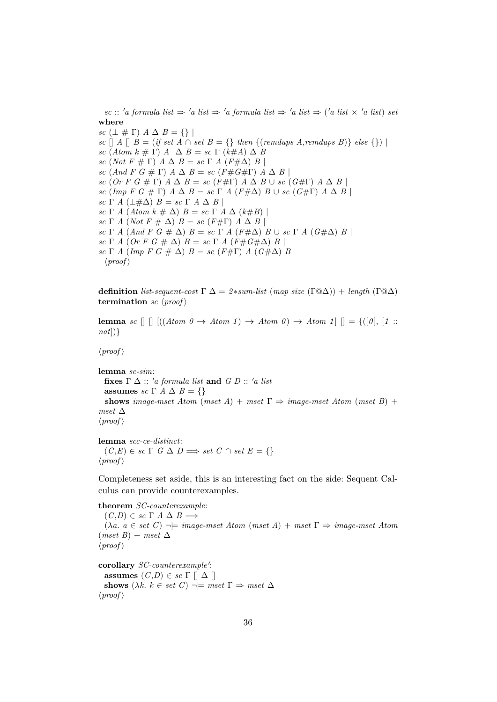$\textit{sc}$  ::  $\textit{'a formula}$  list  $\Rightarrow$   $\textit{'a list} \Rightarrow \textit{'a formula}$  list  $\Rightarrow \textit{'a list} \Rightarrow \textit{'a list} \times \textit{'a list}$  *set* **where** *sc*  $(\perp \# \Gamma)$   $A \Delta B = \{\}\$ *sc*  $\lceil A \rceil$  *B* = (*if set A* ∩ *set B* = {} *then* {(*remdups A,remdups B*)} *else* {}) | *sc*  $(Atom k \# \Gamma)$   $\land \Delta B = sc \Gamma (k \# A) \Delta B$ *sc* (*Not*  $F \# \Gamma$ )  $\overline{A} \Delta B = sc \Gamma A (F \# \Delta) B$ *sc*  $(And F G \# \Gamma) \land \Delta B = sc (F \# G \# \Gamma) \land \Delta B$ *sc* (*Or F G*  $# \Gamma$ ) *A*  $\Delta$  *B* = *sc* (*F*# $\Gamma$ ) *A*  $\Delta$  *B* ∪ *sc* (*G*# $\Gamma$ ) *A*  $\Delta$  *B* | *sc* (*Imp F G*  $\#$  Γ) *A*  $\Delta$  *B* = *sc* Γ *A* ( $F \# \Delta$ ) *B* ∪ *sc* ( $G \# \Gamma$ ) *A*  $\Delta$  *B* | *sc*  $\Gamma$  *A* ( $\perp \# \Delta$ )  $B = sc \Gamma A \Delta B$ *sc*  $\Gamma$  *A* (*Atom k*  $\#\Delta$ ) *B* = *sc*  $\Gamma$  *A*  $\Delta$  (*k* $\#B$ ) | *sc*  $\Gamma$  *A* (*Not*  $F \neq \Delta$ )  $B = sc(F \neq \Gamma)$  *A*  $\Delta$  *B* | *sc* Γ *A* (*And F G*  $# Δ$ )  $B = sc \Gamma A$  ( $F#Δ$ )  $B ∪ sc \Gamma A$  ( $G#Δ$ )  $B$ *sc* Γ *A* (*Or F G*  $\#$   $\Delta$ )  $B = sc \Gamma$  *A* ( $F \# G \# \Delta$ )  $B \mid$ *sc*  $\Gamma$  *A* (*Imp F G*  $\#$   $\Delta$ ) *B* = *sc* (*F* $\#$  $\Gamma$ ) *A* (*G* $\#$  $\Delta$ ) *B*  $\langle proof \rangle$ 

**definition** *list-sequent-cost*  $\Gamma \Delta = 2*sum-list \ (map size \ (\Gamma \omega \Delta)) + length \ (\Gamma \omega \Delta)$ **termination** *sc*  $\langle proof \rangle$ 

**lemma** *sc*  $[]$   $[((Atom \ 0 \rightarrow Atom \ 1) \rightarrow Atom \ 0) \rightarrow Atom \ 1]$   $[] = {([0], [1::] \n}$ *nat*])}

 $\langle proof \rangle$ 

**lemma** *sc-sim*: **fixes**  $\Gamma \Delta$  :: 'a formula list and  $G D$  :: 'a list **assumes** *sc*  $\Gamma$  *A*  $\Delta$  *B* = {} **shows** *image-mset Atom* (*mset A*) + *mset*  $\Gamma \Rightarrow$  *image-mset Atom* (*mset B*) + *mset* ∆  $\langle proof \rangle$ 

**lemma** *scc-ce-distinct*:  $(C,E) \in sc \Gamma$   $G \Delta D \Longrightarrow set C \cap set E = \{\}$  $\langle proof \rangle$ 

Completeness set aside, this is an interesting fact on the side: Sequent Calculus can provide counterexamples.

**theorem** *SC-counterexample*:  $(C,D) \in sc \Gamma A \Delta B \Longrightarrow$  $(\lambda a. a \in set C) \rightarrow \models image \textit{--} \textit{m} \textit{+} \textit{A} \textit{+} \textit{+} \textit{+} \textit{A}) + \textit{m} \textit{+} \textit{+} \textit{+} \textit{+} \textit{+} \textit{+} \textit{+} \textit{+} \textit{+} \textit{+} \textit{+} \textit{+} \textit{+} \textit{+} \textit{+} \textit{+} \textit{+} \textit{+} \textit{+} \textit{+} \textit{+} \textit{+} \textit{+} \textit{+} \textit{+}$  $(mset B) + mset \Delta$  $\langle proof \rangle$ 

corollary *SC-counterexample'*: **assumes**  $(C,D) \in sc \Gamma \parallel \Delta \parallel$ **shows**  $(\lambda k. k \in set C) \rightarrow \text{mset } \Gamma \Rightarrow \text{mset } \Delta$  $\langle proof \rangle$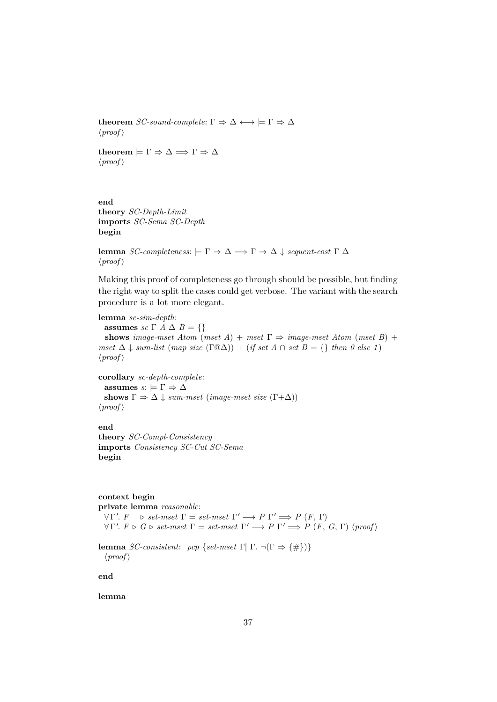**theorem** *SC-sound-complete*:  $\Gamma \Rightarrow \Delta \longleftrightarrow \models \Gamma \Rightarrow \Delta$  $\langle proof \rangle$ 

**theorem**  $\models \Gamma \Rightarrow \Delta \Longrightarrow \Gamma \Rightarrow \Delta$  $\langle proof \rangle$ 

**end theory** *SC-Depth-Limit* **imports** *SC-Sema SC-Depth* **begin**

**lemma** *SC-completeness*:  $\models Γ ⇒ Δ ⇒ Γ ⇒ Δ ∥ *sequent-cost* Γ Δ$  $\langle proof \rangle$ 

Making this proof of completeness go through should be possible, but finding the right way to split the cases could get verbose. The variant with the search procedure is a lot more elegant.

**lemma** *sc-sim-depth*: **assumes** *sc*  $\Gamma$  *A*  $\Delta$  *B* = {} **shows** *image-mset Atom* (*mset A*) + *mset*  $\Gamma \Rightarrow$  *image-mset Atom* (*mset B*) + *mset*  $\Delta \downarrow$  *sum-list* (*map size* ( $\Gamma @ \Delta$ )) + (*if set*  $A \cap set B = \{\}$  *then 0 else* 1)  $\langle proof \rangle$ 

**corollary** *sc-depth-complete*: **assumes**  $s: \models \Gamma \Rightarrow \Delta$ **shows**  $\Gamma \Rightarrow \Delta \downarrow \text{sum-mset (image-mset size } (\Gamma + \Delta))$  $\langle proof \rangle$ 

**end theory** *SC-Compl-Consistency* **imports** *Consistency SC-Cut SC-Sema* **begin**

**context begin private lemma** *reasonable*:  $\forall \Gamma'. \ F \Rightarrow set-mset \ \Gamma = set-mset \ \Gamma' \Longrightarrow P \ \Gamma' \Longrightarrow P \ (F, \ \Gamma)$  $\forall \Gamma'. \ F \triangleright G \triangleright set-mset \ \Gamma = set-mset \ \Gamma' \Longrightarrow P \ \Gamma' \Longrightarrow P \ (F, \ G, \Gamma) \ \langle proof \rangle$ **lemma** *SC-consistent: pcp* {*set-mset* Γ| Γ.  $\neg$ (Γ  $\Rightarrow$  {#})}

 $\langle proof \rangle$ 

**end**

**lemma**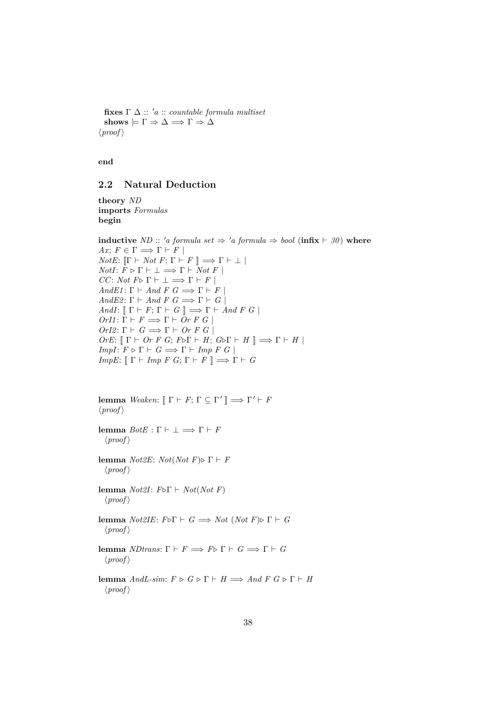fixes  $\Gamma \Delta :: 'a :: countable formula multiset$  $\textbf{shows} \models \Gamma \Rightarrow \Delta \Longrightarrow \Gamma \Rightarrow \Delta$  $\langle proof \rangle$ 

**end**

## <span id="page-37-0"></span>**2.2 Natural Deduction**

**theory** *ND* **imports** *Formulas* **begin**

**inductive** *ND* :: 'a formula set  $\Rightarrow$  'a formula  $\Rightarrow$  bool (**infix**  $\vdash$  30) **where** *Ax*:  $F \in \Gamma \Longrightarrow \Gamma \vdash F$ *NotE*:  $[\Gamma \vdash Not F; \Gamma \vdash F]] \Longrightarrow \Gamma \vdash \bot$  $NotI: \overline{F} \triangleright \Gamma \vdash \bot \Longrightarrow \Gamma \vdash \overline{Not}\ F$ *CC*: *Not*  $F \triangleright \Gamma \vdash \bot \Longrightarrow \Gamma \vdash F$ *AndE1*:  $\Gamma \vdash And F G \Longrightarrow \Gamma \vdash F$ *AndE2*:  $\Gamma \vdash And F G \Longrightarrow \Gamma \vdash G$ *AndI*:  $[\Gamma \vdash F; \Gamma \vdash G]] \Longrightarrow \Gamma \vdash And F G$  $OrI1: \Gamma \vdash F \Longrightarrow \Gamma \vdash Or \ F \ G \ |$  $OrI2: \Gamma \vdash G \Longrightarrow \Gamma \vdash Or \ F \ G \ \vdash$  $OrE: \llbracket \Gamma \vdash Or \ F \ G; \ F \triangleright \Gamma \vdash H; \ G \triangleright \Gamma \vdash H \rrbracket \Longrightarrow \Gamma \vdash H \rrbracket$ *ImpI*:  $F \triangleright \Gamma \vdash G \Longrightarrow \Gamma \vdash \text{Imp } F \ G \mid$ *ImpE*:  $[\Gamma \vdash \text{Imp } F \ G; \Gamma \vdash F \ ] \Longrightarrow \Gamma \vdash G$ 

```
lemma Weaken: [\![ \Gamma \vdash F; \Gamma \subseteq \Gamma' \!] \Longrightarrow \Gamma' \vdash F\langle proof \rangle
```
**lemma**  $BotE : \Gamma \vdash \bot \Longrightarrow \Gamma \vdash F$  $\langle proof \rangle$ 

**lemma** *Not2E*: *Not*(*Not F*) $\triangleright$  Γ  $\vdash$  *F*  $\langle proof \rangle$ 

**lemma** *Not2I*:  $F \triangleright \Gamma \vdash Not(Not \ F)$  $\langle proof \rangle$ 

**lemma**  $Not2IE: F\triangleright \Gamma \vdash G \Longrightarrow Not (Not F)\triangleright \Gamma \vdash G$  $\langle proof \rangle$ 

**lemma** *NDtrans*:  $\Gamma \vdash F \Longrightarrow F \triangleright \Gamma \vdash G \Longrightarrow \Gamma \vdash G$  $\langle proof \rangle$ 

**lemma** *AndL-sim*:  $F \triangleright G \triangleright \Gamma \vdash H \Longrightarrow And F G \triangleright \Gamma \vdash H$  $\langle proof \rangle$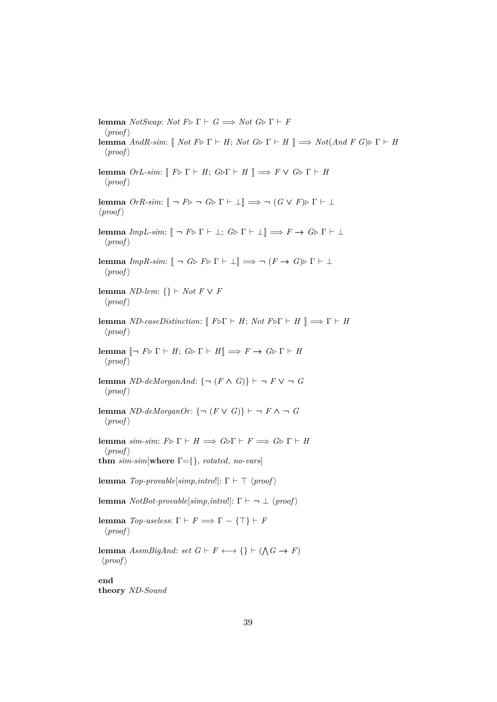**lemma** *NotSwap*: *Not*  $F \triangleright \Gamma \vdash G \Longrightarrow Not \ G \triangleright \Gamma \vdash F$  $\langle proof \rangle$ **lemma** *AndR-sim*:  $[$  *Not*  $F \triangleright \Gamma \vdash H$ ; *Not*  $G \triangleright \Gamma \vdash H$   $] \implies Not(And F \ G) \triangleright \Gamma \vdash H$  $\langle proof \rangle$ **lemma**  $OrL-sim: \llbracket F \triangleright \Gamma \vdash H; G \triangleright \Gamma \vdash H \rrbracket \implies F \vee G \triangleright \Gamma \vdash H$  $\langle proof \rangle$ **lemma**  $OrR\text{-}sim: \mathbb{F} \to F\triangleright \neg G\triangleright \Gamma \vdash \bot \rbrack \implies \neg (G \vee F)\triangleright \Gamma \vdash \bot$  $\langle proof \rangle$ **lemma**  $ImpL\text{-}sim: \mathbb{F} \cap F \triangleright \bot; G \triangleright \Gamma \vdash \bot \mathbb{F} \implies F \to G \triangleright \Gamma \vdash \bot$  $\langle proof \rangle$ **lemma** *ImpR-sim*:  $[\neg \ G \triangleright F \triangleright \Gamma \vdash \bot] \implies \neg (F \rightarrow G) \triangleright \Gamma \vdash \bot$  $\langle proof \rangle$ **lemma** *ND-lem*: {}  $\vdash$  *Not*  $F \lor F$  $\langle proof \rangle$ **lemma** *ND-caseDistinction*:  $[$   $F \triangleright \Gamma \vdash H$ ; *Not*  $F \triangleright \Gamma \vdash H$   $] \implies \Gamma \vdash H$  $\langle proof \rangle$ **lemma**  $[\neg F \triangleright \Gamma \vdash H; G \triangleright \Gamma \vdash H] \Longrightarrow F \to G \triangleright \Gamma \vdash H$  $\langle proof \rangle$ **lemma** *ND-deMorganAnd*: { $\neg$  (*F*  $\wedge$  *G*)}  $\vdash$   $\neg$  *F*  $\vee$   $\neg$  *G*  $\langle proof \rangle$ **lemma** *ND-deMorganOr*: {¬ ( $F \vee G$ )}  $\vdash$  ¬  $F \wedge \neg G$  $\langle proof \rangle$ **lemma** *sim-sim*:  $F \triangleright \Gamma \vdash H \Longrightarrow G \triangleright \Gamma \vdash F \Longrightarrow G \triangleright \Gamma \vdash H$  $\langle proof \rangle$ **thm** *sim-sim*[**where** Γ={}, *rotated*, *no-vars*] **lemma**  $Top\text{-}provable[simp, introl]: \Gamma \vdash \top \langle proof \rangle$ **lemma**  $NotBot-provable[simp, intro!]$ :  $\Gamma \vdash \neg \bot \langle proof \rangle$ **lemma** *Top-useless*:  $\Gamma \vdash F \Longrightarrow \Gamma - \{\top\} \vdash F$  $\langle proof \rangle$ **lemma**  $AssmBigAnd: set \ G \vdash F \longleftrightarrow \{\} \vdash (\bigwedge G \rightarrow F)$  $\langle proof \rangle$ **end theory** *ND-Sound*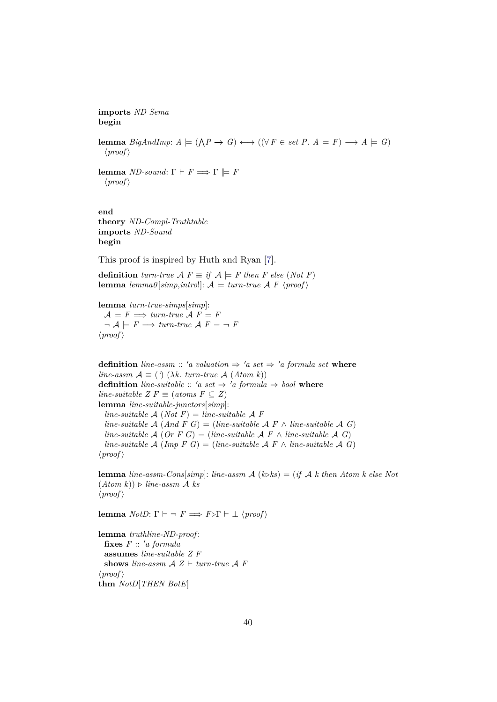**imports** *ND Sema* **begin**

**lemma** *BigAndImp*:  $A \models (\bigwedge P \rightarrow G) \longleftrightarrow ((\forall F \in set P. A \models F) \rightarrow A \models G)$  $\langle proof \rangle$ 

**lemma** *ND-sound*:  $\Gamma \vdash F \Longrightarrow \Gamma \models F$  $\langle proof \rangle$ 

**end theory** *ND-Compl-Truthtable* **imports** *ND-Sound* **begin**

This proof is inspired by Huth and Ryan [\[7\]](#page-57-6).

**definition**  $turn$ *-true*  $\mathcal{A} F \equiv if \mathcal{A} \models F$  then F else (Not F) **lemma**  $lemma\{sim, intro!\}: A \models turn\text{-}true \mathcal{A} \ F \ \langle proof \rangle$ 

**lemma** *turn-true-simps*[*simp*]:  $A \models F \Longrightarrow turn$ -true  $A \not F = F$  $\neg A \models F \Longrightarrow turn\text{-}true A F = \neg F$  $\langle proof \rangle$ 

**definition** *line-assm* :: 'a valuation  $\Rightarrow$  'a set  $\Rightarrow$  'a formula set where *line-assm*  $\mathcal{A} \equiv (\cdot)$  ( $\lambda k$ . *turn-true*  $\mathcal{A}$  ( $Atom k$ )) **definition** *line-suitable* :: 'a set  $\Rightarrow$  'a formula  $\Rightarrow$  bool **where** *line-suitable Z F*  $\equiv$  (*atoms F*  $\subseteq$  *Z*) **lemma** *line-suitable-junctors*[*simp*]: *line-suitable*  $\mathcal{A}$  (*Not*  $F$ ) = *line-suitable*  $\mathcal{A}$   $F$ *line-suitable*  $\mathcal{A}$  (*And*  $\overline{F}$  *G*) = (*line-suitable*  $\mathcal{A}$   $\overline{F}$   $\wedge$  *line-suitable*  $\mathcal{A}$  *G*) *line-suitable*  $\mathcal{A}$  (*Or*  $F$  *G*) = (*line-suitable*  $\mathcal{A}$   $F \wedge$  *line-suitable*  $\mathcal{A}$  *G*) *line-suitable*  $\mathcal{A}$  (*Imp F G*) = (*line-suitable*  $\mathcal{A}$  *F*  $\land$  *line-suitable*  $\mathcal{A}$  *G*)  $\langle proof \rangle$ 

**lemma** *line-assm-Cons*[*simp*]: *line-assm*  $\mathcal{A}$  ( $k \geq k$ ) = (*if*  $\mathcal{A}$  *k* then Atom k else Not  $(Atom k)) \triangleright line-assm \mathcal{A}$  *ks*  $\langle proof \rangle$ 

**lemma** *NotD*:  $\Gamma \vdash \neg F \implies F \triangleright \Gamma \vdash \bot \langle \text{proof} \rangle$ 

**lemma** *truthline-ND-proof* :  $fixes$   $F :: 'a$  formula **assumes** *line-suitable Z F* **shows** line-assm  $A Z \vdash turn$ *true*  $A F$  $\langle proof \rangle$ **thm** *NotD*[*THEN BotE*]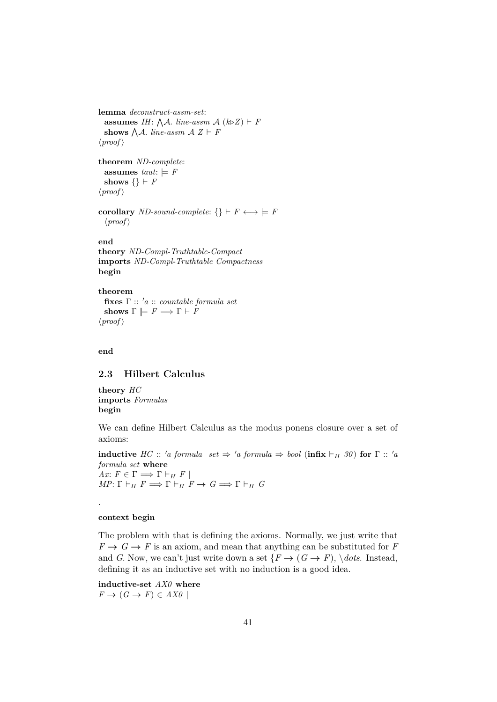```
lemma deconstruct-assm-set:
  assumes IH: \bigwedge A. line-assm A(k\triangleright Z) \vdash Fshows \bigwedge A. line-assm A Z \vdash F\langle proof \rangletheorem ND-complete:
 assumes taut: \models Fshows \{\} \vdash F\langle proof \ranglecorollary ND-sound-complete: {} \vdash F \longleftrightarrow \models F
  \langle proof \rangleend
theory ND-Compl-Truthtable-Compact
imports ND-Compl-Truthtable Compactness
begin
theorem
```

```
fixes Γ :: 0a :: countable formula set
  shows \Gamma \models F \Longrightarrow \Gamma \vdash F\langle proof \rangle
```
**end**

## <span id="page-40-0"></span>**2.3 Hilbert Calculus**

**theory** *HC* **imports** *Formulas* **begin**

We can define Hilbert Calculus as the modus ponens closure over a set of axioms:

**inductive** *HC* :: '*a* formula set  $\Rightarrow$  '*a* formula  $\Rightarrow$  *bool* (**infix**  $\vdash_H$  30) **for**  $\Gamma$  :: '*a formula set* **where** *Ax*:  $F \in \Gamma \Longrightarrow \Gamma \vdash_H F$  $MP: \Gamma \vdash_H F \Longrightarrow \Gamma \vdash_H F \to G \Longrightarrow \Gamma \vdash_H G$ 

**context begin**

.

The problem with that is defining the axioms. Normally, we just write that  $F \to G \to F$  is an axiom, and mean that anything can be substituted for *F* and *G*. Now, we can't just write down a set  $\{F \rightarrow (G \rightarrow F), \, \text{dots}$ . Instead, defining it as an inductive set with no induction is a good idea.

**inductive-set** *AX0* **where**  $F \rightarrow (G \rightarrow F) \in AXO$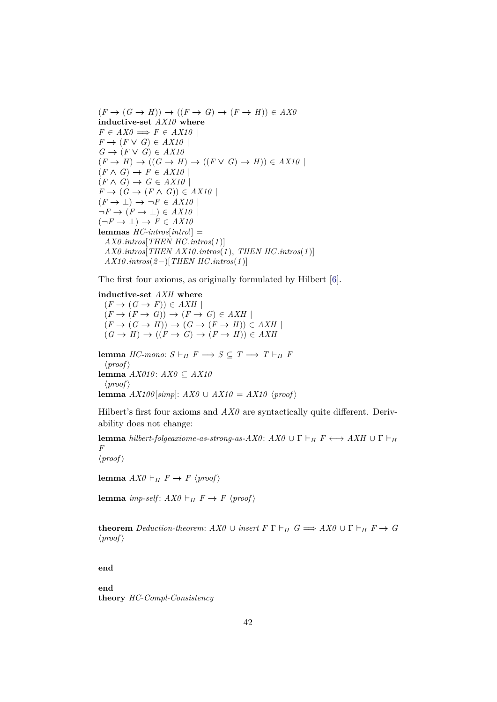$(F \to (G \to H)) \to ((F \to G) \to (F \to H)) \in AXO$ **inductive-set** *AX10* **where**  $F \in AXO \Longrightarrow F \in AX10$  $F \rightarrow (F \vee G) \in AX10$  $G \rightarrow (F \vee G) \in AX10$  $(F \rightarrow H) \rightarrow ((G \rightarrow H) \rightarrow ((F \vee G) \rightarrow H)) \in AX10$  $(F \wedge G) \rightarrow F \in AX10$  $(F \wedge G) \rightarrow G \in AX10$  $F \to (G \to (F \land G)) \in AX10$  $(F \to \bot) \to \neg F \in AX10$  $\neg F \rightarrow (F \rightarrow \bot) \in AX10$  $(\neg F \rightarrow \bot) \rightarrow F \in AX10$ **lemmas** *HC-intros*[*intro*!] = *AX0* .*intros*[*THEN HC*.*intros*(*1* )] *AX0* .*intros*[*THEN AX10* .*intros*(*1* ), *THEN HC*.*intros*(*1* )] *AX10* .*intros*(*2*−)[*THEN HC*.*intros*(*1* )]

The first four axioms, as originally formulated by Hilbert [\[6\]](#page-57-7).

**inductive-set** *AXH* **where**  $(F \to (G \to F)) \in AXH$  $(F \to (F \to G)) \to (F \to G) \in AXH$  $(F \to (G \to H)) \to (G \to (F \to H)) \in AXH$  $(G \rightarrow H) \rightarrow ((F \rightarrow G) \rightarrow (F \rightarrow H)) \in AXH$ 

**lemma** *HC-mono*:  $S \vdash_H F \Longrightarrow S \subseteq T \Longrightarrow T \vdash_H F$  $\langle proof \rangle$ **lemma** *AX010* : *AX0* ⊆ *AX10*  $\langle proof \rangle$ **lemma** *AX100*[ $\text{simp}$ ]: *AX0* ∪ *AX10* = *AX10* \proof\

Hilbert's first four axioms and  $AX0$  are syntactically quite different. Derivability does not change:

**lemma** *hilbert-folgeaxiome-as-strong-as-AX0* :  $AX0$  ∪  $\Gamma \vdash_H F \longleftrightarrow AXH \cup \Gamma \vdash_H$ *F*  $\langle proof \rangle$ 

**lemma**  $AX0 \vdash_H F \to F \langle proof \rangle$ 

**lemma** *imp-self*:  $AX0 \vdash_H F \rightarrow F \langle proof \rangle$ 

**theorem** *Deduction-theorem:*  $AX0 \cup insert F \Gamma \vdash_H G \Longrightarrow AX0 \cup \Gamma \vdash_H F \rightarrow G$  $\langle proof \rangle$ 

**end**

**end theory** *HC-Compl-Consistency*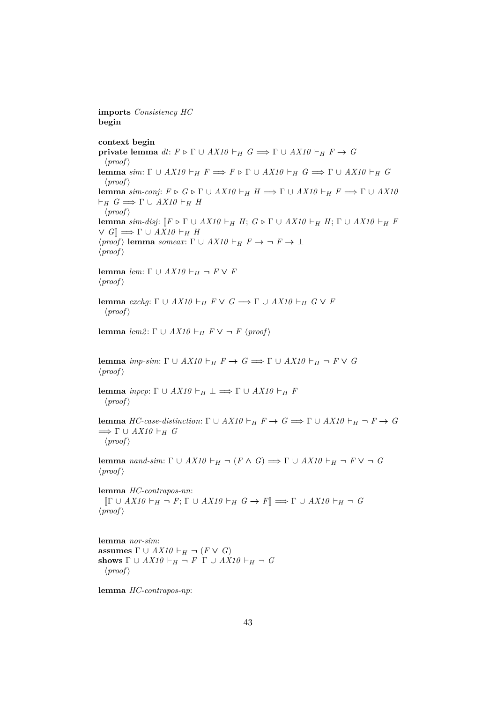**begin context begin private lemma**  $dt: F \triangleright \Gamma \cup AX10 \vdash_H G \Longrightarrow \Gamma \cup AX10 \vdash_H F \rightarrow G$  $\langle proof \rangle$ **lemma** *sim*:  $\Gamma \cup AX10 \vdash_H F \Longrightarrow F \triangleright \Gamma \cup AX10 \vdash_H G \Longrightarrow \Gamma \cup AX10 \vdash_H G$  $\langle proof \rangle$ **lemma** *sim-conj*:  $F \triangleright G \triangleright \Gamma \cup AX10 \vdash_H H \Longrightarrow \Gamma \cup AX10 \vdash_H F \Longrightarrow \Gamma \cup AX10$  $\vdash_H G \Longrightarrow \Gamma \cup AX10 \vdash_H H$  $\langle proof \rangle$ **lemma**  $\sin^{-}$  *disj*:  $\lbrack\lbrack F \rbrack \rbrack F \cup AX10 \vdash_H H$ ;  $G \rbrack \rbrack G \rbrack H$ ;  $\lbrack\lbrack F \rbrack H$ ;  $\lbrack\lbrack F \rbrack H$  $\vee$  *G*<sup> $\parallel$ </sup>  $\implies$   $\Gamma$   $\cup$  *AX10*  $\vdash$ <sub>*H*</sub> *H*  $\langle proof \rangle$  **lemma** *someax*:  $\Gamma \cup AX10 \vdash_H F \rightarrow \neg F \rightarrow \bot$  $\langle proof \rangle$ **lemma** *lem*:  $\Gamma \cup AX10 \vdash_H \neg F \vee F$  $\langle proof \rangle$ **lemma** *exchg*:  $\Gamma \cup AX10 \vdash_H F \vee G \Longrightarrow \Gamma \cup AX10 \vdash_H G \vee F$  $\langle proof \rangle$ **lemma**  $\text{lem2: } \Gamma \cup AX10 \vdash_H F \vee \neg F \langle \text{proof} \rangle$ **lemma** *imp-sim*:  $\Gamma \cup AX10 \vdash_H F \rightarrow G \Longrightarrow \Gamma \cup AX10 \vdash_H \neg F \vee G$  $\langle proof \rangle$ **lemma** *inpcp*:  $\Gamma \cup AX10 \vdash_H \bot \Longrightarrow \Gamma \cup AX10 \vdash_H F$  $\langle proof \rangle$ **lemma** *HC-case-distinction*:  $\Gamma \cup AX10 \vdash_H F \rightarrow G \Longrightarrow \Gamma \cup AX10 \vdash_H \neg F \rightarrow G$  $\implies \Gamma \cup AX10 \vdash_H G$  $\langle proof \rangle$ **lemma** *nand-sim*:  $\Gamma \cup AX10 \vdash_H \neg (F \wedge G) \Longrightarrow \Gamma \cup AX10 \vdash_H \neg F \vee \neg G$  $\langle proof \rangle$ **lemma** *HC-contrapos-nn*:  $[\Gamma \cup AX10 \vdash_H \neg F; \Gamma \cup AX10 \vdash_H G \rightarrow F] \Longrightarrow \Gamma \cup AX10 \vdash_H \neg G$  $\langle proof \rangle$ **lemma** *nor-sim*: **assumes**  $\Gamma \cup AX10 \vdash_H \neg (F \vee G)$ **shows**  $\Gamma \cup AX10 \vdash_H \neg F \Gamma \cup AX10 \vdash_H \neg G$  $\langle proof \rangle$ 

**lemma** *HC-contrapos-np*:

**imports** *Consistency HC*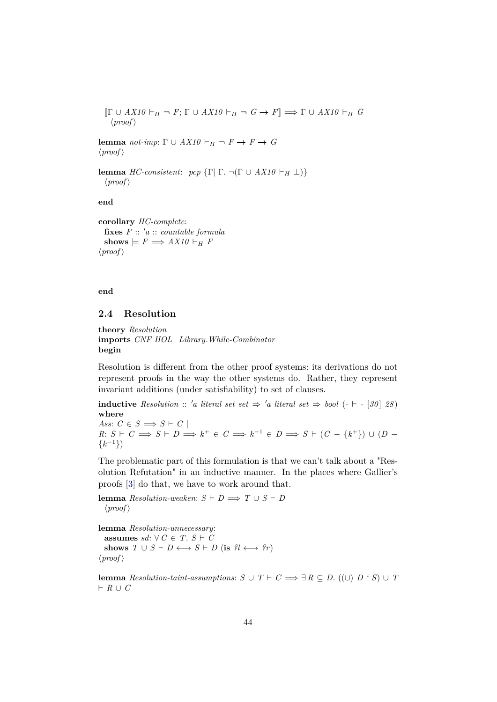$$
\[\Gamma \cup AX10 \vdash_H \neg F; \Gamma \cup AX10 \vdash_H \neg G \to F] \Longrightarrow \Gamma \cup AX10 \vdash_H G
$$
  

$$
\langle proof \rangle
$$

**lemma** *not-imp*:  $\Gamma \cup AX10 \vdash_H \neg F \rightarrow F \rightarrow G$  $\langle proof \rangle$ 

**lemma** *HC-consistent*: *pcp*  $\{\Gamma | \Gamma \}$ .  $\neg(\Gamma \cup AX10 \vdash_H \bot)\}$  $\langle proof \rangle$ 

**end**

**corollary** *HC-complete*:  $f \mathbf{i} \mathbf{x}$ **es**  $F :: 'a :: countable formula$ shows  $\models$   $F \Longrightarrow AX10 \vdash_H F$  $\langle proof \rangle$ 

**end**

## <span id="page-43-0"></span>**2.4 Resolution**

```
theory Resolution
imports CNF HOL−Library.While-Combinator
begin
```
Resolution is different from the other proof systems: its derivations do not represent proofs in the way the other systems do. Rather, they represent invariant additions (under satisfiability) to set of clauses.

**inductive** Resolution :: 'a literal set set  $\Rightarrow$  'a literal set  $\Rightarrow$  bool (- $\vdash$  - [30] 28) **where**

*Ass*:  $C \in S \implies S \vdash C$  $R: S \vdash C \Longrightarrow S \vdash D \Longrightarrow k^+ \in C \Longrightarrow k^{-1} \in D \Longrightarrow S \vdash (C - \{k^+\}) \cup (D - \{k^+\})$  $\{k^{-1}\}\$ 

The problematic part of this formulation is that we can't talk about a "Resolution Refutation" in an inductive manner. In the places where Gallier's proofs [\[3\]](#page-57-1) do that, we have to work around that.

**lemma**  $Resolution$ -weaken:  $S \vdash D \Longrightarrow T \cup S \vdash D$  $\langle proof \rangle$ 

**lemma** *Resolution-unnecessary*: **assumes** *sd*: ∀  $C$  ∈  $T$ .  $S$  ⊢  $C$ shows  $T \cup S \vdash D \longleftrightarrow S \vdash D$  (is  $\{i \leftrightarrow \{r\}}$ )  $\langle proof \rangle$ 

**lemma** *Resolution-taint-assumptions:*  $S \cup T \vdash C \Longrightarrow \exists R \subseteq D$ *. ((∪)*  $D \cdot S$ *) ∪ <i>T*  $\vdash R \cup C$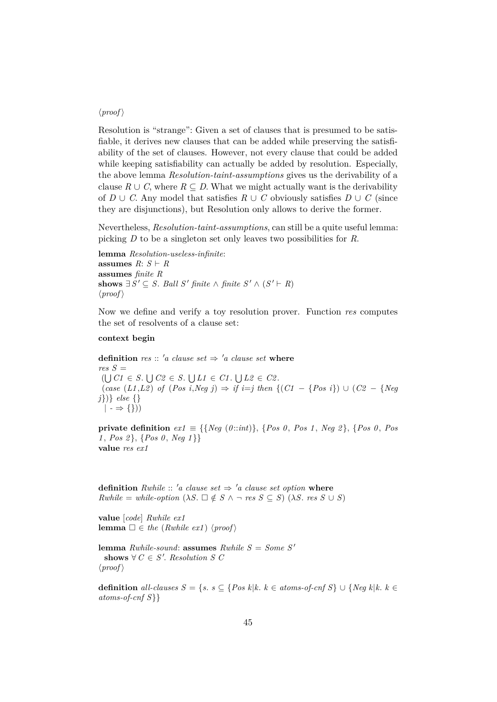## $\langle proof \rangle$

Resolution is "strange": Given a set of clauses that is presumed to be satisfiable, it derives new clauses that can be added while preserving the satisfiability of the set of clauses. However, not every clause that could be added while keeping satisfiability can actually be added by resolution. Especially, the above lemma *Resolution-taint-assumptions* gives us the derivability of a clause  $R \cup C$ , where  $R \subseteq D$ . What we might actually want is the derivability of *D* ∪ *C*. Any model that satisfies  $R$  ∪ *C* obviously satisfies  $D$  ∪ *C* (since they are disjunctions), but Resolution only allows to derive the former.

Nevertheless, *Resolution-taint-assumptions*, can still be a quite useful lemma: picking *D* to be a singleton set only leaves two possibilities for *R*.

**lemma** *Resolution-useless-infinite*: **assumes**  $R: S \vdash R$ **assumes** *finite R* **shows**  $\exists S' \subseteq S$ . *Ball S' finite* ∧ *finite*  $S' \wedge (S' \vdash R)$  $\langle proof \rangle$ 

Now we define and verify a toy resolution prover. Function *res* computes the set of resolvents of a clause set:

#### **context begin**

**definition** *res* :: 'a clause set  $\Rightarrow$  'a clause set where  $res S =$  $(\bigcup C1 \in S. \bigcup C2 \in S. \bigcup L1 \in C1. \bigcup L2 \in C2.$ (*case* (*L1* ,*L2* ) *of* (*Pos i*,*Neg j*) ⇒ *if i*=*j then* {(*C1* − {*Pos i*}) ∪ (*C2* − {*Neg j*})} *else* {}  $| \rightarrow \{\})$ 

**private definition**  $ext{ex1} \equiv \{ \{ Neg \ (0::int) \}, \{ Pos \ 0, Pos \ 1, Neg \ 2 \}, \{ Pos \ 0, Pos \ 0, Pos \} \}$ *1* , *Pos 2* }, {*Pos 0* , *Neg 1* }} **value** *res ex1*

**definition** *Rwhile* :: '*a clause set*  $\Rightarrow$  '*a clause set option* **where**  $Rwhile = while\text{-}option (\lambda S. \Box \notin S \land \neg \text{ res } S \subseteq S) (\lambda S. \text{ res } S \cup S)$ 

**value** [*code*] *Rwhile ex1* **lemma**  $\Box \in \text{the (Rwhile ext)} \langle \text{proof} \rangle$ 

**lemma** *Rwhile-sound*: **assumes** *Rwhile*  $S = Some S'$ shows  $\forall C \in S'.$  *Resolution S C*  $\langle proof \rangle$ 

**definition** *all-clauses S* = {*s*. *s* ⊆ {*Pos k*|*k*. *k* ∈ *atoms-of-cnf S*} ∪ {*Neg k*|*k*. *k* ∈ *atoms-of-cnf S*}}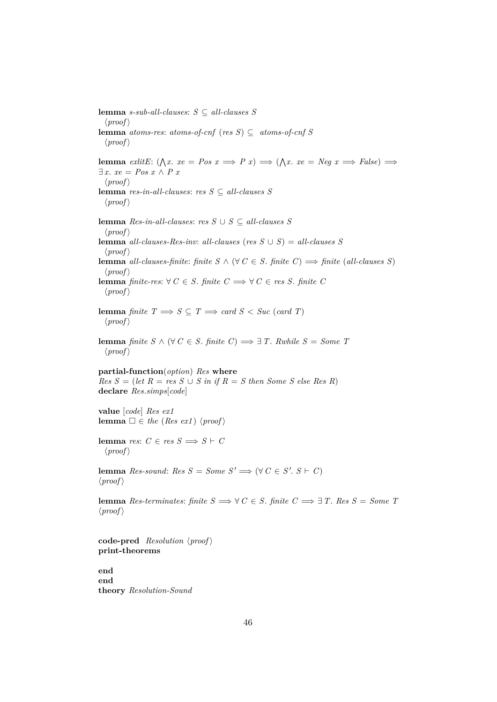**lemma** *s-sub-all-clauses*: *S* ⊆ *all-clauses S*  $\langle proof \rangle$ **lemma** *atoms-res*: *atoms-of-cnf* (*res S*) ⊆ *atoms-of-cnf* S  $\langle proof \rangle$ **lemma** *exlitE*:  $(\bigwedge x \cdot xe = Pos \; x \implies P \; x) \implies (\bigwedge x \cdot xe = Neg \; x \implies False) \implies$ ∃ *x*. *xe* = *Pos x* ∧ *P x*  $\langle proof \rangle$ **lemma** *res-in-all-clauses*: *res S* ⊆ *all-clauses S*  $\langle proof \rangle$ **lemma** *Res-in-all-clauses*: *res S* ∪ *S* ⊆ *all-clauses S*  $\langle proof \rangle$ **lemma** *all-clauses-Res-inv*: *all-clauses* (*res*  $S \cup S$ ) = *all-clauses*  $S$  $\langle proof \rangle$ **lemma** *all-clauses-finite: finite*  $S \wedge (\forall C \in S$ *. finite*  $C) \Longrightarrow$  *finite* (*all-clauses S*)  $\langle proof \rangle$ **lemma** *finite-res*: ∀ *C* ∈ *S*. *finite C*  $\implies$  ∀ *C* ∈ *res S*. *finite C*  $\langle proof \rangle$ **lemma** *finite*  $T \implies S \subseteq T \implies card S < Succ \ (card \ T)$  $\langle proof \rangle$ **lemma** *finite*  $S \wedge (\forall C \in S$ *. finite*  $C) \implies ∃T$ *. Rwhile*  $S = Some$  *T*  $\langle proof \rangle$ **partial-function**(*option*) *Res* **where**  $Res S = (let R = res S \cup S in if R = S then Some S else Res R)$ **declare** *Res*.*simps*[*code*] **value** [*code*] *Res ex1* **lemma**  $\square \in \text{the (Res ext) (proof)}$ **lemma** *res*:  $C \in res S \implies S \vdash C$  $\langle proof \rangle$ **lemma**  $Res\text{-}sound: Res S = Some S' \implies (\forall C \in S'. S \vdash C)$  $\langle proof \rangle$ **lemma** *Res-terminates: finite*  $S \implies \forall C \in S$ *. finite*  $C \implies \exists T$ *. Res*  $S = Some$  *<i>T*  $\langle proof \rangle$ **code-pred**  $Resolution$   $\langle proof \rangle$ **print-theorems end**

**end theory** *Resolution-Sound*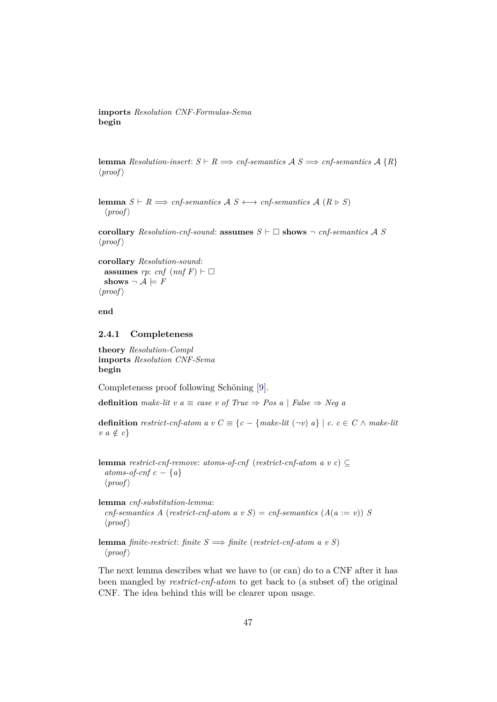**imports** *Resolution CNF-Formulas-Sema* **begin**

**lemma** *Resolution-insert:*  $S \vdash R \Longrightarrow \text{cnf-semantics}$   $A S \Longrightarrow \text{cnf-semantics}$   $A \{R\}$  $\langle proof \rangle$ 

**lemma**  $S \vdash R \Longrightarrow \text{cnf-semantics}$   $A \subseteq S \longleftrightarrow \text{cnf-semantics}$   $A \subseteq R \triangleright S$  $\langle proof \rangle$ 

**corollary** *Resolution-cnf-sound:* **assumes**  $S \vdash \Box$  **shows**  $\neg$  *cnf-semantics* A *S*  $\langle proof \rangle$ 

**corollary** *Resolution-sound*: **assumes** *rp*: *cnf*  $(nnfF) \vdash \Box$ shows  $\neg A \models F$  $\langle proof \rangle$ 

**end**

#### <span id="page-46-0"></span>**2.4.1 Completeness**

**theory** *Resolution-Compl* **imports** *Resolution CNF-Sema* **begin**

Completeness proof following Schöning [\[9\]](#page-57-0).

**definition** make-lit v  $a \equiv \text{case}$  v of True  $\Rightarrow \text{Pos } a \mid \text{False} \Rightarrow \text{Neg } a$ 

**definition** *restrict-cnf-atom a v*  $C \equiv \{c - \{make\}$   $\{c - \{make\}$   $\} \mid c, c \in C \land make\}$  $v \ a \notin c$ 

**lemma** *restrict-cnf-remove*: *atoms-of-cnf* (*restrict-cnf-atom a v c*) ⊆ *atoms-of-cnf c*  $-$  {*a*}  $\langle proof \rangle$ 

**lemma** *cnf-substitution-lemma*:  $cnf$ -semantics A (*restrict-cnf-atom a v S*) =  $cnf$ -semantics ( $A(a := v)$ ) *S*  $\langle proof \rangle$ 

**lemma** *finite-restrict*: *finite*  $S \implies$  *finite* (*restrict-cnf-atom a v S*)  $\langle proof \rangle$ 

The next lemma describes what we have to (or can) do to a CNF after it has been mangled by *restrict-cnf-atom* to get back to (a subset of) the original CNF. The idea behind this will be clearer upon usage.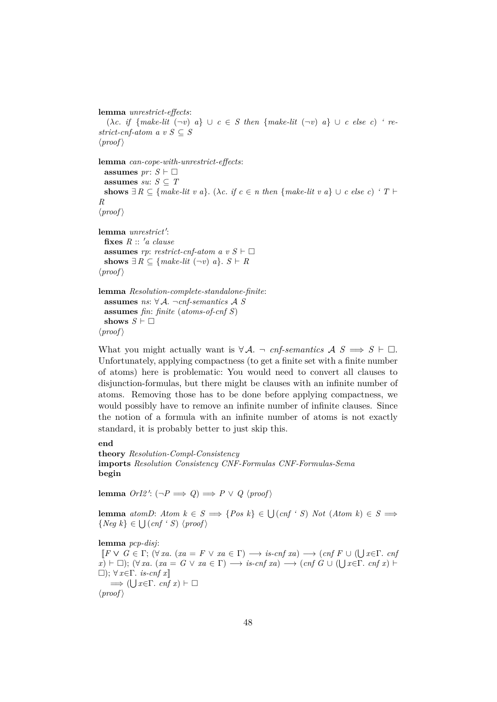```
lemma unrestrict-effects:
   (\lambda c. \textit{if } \{make\text{-}lit } (\neg v) \textit{a}\} \cup c \in S \textit{ then } \{make\text{-}lit } (\neg v) \textit{a}\} \cup c \textit{ else } c) 're-
strict-cnf-atom a v S \subseteq S
\langle proof \ranglelemma can-cope-with-unrestrict-effects:
  assumes pr: S \vdash \Boxassumes su: S \subseteq Tshows \exists R \subseteq \{make\text{-}lit \ v \ a\}. (\lambda c. if c \in n then \{make\text{-}lit \ v \ a\} \cup c \ else \ c) ' T \vdashR
\langle proof \ranglelemma unrestrict':
  fixes R :: 'a clause
  assumes rp: restrict-cnf-atom a v S \vdash \Boxshows ∃ R ⊂ {make-lit (¬v) a}. S \vdash R
\langle proof \ranglelemma Resolution-complete-standalone-finite:
  assumes ns: ∀ A. ¬cnf-semantics A S
  assumes fin: finite (atoms-of-cnf S)
  shows S \vdash \Box\langle proof \rangle
```
What you might actually want is  $\forall A$ .  $\neg$  *cnf-semantics*  $A S \implies S \vdash \Box$ . Unfortunately, applying compactness (to get a finite set with a finite number of atoms) here is problematic: You would need to convert all clauses to disjunction-formulas, but there might be clauses with an infinite number of atoms. Removing those has to be done before applying compactness, we would possibly have to remove an infinite number of infinite clauses. Since the notion of a formula with an infinite number of atoms is not exactly standard, it is probably better to just skip this.

#### **end**

```
theory Resolution-Compl-Consistency
imports Resolution Consistency CNF-Formulas CNF-Formulas-Sema
begin
```
 $\textbf{lemma } OrI2': (\neg P \implies Q) \implies P \lor Q \langle proof \rangle$ 

**lemma**  $atomD: Atom \, k \in S \implies \{Pos \, k\} \in \bigcup (cnf \land S) \, Not \, (Atom \, k) \in S \implies$  $\{Neg\ k\} \in \bigcup (cnf \cdot S) \ \langle proof \rangle$ 

#### **lemma** *pcp-disj*:

 $[F \vee G \in \Gamma; (\forall xa. (xa = F \vee xa \in \Gamma) \longrightarrow is \text{-}cnf\text{ }xa) \longrightarrow (cnf\text{ }F \cup (\bigcup x \in \Gamma, cnf))$  $\overline{x}$ )  $\vdash \Box$ ); ( $\forall$  *xa*. (*xa* = *G*  $\lor$  *xa* ∈ Γ)  $\longrightarrow$  *is-cnf xa*)  $\longrightarrow$  (*cnf G* ∪ ( $\bigcup$  *x*∈Γ. *cnf x*)  $\vdash$ ); ∀ *x*∈Γ. *is-cnf x*]]  $\implies$  ( $\bigcup x \in \Gamma$ . *cnf x*)  $\vdash \Box$  $\langle proof \rangle$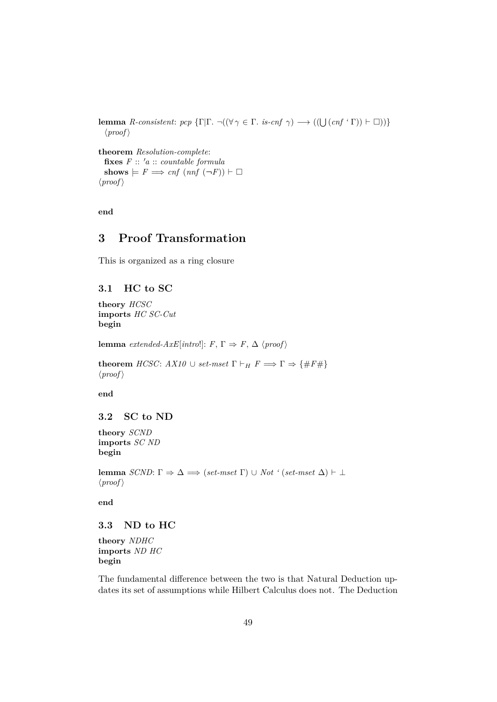**lemma** *R-consistent*: *pcp*  $\{\Gamma | \Gamma \cdot \neg ((\forall \gamma \in \Gamma \cdot \text{ is } -cnf \gamma) \longrightarrow ((\bigcup (cnf \cdot \Gamma)) \vdash \Box))\}$  $\langle proof \rangle$ 

**theorem** *Resolution-complete*:  $f \mathbf{ixes} \ F :: 'a :: countable formula$  $\textbf{shows} \models F \Longrightarrow \text{cnf}( \text{nnf}(\neg F)) \vdash \Box$  $\langle proof \rangle$ 

**end**

## <span id="page-48-0"></span>**3 Proof Transformation**

This is organized as a ring closure

## <span id="page-48-1"></span>**3.1 HC to SC**

**theory** *HCSC* **imports** *HC SC-Cut* **begin**

**lemma** *extended-AxE*[*intro*!]:  $F, \Gamma \Rightarrow F, \Delta$  \*proof* \end{*p*}

**theorem** *HCSC*:  $AX10 \cup set-mset$   $\Gamma \vdash_H F \Longrightarrow \Gamma \Rightarrow \{\#F\#\}$  $\langle proof \rangle$ 

**end**

## <span id="page-48-2"></span>**3.2 SC to ND**

**theory** *SCND* **imports** *SC ND* **begin**

**lemma**  $SCND: \Gamma \Rightarrow \Delta \implies (set-mset \Gamma) \cup Not \ (set-mset \Delta) \vdash \bot$  $\langle proof \rangle$ 

**end**

## <span id="page-48-3"></span>**3.3 ND to HC**

**theory** *NDHC* **imports** *ND HC* **begin**

The fundamental difference between the two is that Natural Deduction updates its set of assumptions while Hilbert Calculus does not. The Deduction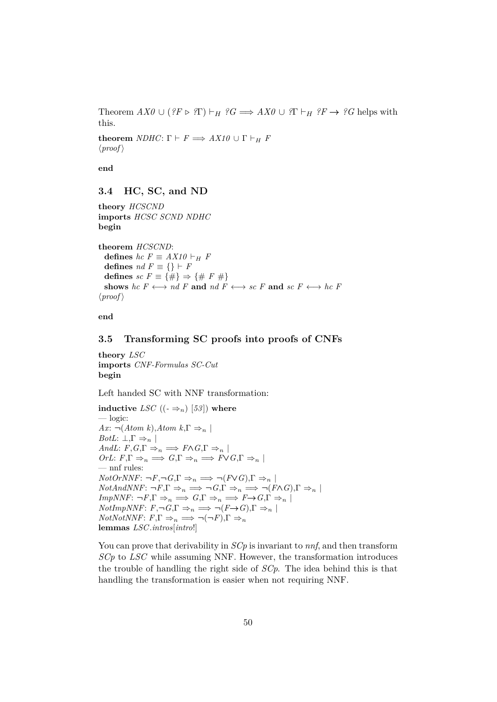Theorem  $AX0 \cup (?F \triangleright ?T) \vdash_H ?G \Longrightarrow AX0 \cup ?T \vdash_H ?F \rightarrow ?G$  helps with this.

**theorem** *NDHC*:  $\Gamma \vdash F \Longrightarrow AX10 \cup \Gamma \vdash_H F$  $\langle proof \rangle$ 

**end**

#### <span id="page-49-0"></span>**3.4 HC, SC, and ND**

**theory** *HCSCND* **imports** *HCSC SCND NDHC* **begin**

**theorem** *HCSCND*: **defines**  $hc F \equiv AX10 \vdash_H F$ **defines**  $nd F \equiv \{\} \vdash F$ defines  $sc F \equiv \{\#\} \Rightarrow \{\# F \neq\}$ shows  $hc \ F \longleftrightarrow nd \ F$  and  $nd \ F \longleftrightarrow sc \ F$  and  $sc \ F \longleftrightarrow hc \ F$  $\langle proof \rangle$ 

**end**

## <span id="page-49-1"></span>**3.5 Transforming SC proofs into proofs of CNFs**

**theory** *LSC* **imports** *CNF-Formulas SC-Cut* **begin**

Left handed SC with NNF transformation:

**inductive** *LSC*  $((-\Rightarrow_n)[53])$  where — logic: *Ax*:  $\neg$ (*Atom k*),*Atom k*,Γ  $\Rightarrow$ <sub>n</sub> | *BotL*:  $\bot, \Gamma \Rightarrow_n \ |$ *AndL*:  $F, G, \Gamma \Rightarrow_n \implies F \wedge G, \Gamma \Rightarrow_n |$  $OrL: F, \Gamma \Rightarrow_n \Rightarrow G, \Gamma \Rightarrow_n \Rightarrow F \vee G, \Gamma \Rightarrow_n |$ — nnf rules:  $NotOrNNF: \neg F, \neg G, \Gamma \Rightarrow_n \implies \neg (F \lor G), \Gamma \Rightarrow_n |$  $NotAndNNF: \neg F, \Gamma \Rightarrow_n \implies \neg G, \Gamma \Rightarrow_n \implies \neg (F \wedge G), \Gamma \Rightarrow_n |$  $ImpNNF: \neg F, \Gamma \Rightarrow_n \implies G, \Gamma \Rightarrow_n \implies F \rightarrow G, \Gamma \Rightarrow_n$  $NotImpNNF: F, \neg G, \Gamma \Rightarrow_n \implies \neg (F \rightarrow G), \Gamma \Rightarrow_n |$  $NotNotNNF: F, \Gamma \Rightarrow_n \implies \neg(\neg F), \Gamma \Rightarrow_n$ **lemmas** *LSC*.*intros*[*intro*!]

You can prove that derivability in *SCp* is invariant to *nnf*, and then transform *SCp* to *LSC* while assuming NNF. However, the transformation introduces the trouble of handling the right side of *SCp*. The idea behind this is that handling the transformation is easier when not requiring NNF.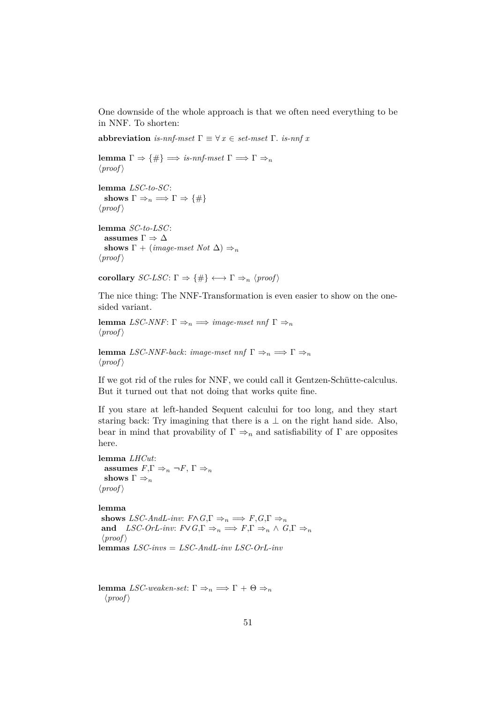One downside of the whole approach is that we often need everything to be in NNF. To shorten:

**abbreviation** *is-nnf-mset*  $\Gamma \equiv \forall x \in set\text{--}mset \Gamma$ . *is-nnf x* 

```
lemma \Gamma \Rightarrow {\#} \Longrightarrow \text{is-nnf-mset} \Gamma \Longrightarrow \Gamma \Rightarrow_n\langle proof \rangle
```

```
lemma LSC-to-SC:
  shows \Gamma \Rightarrow_n \implies \Gamma \Rightarrow \{\#\}\langle proof \rangle
```

```
lemma SC-to-LSC:
  assumes \Gamma \Rightarrow \Deltashows \Gamma + (image-mset Not \Delta) \Rightarrow<sub>n</sub>
\langle proof \rangle
```
**corollary** *SC-LSC*:  $\Gamma \Rightarrow \{\#\} \longleftrightarrow \Gamma \Rightarrow_n \langle \text{proof} \rangle$ 

The nice thing: The NNF-Transformation is even easier to show on the onesided variant.

```
lemma LSC-NNF: \Gamma \Rightarrow_n \implies \text{image-mset} nnf \Gamma \Rightarrow_n\langle proof \rangle
```
**lemma** *LSC-NNF-back*: *image-mset*  $nnf \Gamma \Rightarrow_n \implies \Gamma \Rightarrow_n$  $\langle proof \rangle$ 

If we got rid of the rules for NNF, we could call it Gentzen-Schütte-calculus. But it turned out that not doing that works quite fine.

If you stare at left-handed Sequent calcului for too long, and they start staring back: Try imagining that there is a  $\perp$  on the right hand side. Also, bear in mind that provability of  $\Gamma \Rightarrow_n$  and satisfiability of  $\Gamma$  are opposites here.

**lemma** *LHCut*: **assumes**  $F, \Gamma \Rightarrow_n \neg F, \Gamma \Rightarrow_n$ **shows**  $\Gamma \Rightarrow_n$  $\langle proof \rangle$ 

**lemma**

**shows** *LSC-AndL-inv:*  $F \wedge G$ ,  $\Gamma \Rightarrow_n \Rightarrow F$ ,  $G$ ,  $\Gamma \Rightarrow_n$ **and** *LSC-OrL-inv:*  $F \lor G, \Gamma \Rightarrow_n \Rightarrow F, \Gamma \Rightarrow_n \land G, \Gamma \Rightarrow_n$  $\langle proof \rangle$ **lemmas** *LSC-invs* = *LSC-AndL-inv LSC-OrL-inv*

```
lemma LSC-weaken-set: Γ \Rightarrow<sub>n</sub> \Rightarrow Γ + Θ \Rightarrow<sub>n</sub>
   \langle proof \rangle
```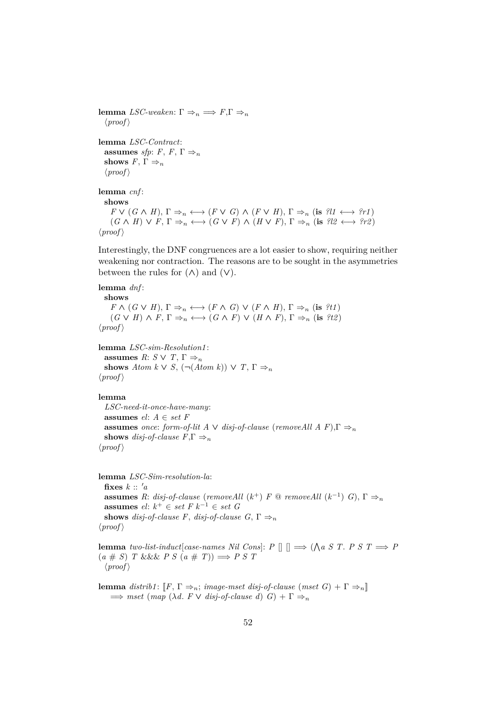```
lemma LSC-weaken: Γ \Rightarrow π \Rightarrow F, \Gamma \Rightarrow\langle proof \ranglelemma LSC-Contract:
   assumes sfp: F, F, \Gamma \Rightarrow_nshows F, \Gamma \Rightarrow_n\langle proof \ranglelemma cnf :
   shows
      F \vee (G \wedge H), \Gamma \Rightarrow_n \longleftrightarrow (F \vee G) \wedge (F \vee H), \Gamma \Rightarrow_n (\text{is } ?\mathcal{U} \longleftrightarrow ?\mathcal{U})(G \wedge H) \vee F, \Gamma \Rightarrow_n \longleftrightarrow (G \vee F) \wedge (H \vee F), \Gamma \Rightarrow_n (\text{is } ? \mathcal{Q} \longleftrightarrow ? \mathcal{P} \mathcal{Q})\langle proof \rangle
```
Interestingly, the DNF congruences are a lot easier to show, requiring neither weakening nor contraction. The reasons are to be sought in the asymmetries between the rules for  $(\wedge)$  and  $(\vee)$ .

```
lemma dnf :
```
**shows**  $F \wedge (G \vee H), \Gamma \Rightarrow_n \longleftrightarrow (F \wedge G) \vee (F \wedge H), \Gamma \Rightarrow_n (\text{is } ?t1)$  $(G \vee H) \wedge F, \Gamma \Rightarrow_n \longleftrightarrow (G \wedge F) \vee (H \wedge F), \Gamma \Rightarrow_n (\text{is } ?t2)$  $\langle proof \rangle$ 

**lemma** *LSC-sim-Resolution1* : **assumes**  $R: S \vee T, \Gamma \Rightarrow_n$ **shows** *Atom k*  $\vee$  *S*,  $(\neg (Atom \ k)) \vee T$ ,  $\Gamma \Rightarrow_n$  $\langle proof \rangle$ 

#### **lemma**

*LSC-need-it-once-have-many*: **assumes**  $el: A \in set F$ **assumes** *once: form-of-lit A*  $\vee$  *disj-of-clause* (*removeAll A F*),  $\Gamma \Rightarrow_n$ **shows** *disj-of-clause*  $F, \Gamma \Rightarrow_n$  $\langle proof \rangle$ 

**lemma** *LSC-Sim-resolution-la*: fixes  $k :: 'a$ **assumes** *R*: *disj-of-clause* (*removeAll* ( $k^+$ ) *F* @ *removeAll* ( $k^{-1}$ ) *G*),  $\Gamma \Rightarrow_n$ **assumes** *el*: *k* <sup>+</sup> ∈ *set F k*−<sup>1</sup> ∈ *set G* **shows** *disj-of-clause F*, *disj-of-clause G*,  $\Gamma \Rightarrow_n$  $\langle proof \rangle$ 

**lemma** *two-list-induct*[*case-names Nil Cons*]:  $P \parallel \parallel \implies (\bigwedge a \ S \ T. \ P \ S \ T \implies P)$  $(a \# S)$  *T* &&& *P S*  $(a \# T)$   $\Rightarrow$  *P S T*  $\langle proof \rangle$ 

**lemma** distrib1:  $\llbracket F, \Gamma \Rightarrow_n$ ; *image-mset disj-of-clause* (*mset G*) +  $\Gamma \Rightarrow_n \llbracket$  $\implies$  *mset* (*map* ( $\lambda d$ . *F*  $\vee$  *disj-of-clause d*) *G*) +  $\Gamma \Rightarrow$ <sup>n</sup>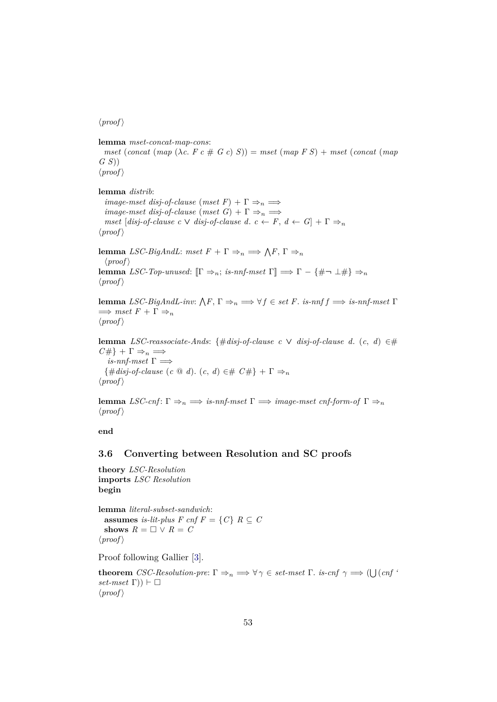$\langle proof \rangle$ 

**lemma** *mset-concat-map-cons*: *mset* (*concat* (*map* ( $\lambda c$ ,  $F c \neq G c$ )  $S$ )) = *mset* (*map*  $F S$ ) + *mset* (*concat* (*map G S*))  $\langle proof \rangle$ 

**lemma** *distrib*:

*image-mset disj-of-clause*  $(mset F) + \Gamma \Rightarrow_n \Longrightarrow$ *image-mset disj-of-clause*  $(mset\ G) + \Gamma \Rightarrow_n \Longrightarrow$ *mset*  $[disj-of-clause \ c \ \lor \ disj-of-clause \ d. \ c \ \leftarrow \ F, \ d \ \leftarrow \ G] + \Gamma \Rightarrow_n$  $\langle proof \rangle$ 

**lemma** *LSC-BigAndL*: *mset*  $F + \Gamma \Rightarrow_n \implies \bigwedge F, \Gamma \Rightarrow_n$  $\langle proof \rangle$ **lemma** *LSC-Top-unused*:  $[\Gamma \Rightarrow_n; \text{ is-nnf-mset} \Gamma] \implies \Gamma - \{\#\neg \bot \# \} \Rightarrow_n$  $\langle proof \rangle$ 

**lemma** *LSC-BigAndL-inv*:  $\bigwedge F$ ,  $\Gamma \Rightarrow_n \Longrightarrow \forall f \in set \ F$ . *is-nnf f*  $\Longrightarrow$  *is-nnf-mset*  $\Gamma$  $\implies$  *mset*  $F + \Gamma \Rightarrow_n$  $\langle proof \rangle$ 

**lemma** *LSC-reassociate-Ands*: {#*disj-of-clause c* ∨ *disj-of-clause d*. (*c*, *d*) ∈#  $C\#$ } +  $\Gamma \Rightarrow_n \implies$  $is\text{-}nnf\text{-}mset\ \Gamma \implies$  $\{\text{\#disj-of-clause } (c \text{ @ } d) \text{. } (c, d) \in \text{\# } C \# \} + \Gamma \Rightarrow_n$  $\langle proof \rangle$ 

**lemma** *LSC-cnf*:  $\Gamma \Rightarrow_n \implies$  *is-nnf-mset*  $\Gamma \Rightarrow \text{image-mset~cnf-form-of~} \Gamma \Rightarrow_n$  $\langle proof \rangle$ 

**end**

## <span id="page-52-0"></span>**3.6 Converting between Resolution and SC proofs**

**theory** *LSC-Resolution* **imports** *LSC Resolution* **begin**

**lemma** *literal-subset-sandwich*: **assumes** *is-lit-plus*  $F$  *cnf*  $F = \{C\}$   $R \subseteq C$ **shows**  $R = \Box \lor R = C$  $\langle proof \rangle$ 

Proof following Gallier [\[3\]](#page-57-1).

**theorem** *CSC-Resolution-pre*:  $\Gamma \Rightarrow_n \Longrightarrow \forall \gamma \in set-mset$   $\Gamma$ *. is-cnf*  $\gamma \Longrightarrow (\bigcup (cnf \land m) \land (cnf \land m))$  $set-mset$   $\Gamma$ )  $\vdash \Box$  $\langle proof \rangle$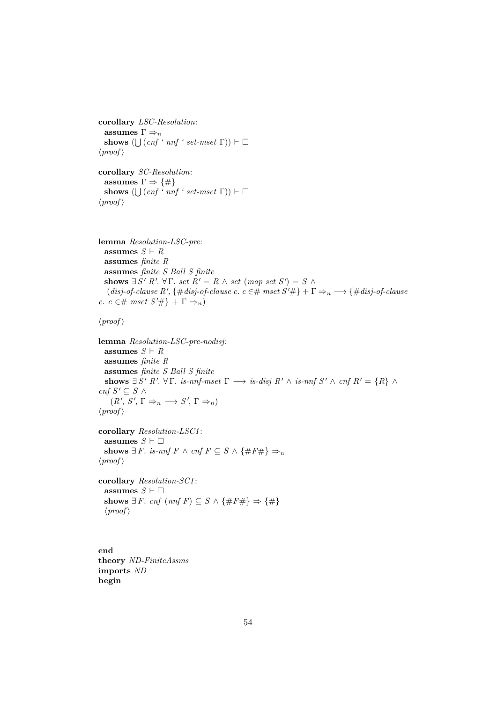**corollary** *LSC-Resolution*:  $\textbf{assumes}~\Gamma \Rightarrow_n$ **shows**  $(\bigcup (cnf \cdot nnf \cdot set-mset \Gamma)) \vdash \Box$  $\langle proof \rangle$ 

**corollary** *SC-Resolution*: **assumes**  $\Gamma \Rightarrow {\{\#\}}$ **shows**  $(\bigcup (cnf \cdot nnf \cdot set-mset \Gamma)) \vdash \Box$  $\langle proof \rangle$ 

```
lemma Resolution-LSC-pre:
  assumes S \vdash Rassumes finite R
  assumes finite S Ball S finite
  shows \exists S' R'. \forall \Gamma. \text{ set } R' = R \land \text{ set } (map \text{ set } S') = S \land(disj-of-clause R', \{\# disj-of-clause c. c \in \# \ mset S' \# \} + \Gamma \Rightarrow_n \longrightarrow \{\# disj-of-clause c \}c. c ∈# mset S'#} + \Gamma \Rightarrow_n)
```
 $\langle proof \rangle$ 

```
lemma Resolution-LSC-pre-nodisj:
  assumes S \vdash Rassumes finite R
  assumes finite S Ball S finite
   shows \exists S' R'. \forall \Gamma. is-nnf-mset \Gamma \longrightarrow is-disj R' \wedge is-nnf S' \wedge \text{cnf } R' = \{R\} \wedgecnf S' ⊂ S ∧
     (R', S', \Gamma \Rightarrow_n \longrightarrow S', \Gamma \Rightarrow_n)\langle proof \rangle
```
**corollary** *Resolution-LSC1* : **assumes**  $S \vdash \Box$ **shows**  $\exists F$ *. is-nnf*  $F \wedge \text{cnf } F \subseteq S \wedge \{\#F\#\} \Rightarrow_n$  $\langle proof \rangle$ 

**corollary** *Resolution-SC1* : **assumes**  $S \vdash \Box$ **shows** ∃ *F*. *cnf* (*nnf F*) ⊆ *S*  $\land$  {#*F*#}  $\Rightarrow$  {#}  $\langle proof \rangle$ 

**end theory** *ND-FiniteAssms* **imports** *ND* **begin**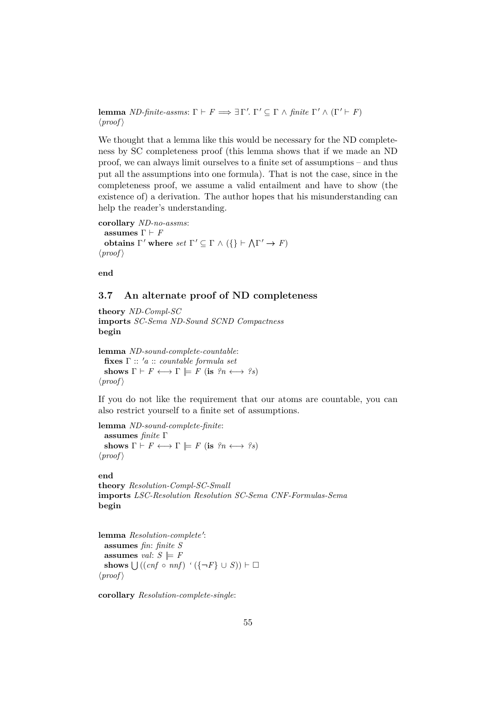**lemma** *ND-finite-assms*:  $\Gamma \vdash F \Longrightarrow \exists \Gamma'. \Gamma' \subseteq \Gamma \land \text{finite } \Gamma' \land (\Gamma' \vdash F)$  $\langle proof \rangle$ 

We thought that a lemma like this would be necessary for the ND completeness by SC completeness proof (this lemma shows that if we made an ND proof, we can always limit ourselves to a finite set of assumptions – and thus put all the assumptions into one formula). That is not the case, since in the completeness proof, we assume a valid entailment and have to show (the existence of) a derivation. The author hopes that his misunderstanding can help the reader's understanding.

**corollary** *ND-no-assms*: **assumes**  $\Gamma \vdash F$ **obtains**  $\Gamma'$  where  $set \Gamma' \subseteq \Gamma \wedge (\{\} \vdash \wedge \Gamma' \rightarrow F)$  $\langle proof \rangle$ 

**end**

## <span id="page-54-0"></span>**3.7 An alternate proof of ND completeness**

**theory** *ND-Compl-SC* **imports** *SC-Sema ND-Sound SCND Compactness* **begin**

**lemma** *ND-sound-complete-countable*: **fixes** Γ :: <sup>0</sup>*a* :: *countable formula set* **shows**  $\Gamma \vdash F \longleftrightarrow \Gamma \models F$  (**is**  $\mathcal{P}_n \longleftrightarrow \mathcal{P}_s$ )  $\langle proof \rangle$ 

If you do not like the requirement that our atoms are countable, you can also restrict yourself to a finite set of assumptions.

**lemma** *ND-sound-complete-finite*: **assumes** *finite* Γ **shows**  $\Gamma \vdash F \longleftrightarrow \Gamma \models F$  (**is**  $\mathcal{P}_n \longleftrightarrow \mathcal{P}_s$ )  $\langle proof \rangle$ 

**end theory** *Resolution-Compl-SC-Small* **imports** *LSC-Resolution Resolution SC-Sema CNF-Formulas-Sema* **begin**

lemma Resolution-complete': **assumes** *fin*: *finite S* **assumes** *val*:  $S \models F$ **shows**  $\bigcup ((cnf \circ nnf) \land (\{\neg F\} \cup S)) \vdash □$  $\langle proof \rangle$ 

**corollary** *Resolution-complete-single*: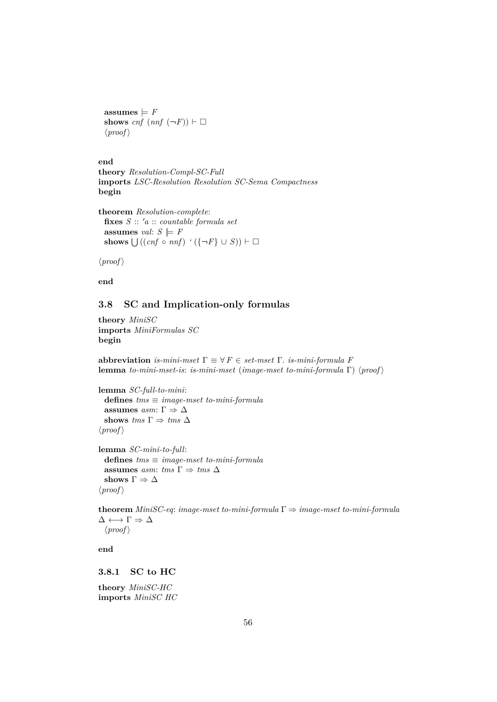$\text{assumes} \models F$ **shows**  $cnf$   $(nnf (\neg F)) \vdash \Box$  $\langle proof \rangle$ 

**end**

```
theory Resolution-Compl-SC-Full
imports LSC-Resolution Resolution SC-Sema Compactness
begin
```

```
theorem Resolution-complete:
  fixes S :: 0a :: countable formula set
 assumes val: S \models Fshows \bigcup ((cnf \circ nnf) \land (\{\neg F\} \cup S)) \vdash □
```
 $\langle proof \rangle$ 

**end**

## <span id="page-55-0"></span>**3.8 SC and Implication-only formulas**

**theory** *MiniSC* **imports** *MiniFormulas SC* **begin**

**abbreviation** *is-mini-mset*  $\Gamma \equiv \forall F \in set\$  *nset*  $\Gamma$ *. is-mini-formula F* **lemma** *to-mini-mset-is*: *is-mini-mset* (*image-mset to-mini-formula*  $\Gamma$ )  $\langle proof \rangle$ 

**lemma** *SC-full-to-mini*: **defines** *tms* ≡ *image-mset to-mini-formula* **assumes**  $asm: \Gamma \Rightarrow \Delta$ **shows** *tms*  $\Gamma \Rightarrow$  *tms*  $\Delta$  $\langle proof \rangle$ 

**lemma** *SC-mini-to-full*: **defines** *tms* ≡ *image-mset to-mini-formula* **assumes** *asm: tms*  $\Gamma \Rightarrow$  *tms*  $\Delta$ shows  $\Gamma \Rightarrow \Delta$  $\langle proof \rangle$ 

**theorem** *MiniSC-eq*: *image-mset to-mini-formula* Γ ⇒ *image-mset to-mini-formula*  $\Delta \longleftrightarrow \Gamma \Rightarrow \Delta$  $\langle proof \rangle$ 

**end**

<span id="page-55-1"></span>**3.8.1 SC to HC**

**theory** *MiniSC-HC* **imports** *MiniSC HC*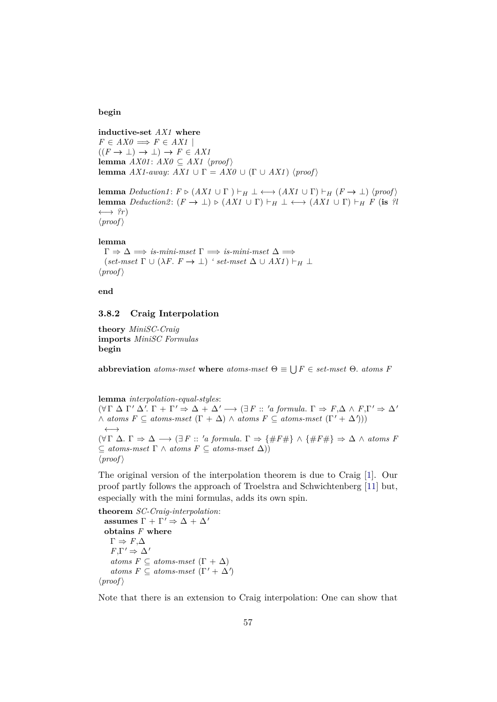#### **begin**

**inductive-set** *AX1* **where**  $F \in AXO \implies F \in AXI$  $((F \rightarrow \bot) \rightarrow \bot) \rightarrow F \in AXI$ **lemma**  $AX01$ :  $AX0 \subseteq AX1$   $\langle proof \rangle$ **lemma** *AX1-away*: *AX1*  $\cup$   $\Gamma = AX0 \cup (\Gamma \cup AX1)$   $\langle proof \rangle$ 

**lemma**  $Deduction1: F \triangleright (AX1 \cup \Gamma) \vdash_H \bot \longleftrightarrow (AX1 \cup \Gamma) \vdash_H (F \rightarrow \bot) \langle proof \rangle$ **lemma** *Deduction2*:  $(F \to \bot) \triangleright (AX1 \cup \Gamma) \vdash_H \bot \longleftrightarrow (AX1 \cup \Gamma) \vdash_H F$  (**is** *?l*  $\longleftrightarrow$  ?r)  $\langle proof \rangle$ 

#### **lemma**

 $\Gamma \Rightarrow \Delta \implies$  *is-mini-mset*  $\Gamma \implies$  *is-mini-mset*  $\Delta \implies$  $(set-mset \Gamma \cup (\lambda F. F \rightarrow \bot)$  *' set-mset*  $\Delta \cup AX1$  )  $\vdash_H \bot$  $\langle proof \rangle$ 

**end**

## <span id="page-56-0"></span>**3.8.2 Craig Interpolation**

**theory** *MiniSC-Craig* **imports** *MiniSC Formulas* **begin**

**abbreviation** *atoms-mset* **where** *atoms-mset*  $\Theta \equiv \bigcup F \in \text{set-mset}$   $\Theta$ . *atoms F* 

**lemma** *interpolation-equal-styles*:  $(\forall \Gamma \Delta \Gamma' \Delta'. \Gamma + \Gamma' \Rightarrow \Delta + \Delta' \rightarrow (\exists F :: 'a \ formula. \Gamma \Rightarrow F, \Delta \wedge F, \Gamma' \Rightarrow \Delta'$  $\land$  *atoms F*  $\subseteq$  *atoms-mset*  $(\Gamma + \Delta) \land$  *atoms F*  $\subseteq$  *atoms-mset*  $(\Gamma' + \Delta'))$ ←→  $(\forall \Gamma \Delta. \Gamma \Rightarrow \Delta \rightarrow (\exists F :: 'a \ formula. \Gamma \Rightarrow \{\#F\# \} \wedge \{\#F\# \} \Rightarrow \Delta \wedge atoms \ F$ ⊆ *atoms-mset* Γ ∧ *atoms F* ⊆ *atoms-mset* ∆))  $\langle proof \rangle$ 

The original version of the interpolation theorem is due to Craig [\[1\]](#page-57-8). Our proof partly follows the approach of Troelstra and Schwichtenberg [\[11\]](#page-58-1) but, especially with the mini formulas, adds its own spin.

**theorem** *SC-Craig-interpolation*: **assumes**  $\Gamma + \Gamma' \Rightarrow \Delta + \Delta'$ **obtains** *F* **where**  $\Gamma \Rightarrow F, \Delta$  $F,\Gamma' \Rightarrow \Delta'$ *atoms F*  $\subseteq$  *atoms-mset*  $(\Gamma + \Delta)$  $atoms F \subseteq atoms-mset (\Gamma' + \Delta')$  $\langle proof \rangle$ 

Note that there is an extension to Craig interpolation: One can show that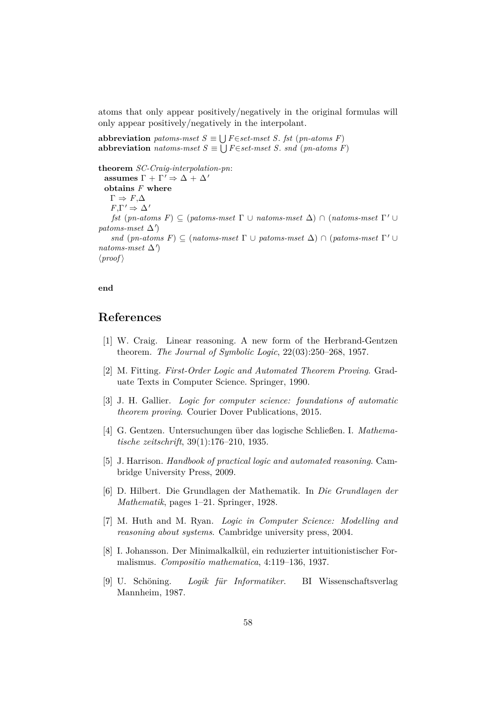atoms that only appear positively/negatively in the original formulas will only appear positively/negatively in the interpolant.

**abbreviation** *patoms-mset*  $S \equiv \bigcup F \in set-mset$  *S. fst* (*pn-atoms F*) **abbreviation** *natoms-mset*  $S \equiv \bigcup F \in set-mset$  *S. snd* (*pn-atoms F*)

**theorem** *SC-Craig-interpolation-pn*:

**assumes**  $\Gamma + \Gamma' \Rightarrow \Delta + \Delta'$ **obtains** *F* **where**  $\Gamma \Rightarrow F.\Delta$  $F,\Gamma' \Rightarrow \Delta'$ *fst* (*pn-atoms F*)  $\subseteq$  (*patoms-mset*  $\Gamma \cup$  *natoms-mset*  $\Delta$ )  $\cap$  (*natoms-mset*  $\Gamma' \cup$  $patoms-mset \Delta'$ *snd* (*pn-atoms F*)  $\subseteq$  (*natoms-mset*  $\Gamma \cup$  *patoms-mset*  $\Delta$ )  $\cap$  (*patoms-mset*  $\Gamma' \cup$  $natoms-mset \Delta'$  $\langle proof \rangle$ 

## **end**

## **References**

- <span id="page-57-8"></span>[1] W. Craig. Linear reasoning. A new form of the Herbrand-Gentzen theorem. *The Journal of Symbolic Logic*, 22(03):250–268, 1957.
- <span id="page-57-3"></span>[2] M. Fitting. *First-Order Logic and Automated Theorem Proving*. Graduate Texts in Computer Science. Springer, 1990.
- <span id="page-57-1"></span>[3] J. H. Gallier. *Logic for computer science: foundations of automatic theorem proving*. Courier Dover Publications, 2015.
- <span id="page-57-5"></span>[4] G. Gentzen. Untersuchungen über das logische Schließen. I. *Mathematische zeitschrift*, 39(1):176–210, 1935.
- <span id="page-57-4"></span>[5] J. Harrison. *Handbook of practical logic and automated reasoning*. Cambridge University Press, 2009.
- <span id="page-57-7"></span>[6] D. Hilbert. Die Grundlagen der Mathematik. In *Die Grundlagen der Mathematik*, pages 1–21. Springer, 1928.
- <span id="page-57-6"></span>[7] M. Huth and M. Ryan. *Logic in Computer Science: Modelling and reasoning about systems*. Cambridge university press, 2004.
- <span id="page-57-2"></span>[8] I. Johansson. Der Minimalkalkül, ein reduzierter intuitionistischer Formalismus. *Compositio mathematica*, 4:119–136, 1937.
- <span id="page-57-0"></span>[9] U. Schöning. *Logik für Informatiker*. BI Wissenschaftsverlag Mannheim, 1987.